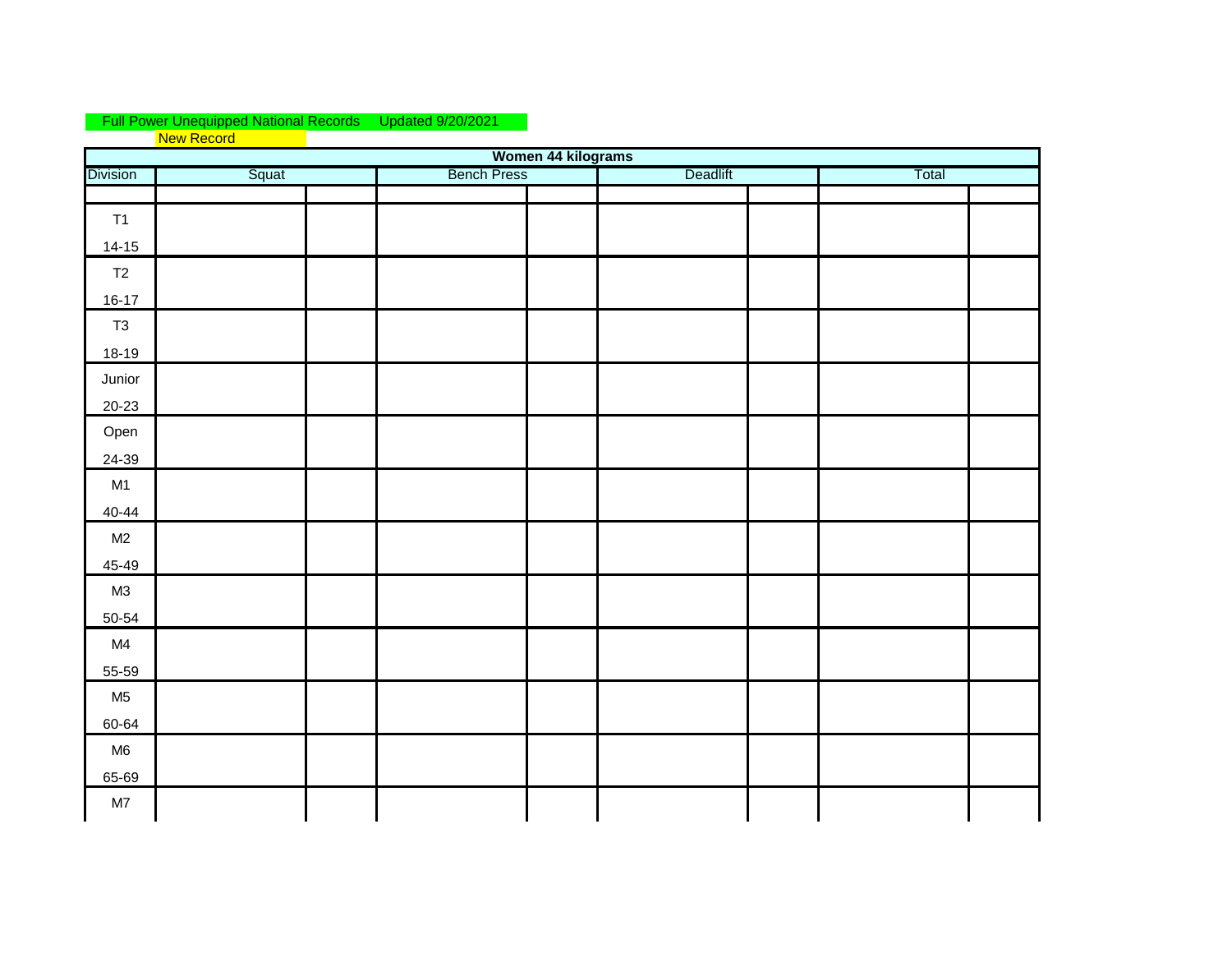## Updated 9/20/2021 New Record Full Power Unequipped National Records

|                 |       | Women 44 kilograms |          |       |
|-----------------|-------|--------------------|----------|-------|
| <b>Division</b> | Squat | <b>Bench Press</b> | Deadlift | Total |
|                 |       |                    |          |       |
| T1              |       |                    |          |       |
| $14-15$         |       |                    |          |       |
| T2              |       |                    |          |       |
| $16-17$         |       |                    |          |       |
| T3              |       |                    |          |       |
| $18-19$         |       |                    |          |       |
| Junior          |       |                    |          |       |
| $20 - 23$       |       |                    |          |       |
| Open            |       |                    |          |       |
| 24-39           |       |                    |          |       |
| M1              |       |                    |          |       |
| $40 - 44$       |       |                    |          |       |
| M2              |       |                    |          |       |
| 45-49           |       |                    |          |       |
| M3              |       |                    |          |       |
| 50-54           |       |                    |          |       |
| M4              |       |                    |          |       |
| 55-59           |       |                    |          |       |
| M <sub>5</sub>  |       |                    |          |       |
| 60-64           |       |                    |          |       |
| M6              |       |                    |          |       |
| 65-69           |       |                    |          |       |
| M7              |       |                    |          |       |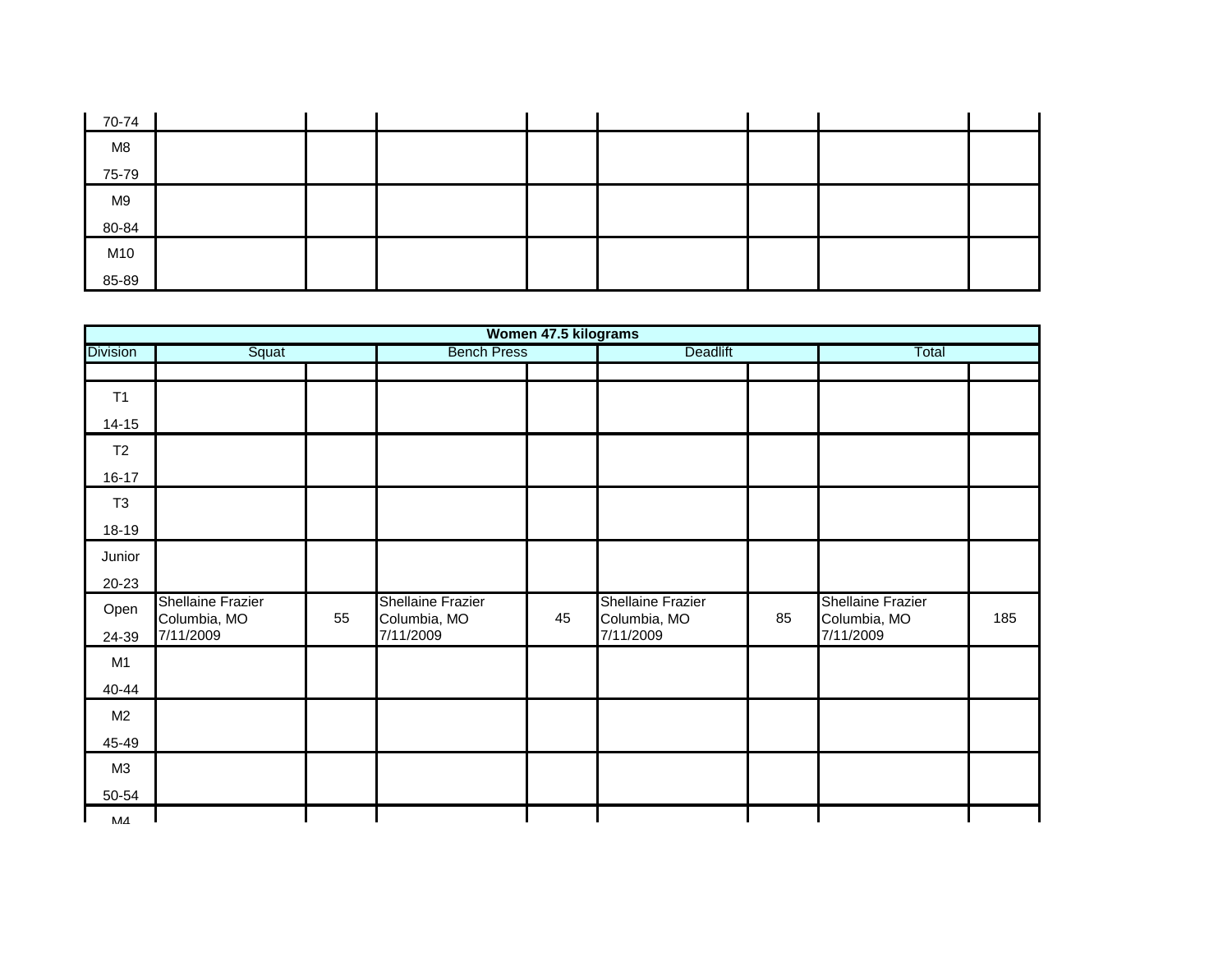| 70-74 |  |  |  |  |
|-------|--|--|--|--|
| M8    |  |  |  |  |
| 75-79 |  |  |  |  |
| M9    |  |  |  |  |
| 80-84 |  |  |  |  |
| M10   |  |  |  |  |
| 85-89 |  |  |  |  |

|                 |                                          |    |                                   | Women 47.5 kilograms |                                   |    |                                          |     |
|-----------------|------------------------------------------|----|-----------------------------------|----------------------|-----------------------------------|----|------------------------------------------|-----|
| <b>Division</b> | Squat                                    |    | <b>Bench Press</b>                |                      | Deadlift                          |    | Total                                    |     |
|                 |                                          |    |                                   |                      |                                   |    |                                          |     |
| T1              |                                          |    |                                   |                      |                                   |    |                                          |     |
| $14 - 15$       |                                          |    |                                   |                      |                                   |    |                                          |     |
| T2              |                                          |    |                                   |                      |                                   |    |                                          |     |
| $16 - 17$       |                                          |    |                                   |                      |                                   |    |                                          |     |
| T <sub>3</sub>  |                                          |    |                                   |                      |                                   |    |                                          |     |
| 18-19           |                                          |    |                                   |                      |                                   |    |                                          |     |
| Junior          |                                          |    |                                   |                      |                                   |    |                                          |     |
| 20-23           |                                          |    |                                   |                      |                                   |    |                                          |     |
| Open            | <b>Shellaine Frazier</b><br>Columbia, MO | 55 | Shellaine Frazier<br>Columbia, MO | 45                   | Shellaine Frazier<br>Columbia, MO | 85 | <b>Shellaine Frazier</b><br>Columbia, MO | 185 |
| 24-39           | 7/11/2009                                |    | 7/11/2009                         |                      | 7/11/2009                         |    | 7/11/2009                                |     |
| M <sub>1</sub>  |                                          |    |                                   |                      |                                   |    |                                          |     |
| 40-44           |                                          |    |                                   |                      |                                   |    |                                          |     |
| M <sub>2</sub>  |                                          |    |                                   |                      |                                   |    |                                          |     |
| 45-49           |                                          |    |                                   |                      |                                   |    |                                          |     |
| M3              |                                          |    |                                   |                      |                                   |    |                                          |     |
| 50-54           |                                          |    |                                   |                      |                                   |    |                                          |     |
| ЛЛ              |                                          |    |                                   |                      |                                   |    |                                          |     |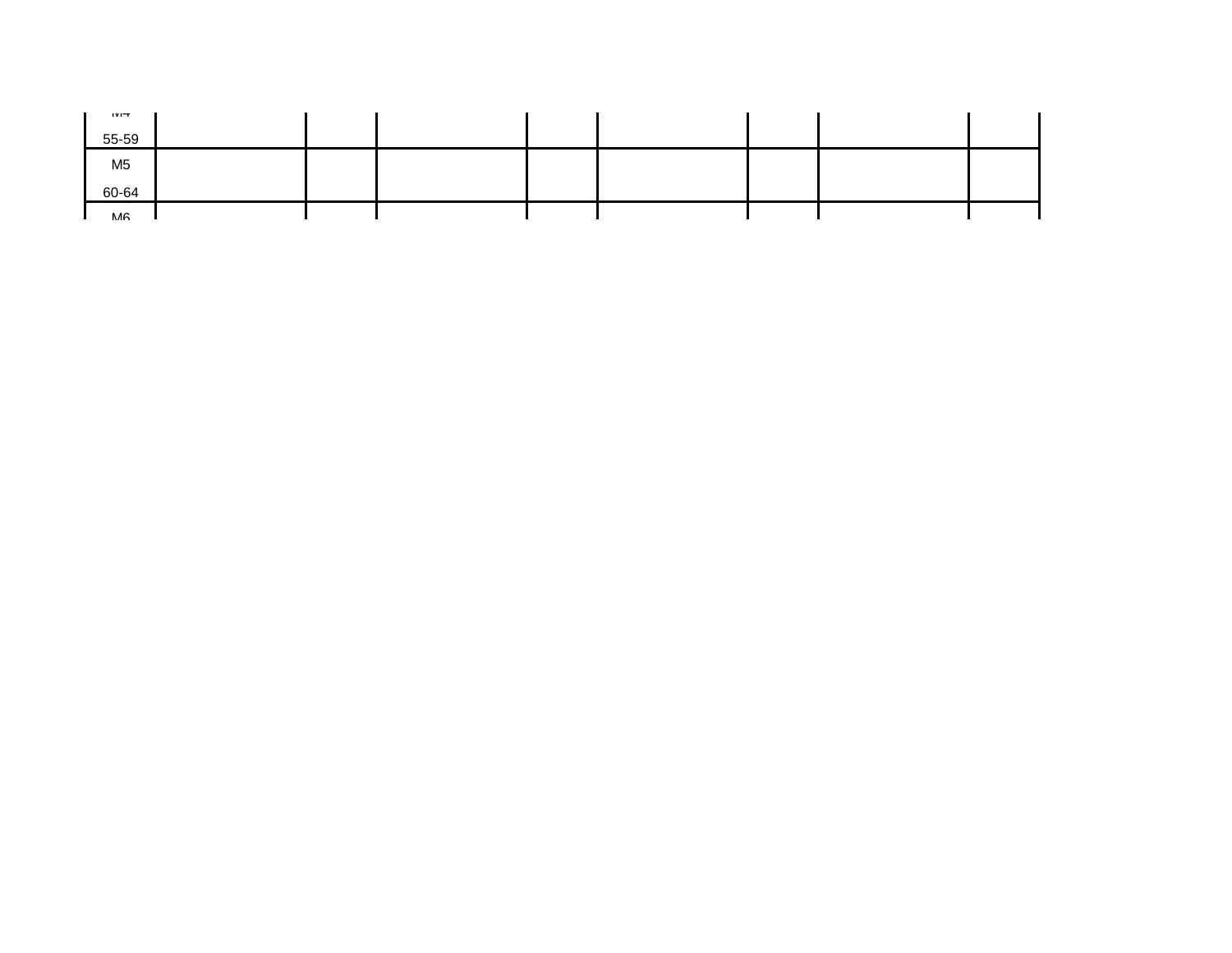| 111T<br>55-59  |  |  |  |  |
|----------------|--|--|--|--|
| M <sub>5</sub> |  |  |  |  |
| 60-64          |  |  |  |  |
| MA             |  |  |  |  |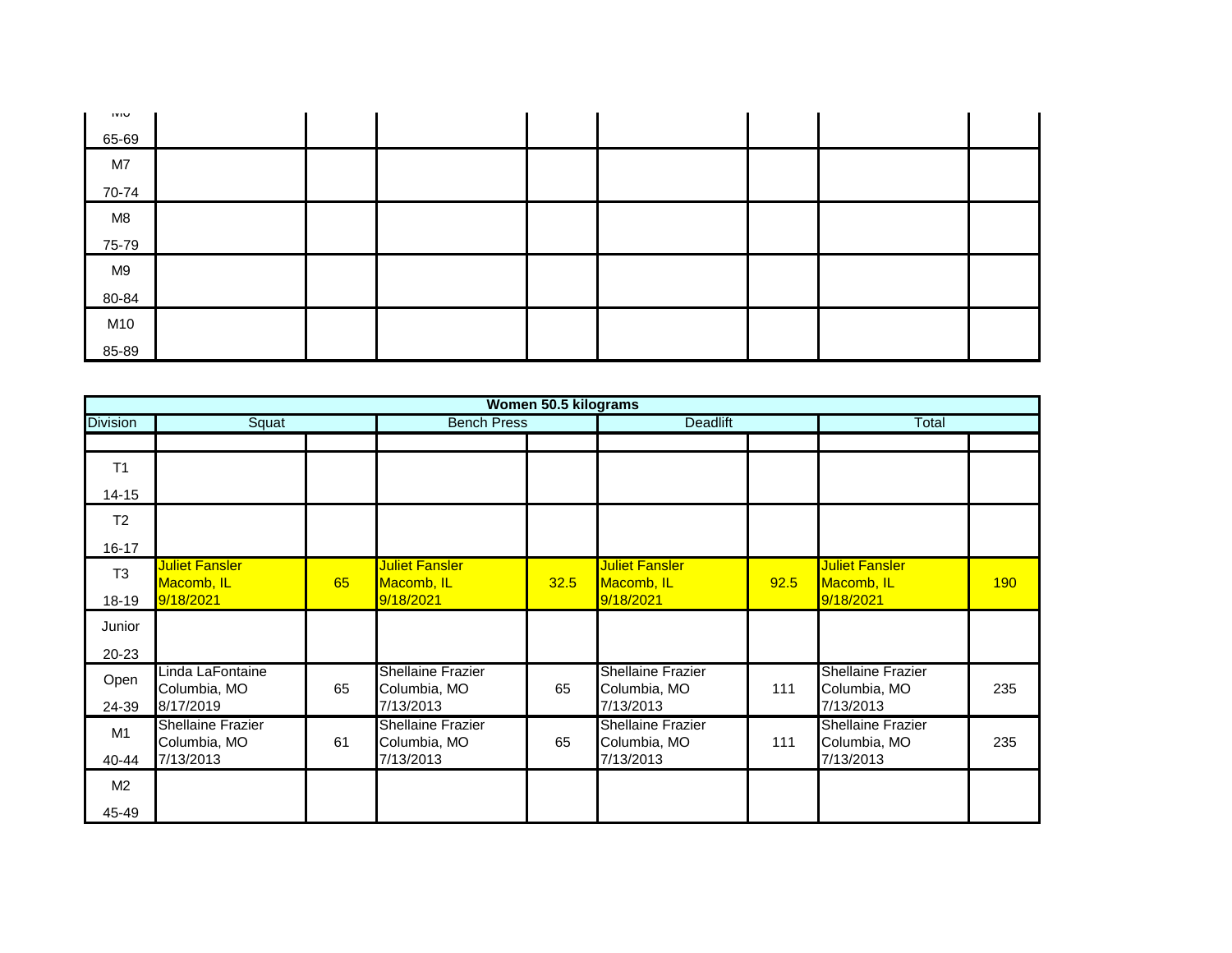| טועו  |  |  |  |  |
|-------|--|--|--|--|
| 65-69 |  |  |  |  |
| M7    |  |  |  |  |
| 70-74 |  |  |  |  |
| M8    |  |  |  |  |
| 75-79 |  |  |  |  |
| M9    |  |  |  |  |
| 80-84 |  |  |  |  |
| M10   |  |  |  |  |
| 85-89 |  |  |  |  |

|                 |                                          |    |                                          | Women 50.5 kilograms |                                          |      |                                          |     |
|-----------------|------------------------------------------|----|------------------------------------------|----------------------|------------------------------------------|------|------------------------------------------|-----|
| <b>Division</b> | Squat                                    |    | <b>Bench Press</b>                       |                      | <b>Deadlift</b>                          |      | Total                                    |     |
|                 |                                          |    |                                          |                      |                                          |      |                                          |     |
| T <sub>1</sub>  |                                          |    |                                          |                      |                                          |      |                                          |     |
| $14 - 15$       |                                          |    |                                          |                      |                                          |      |                                          |     |
| T <sub>2</sub>  |                                          |    |                                          |                      |                                          |      |                                          |     |
| $16 - 17$       |                                          |    |                                          |                      |                                          |      |                                          |     |
| T <sub>3</sub>  | <b>Juliet Fansler</b><br>Macomb, IL      | 65 | <b>Juliet Fansler</b><br>Macomb, IL      | 32.5                 | <b>Juliet Fansler</b><br>Macomb, IL      | 92.5 | <b>Juliet Fansler</b><br>Macomb, IL      | 190 |
| 18-19           | 9/18/2021                                |    | 9/18/2021                                |                      | 9/18/2021                                |      | 9/18/2021                                |     |
| Junior          |                                          |    |                                          |                      |                                          |      |                                          |     |
| $20 - 23$       |                                          |    |                                          |                      |                                          |      |                                          |     |
| Open            | Linda LaFontaine<br>Columbia, MO         | 65 | <b>Shellaine Frazier</b><br>Columbia, MO | 65                   | <b>Shellaine Frazier</b><br>Columbia, MO | 111  | <b>Shellaine Frazier</b><br>Columbia, MO | 235 |
| 24-39           | 8/17/2019                                |    | 7/13/2013                                |                      | 7/13/2013                                |      | 7/13/2013                                |     |
| M1              | <b>Shellaine Frazier</b><br>Columbia, MO | 61 | <b>Shellaine Frazier</b><br>Columbia, MO | 65                   | <b>Shellaine Frazier</b><br>Columbia, MO | 111  | <b>Shellaine Frazier</b><br>Columbia, MO | 235 |
| 40-44           | 7/13/2013                                |    | 7/13/2013                                |                      | 7/13/2013                                |      | 7/13/2013                                |     |
| M <sub>2</sub>  |                                          |    |                                          |                      |                                          |      |                                          |     |
| 45-49           |                                          |    |                                          |                      |                                          |      |                                          |     |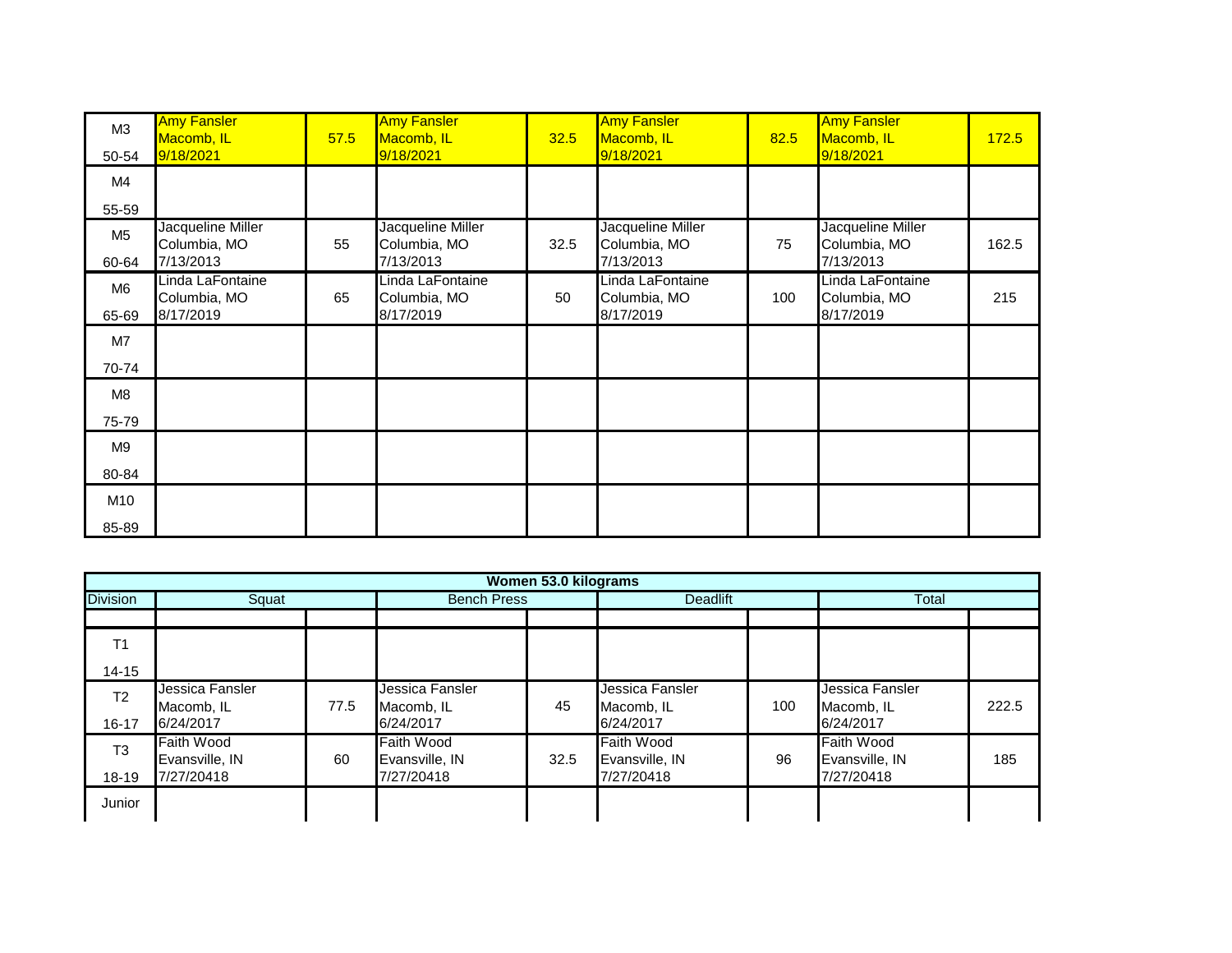| M <sub>3</sub><br>50-54 | <b>Amy Fansler</b><br>Macomb, IL<br>9/18/2021  | 57.5 | <b>Amy Fansler</b><br>Macomb, IL<br>9/18/2021  | 32.5 | <b>Amy Fansler</b><br>Macomb, IL<br>9/18/2021  | 82.5 | <b>Amy Fansler</b><br>Macomb, IL<br>9/18/2021  | 172.5 |
|-------------------------|------------------------------------------------|------|------------------------------------------------|------|------------------------------------------------|------|------------------------------------------------|-------|
| M4                      |                                                |      |                                                |      |                                                |      |                                                |       |
| 55-59                   |                                                |      |                                                |      |                                                |      |                                                |       |
| M <sub>5</sub><br>60-64 | Jacqueline Miller<br>Columbia, MO<br>7/13/2013 | 55   | Jacqueline Miller<br>Columbia, MO<br>7/13/2013 | 32.5 | Jacqueline Miller<br>Columbia, MO<br>7/13/2013 | 75   | Jacqueline Miller<br>Columbia, MO<br>7/13/2013 | 162.5 |
| M <sub>6</sub><br>65-69 | Linda LaFontaine<br>Columbia, MO<br>8/17/2019  | 65   | Linda LaFontaine<br>Columbia, MO<br>8/17/2019  | 50   | Linda LaFontaine<br>Columbia, MO<br>8/17/2019  | 100  | Linda LaFontaine<br>Columbia, MO<br>8/17/2019  | 215   |
|                         |                                                |      |                                                |      |                                                |      |                                                |       |
| M7                      |                                                |      |                                                |      |                                                |      |                                                |       |
| 70-74                   |                                                |      |                                                |      |                                                |      |                                                |       |
| M8                      |                                                |      |                                                |      |                                                |      |                                                |       |
| 75-79                   |                                                |      |                                                |      |                                                |      |                                                |       |
| M <sub>9</sub>          |                                                |      |                                                |      |                                                |      |                                                |       |
| 80-84                   |                                                |      |                                                |      |                                                |      |                                                |       |
| M10                     |                                                |      |                                                |      |                                                |      |                                                |       |
| 85-89                   |                                                |      |                                                |      |                                                |      |                                                |       |

|                                      | Women 53.0 kilograms                              |      |                                            |      |                                                   |     |                                            |       |  |  |  |  |
|--------------------------------------|---------------------------------------------------|------|--------------------------------------------|------|---------------------------------------------------|-----|--------------------------------------------|-------|--|--|--|--|
| <b>Division</b>                      | Squat                                             |      | <b>Bench Press</b>                         |      | <b>Deadlift</b>                                   |     | Total                                      |       |  |  |  |  |
|                                      |                                                   |      |                                            |      |                                                   |     |                                            |       |  |  |  |  |
| T <sub>1</sub>                       |                                                   |      |                                            |      |                                                   |     |                                            |       |  |  |  |  |
| $14 - 15$                            |                                                   |      |                                            |      |                                                   |     |                                            |       |  |  |  |  |
| T <sub>2</sub>                       | Jessica Fansler<br>Macomb, IL<br>6/24/2017        | 77.5 | Jessica Fansler<br>Macomb, IL<br>6/24/2017 | 45   | Jessica Fansler<br>Macomb, IL<br>6/24/2017        | 100 | Jessica Fansler<br>Macomb, IL<br>6/24/2017 | 222.5 |  |  |  |  |
| 16-17<br>T <sub>3</sub><br>$18 - 19$ | <b>Faith Wood</b><br>Evansville, IN<br>7/27/20418 | 60   | Faith Wood<br>Evansville, IN<br>7/27/20418 | 32.5 | <b>Faith Wood</b><br>Evansville, IN<br>7/27/20418 | 96  | Faith Wood<br>Evansville, IN<br>7/27/20418 | 185   |  |  |  |  |
| Junior                               |                                                   |      |                                            |      |                                                   |     |                                            |       |  |  |  |  |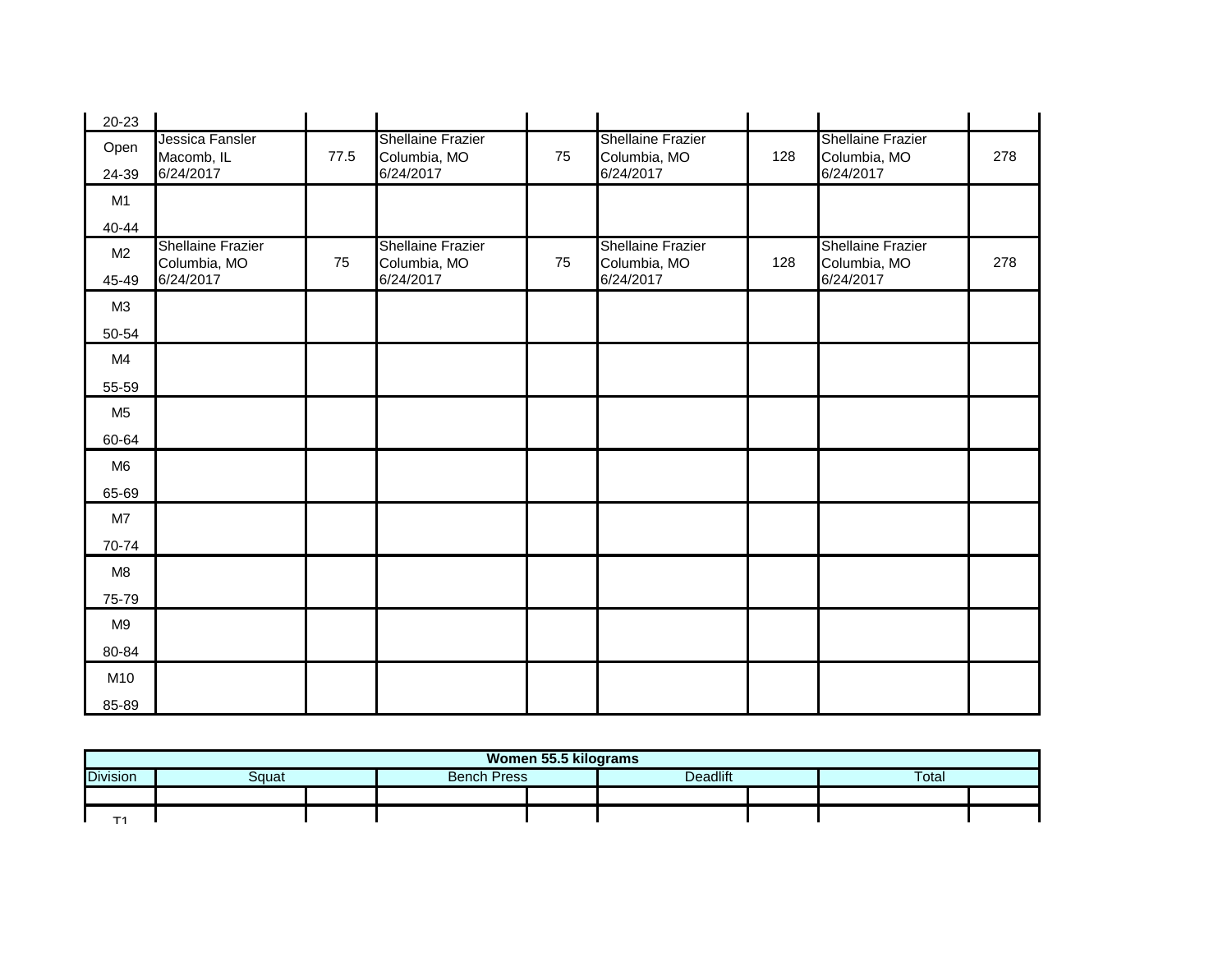| 20-23          |                                                       |      |                                                       |    |                                                       |     |                                                       |     |
|----------------|-------------------------------------------------------|------|-------------------------------------------------------|----|-------------------------------------------------------|-----|-------------------------------------------------------|-----|
| Open<br>24-39  | Jessica Fansler<br>Macomb, IL<br>6/24/2017            | 77.5 | <b>Shellaine Frazier</b><br>Columbia, MO<br>6/24/2017 | 75 | <b>Shellaine Frazier</b><br>Columbia, MO<br>6/24/2017 | 128 | <b>Shellaine Frazier</b><br>Columbia, MO<br>6/24/2017 | 278 |
| M <sub>1</sub> |                                                       |      |                                                       |    |                                                       |     |                                                       |     |
| 40-44          |                                                       |      |                                                       |    |                                                       |     |                                                       |     |
| M <sub>2</sub> | <b>Shellaine Frazier</b><br>Columbia, MO<br>6/24/2017 | 75   | <b>Shellaine Frazier</b><br>Columbia, MO<br>6/24/2017 | 75 | <b>Shellaine Frazier</b><br>Columbia, MO<br>6/24/2017 | 128 | <b>Shellaine Frazier</b><br>Columbia, MO<br>6/24/2017 | 278 |
| 45-49          |                                                       |      |                                                       |    |                                                       |     |                                                       |     |
| M3             |                                                       |      |                                                       |    |                                                       |     |                                                       |     |
| 50-54          |                                                       |      |                                                       |    |                                                       |     |                                                       |     |
| M4             |                                                       |      |                                                       |    |                                                       |     |                                                       |     |
| 55-59          |                                                       |      |                                                       |    |                                                       |     |                                                       |     |
| M <sub>5</sub> |                                                       |      |                                                       |    |                                                       |     |                                                       |     |
| 60-64          |                                                       |      |                                                       |    |                                                       |     |                                                       |     |
| M <sub>6</sub> |                                                       |      |                                                       |    |                                                       |     |                                                       |     |
| 65-69          |                                                       |      |                                                       |    |                                                       |     |                                                       |     |
| M7             |                                                       |      |                                                       |    |                                                       |     |                                                       |     |
| 70-74          |                                                       |      |                                                       |    |                                                       |     |                                                       |     |
| M8             |                                                       |      |                                                       |    |                                                       |     |                                                       |     |
| 75-79          |                                                       |      |                                                       |    |                                                       |     |                                                       |     |
| M <sub>9</sub> |                                                       |      |                                                       |    |                                                       |     |                                                       |     |
| 80-84          |                                                       |      |                                                       |    |                                                       |     |                                                       |     |
| M10            |                                                       |      |                                                       |    |                                                       |     |                                                       |     |
| 85-89          |                                                       |      |                                                       |    |                                                       |     |                                                       |     |

|                 | Women 55.5 kilograms |  |                    |  |          |  |              |  |  |  |
|-----------------|----------------------|--|--------------------|--|----------|--|--------------|--|--|--|
| <b>Division</b> | Squat                |  | <b>Bench Press</b> |  | Deadlift |  | <b>Total</b> |  |  |  |
|                 |                      |  |                    |  |          |  |              |  |  |  |
| -               |                      |  |                    |  |          |  |              |  |  |  |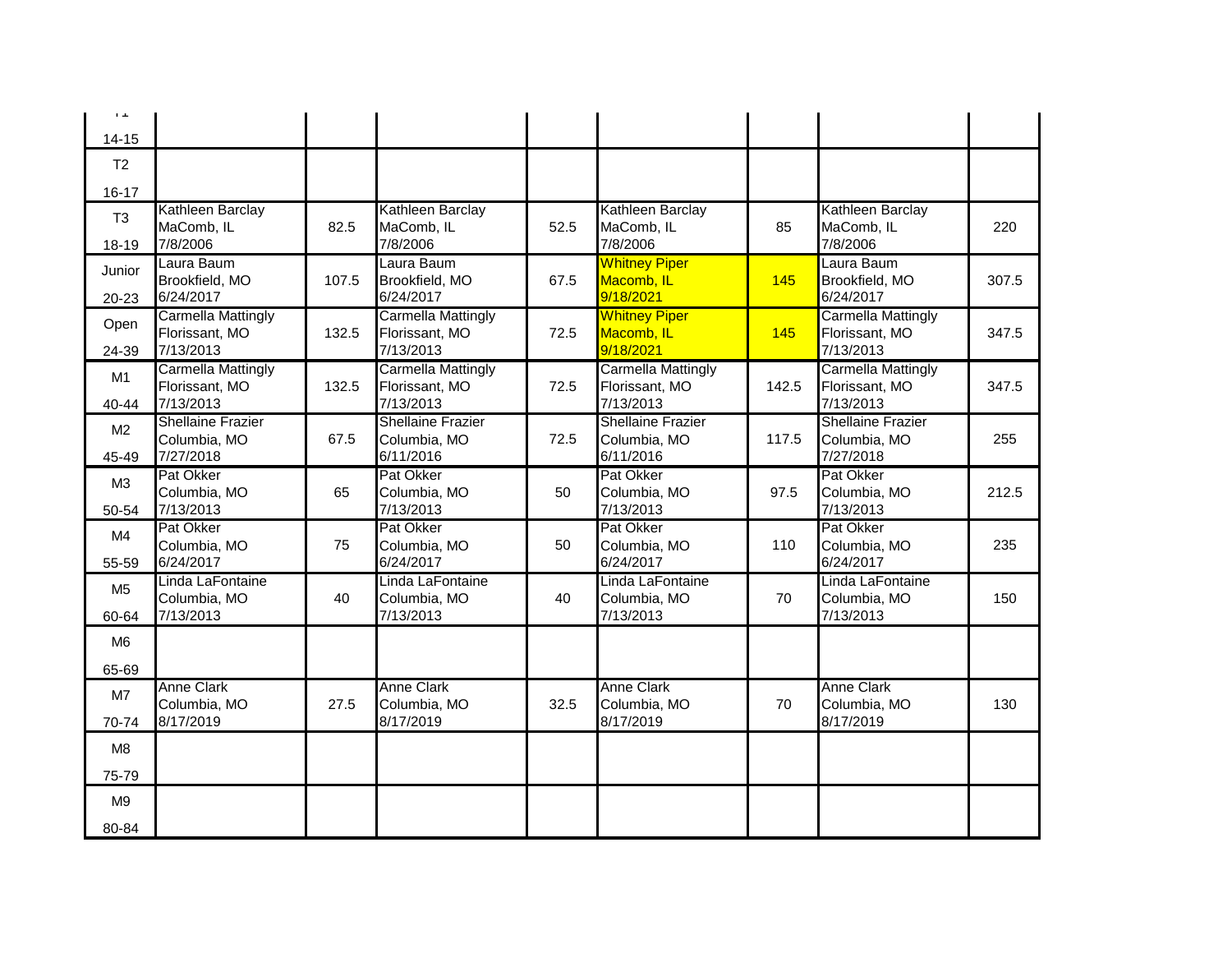| $\mathbf{1}$ . $\mathbf{1}$ |                                                          |       |                                                          |      |                                                          |       |                                                          |       |
|-----------------------------|----------------------------------------------------------|-------|----------------------------------------------------------|------|----------------------------------------------------------|-------|----------------------------------------------------------|-------|
| $14 - 15$                   |                                                          |       |                                                          |      |                                                          |       |                                                          |       |
| T <sub>2</sub>              |                                                          |       |                                                          |      |                                                          |       |                                                          |       |
| $16 - 17$                   |                                                          |       |                                                          |      |                                                          |       |                                                          |       |
| T <sub>3</sub><br>18-19     | Kathleen Barclay<br>MaComb, IL<br>7/8/2006               | 82.5  | Kathleen Barclay<br>MaComb, IL<br>7/8/2006               | 52.5 | Kathleen Barclay<br>MaComb, IL<br>7/8/2006               | 85    | Kathleen Barclay<br>MaComb, IL<br>7/8/2006               | 220   |
| Junior<br>20-23             | Laura Baum<br>Brookfield, MO<br>6/24/2017                | 107.5 | Laura Baum<br>Brookfield, MO<br>6/24/2017                | 67.5 | <b>Whitney Piper</b><br>Macomb, IL<br>9/18/2021          | 145   | Laura Baum<br>Brookfield, MO<br>6/24/2017                | 307.5 |
| Open<br>24-39               | <b>Carmella Mattingly</b><br>Florissant, MO<br>7/13/2013 | 132.5 | <b>Carmella Mattingly</b><br>Florissant, MO<br>7/13/2013 | 72.5 | <b>Whitney Piper</b><br>Macomb, IL<br>9/18/2021          | 145   | <b>Carmella Mattingly</b><br>Florissant, MO<br>7/13/2013 | 347.5 |
| M1<br>$40 - 44$             | <b>Carmella Mattingly</b><br>Florissant, MO<br>7/13/2013 | 132.5 | <b>Carmella Mattingly</b><br>Florissant, MO<br>7/13/2013 | 72.5 | <b>Carmella Mattingly</b><br>Florissant, MO<br>7/13/2013 | 142.5 | <b>Carmella Mattingly</b><br>Florissant, MO<br>7/13/2013 | 347.5 |
| M <sub>2</sub><br>45-49     | <b>Shellaine Frazier</b><br>Columbia, MO<br>7/27/2018    | 67.5  | <b>Shellaine Frazier</b><br>Columbia, MO<br>6/11/2016    | 72.5 | Shellaine Frazier<br>Columbia, MO<br>6/11/2016           | 117.5 | <b>Shellaine Frazier</b><br>Columbia, MO<br>7/27/2018    | 255   |
| M3<br>50-54                 | Pat Okker<br>Columbia, MO<br>7/13/2013                   | 65    | Pat Okker<br>Columbia, MO<br>7/13/2013                   | 50   | Pat Okker<br>Columbia, MO<br>7/13/2013                   | 97.5  | Pat Okker<br>Columbia, MO<br>7/13/2013                   | 212.5 |
| M4<br>55-59                 | Pat Okker<br>Columbia, MO<br>6/24/2017                   | 75    | Pat Okker<br>Columbia, MO<br>6/24/2017                   | 50   | Pat Okker<br>Columbia, MO<br>6/24/2017                   | 110   | Pat Okker<br>Columbia, MO<br>6/24/2017                   | 235   |
| M <sub>5</sub><br>60-64     | Linda LaFontaine<br>Columbia, MO<br>7/13/2013            | 40    | Linda LaFontaine<br>Columbia, MO<br>7/13/2013            | 40   | Linda LaFontaine<br>Columbia, MO<br>7/13/2013            | 70    | Linda LaFontaine<br>Columbia, MO<br>7/13/2013            | 150   |
| M <sub>6</sub><br>65-69     |                                                          |       |                                                          |      |                                                          |       |                                                          |       |
| M7<br>70-74                 | <b>Anne Clark</b><br>Columbia, MO<br>8/17/2019           | 27.5  | <b>Anne Clark</b><br>Columbia, MO<br>8/17/2019           | 32.5 | <b>Anne Clark</b><br>Columbia, MO<br>8/17/2019           | 70    | <b>Anne Clark</b><br>Columbia, MO<br>8/17/2019           | 130   |
| M8<br>75-79                 |                                                          |       |                                                          |      |                                                          |       |                                                          |       |
| M <sub>9</sub>              |                                                          |       |                                                          |      |                                                          |       |                                                          |       |
| 80-84                       |                                                          |       |                                                          |      |                                                          |       |                                                          |       |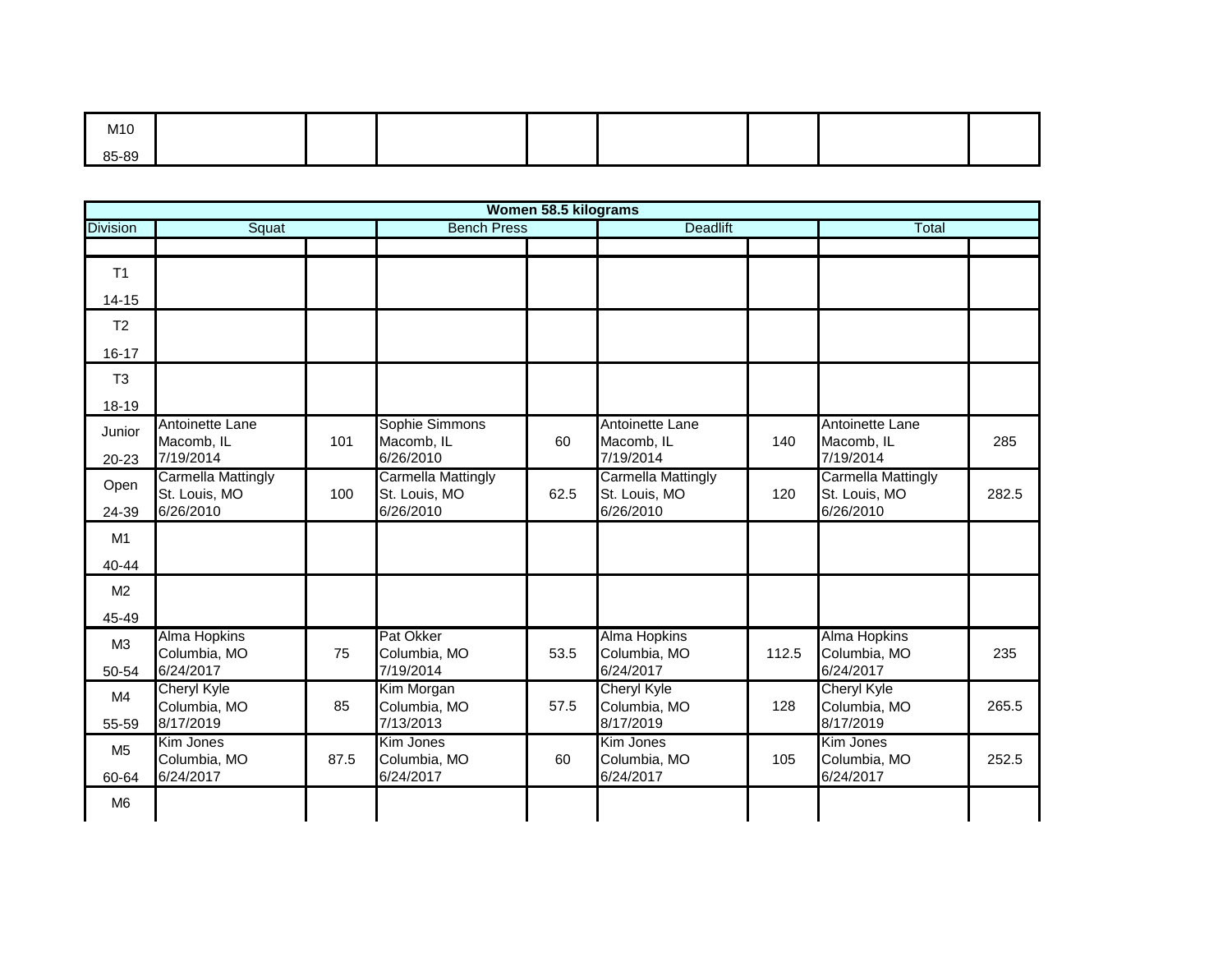| M10   |  |  |  |  |
|-------|--|--|--|--|
| 85-89 |  |  |  |  |

|                 | Women 58.5 kilograms                                    |      |                                                         |      |                                                  |       |                                                         |       |  |  |  |
|-----------------|---------------------------------------------------------|------|---------------------------------------------------------|------|--------------------------------------------------|-------|---------------------------------------------------------|-------|--|--|--|
| <b>Division</b> | Squat                                                   |      | <b>Bench Press</b>                                      |      | <b>Deadlift</b>                                  |       | Total                                                   |       |  |  |  |
|                 |                                                         |      |                                                         |      |                                                  |       |                                                         |       |  |  |  |
| T1              |                                                         |      |                                                         |      |                                                  |       |                                                         |       |  |  |  |
| $14 - 15$       |                                                         |      |                                                         |      |                                                  |       |                                                         |       |  |  |  |
| T <sub>2</sub>  |                                                         |      |                                                         |      |                                                  |       |                                                         |       |  |  |  |
| $16 - 17$       |                                                         |      |                                                         |      |                                                  |       |                                                         |       |  |  |  |
| T <sub>3</sub>  |                                                         |      |                                                         |      |                                                  |       |                                                         |       |  |  |  |
| $18 - 19$       |                                                         |      |                                                         |      |                                                  |       |                                                         |       |  |  |  |
| Junior<br>20-23 | Antoinette Lane<br>Macomb, IL<br>7/19/2014              | 101  | Sophie Simmons<br>Macomb, IL<br>6/26/2010               | 60   | Antoinette Lane<br>Macomb, IL<br>7/19/2014       | 140   | Antoinette Lane<br>Macomb, IL<br>7/19/2014              | 285   |  |  |  |
| Open<br>24-39   | <b>Carmella Mattingly</b><br>St. Louis, MO<br>6/26/2010 | 100  | <b>Carmella Mattingly</b><br>St. Louis, MO<br>6/26/2010 | 62.5 | Carmella Mattingly<br>St. Louis, MO<br>6/26/2010 | 120   | <b>Carmella Mattingly</b><br>St. Louis, MO<br>6/26/2010 | 282.5 |  |  |  |
|                 |                                                         |      |                                                         |      |                                                  |       |                                                         |       |  |  |  |
| M1              |                                                         |      |                                                         |      |                                                  |       |                                                         |       |  |  |  |
| 40-44           |                                                         |      |                                                         |      |                                                  |       |                                                         |       |  |  |  |
| M <sub>2</sub>  |                                                         |      |                                                         |      |                                                  |       |                                                         |       |  |  |  |
| 45-49           |                                                         |      |                                                         |      |                                                  |       |                                                         |       |  |  |  |
| M3              | <b>Alma Hopkins</b><br>Columbia, MO                     | 75   | <b>Pat Okker</b><br>Columbia, MO                        | 53.5 | <b>Alma Hopkins</b><br>Columbia, MO              | 112.5 | <b>Alma Hopkins</b><br>Columbia, MO                     | 235   |  |  |  |
| 50-54           | 6/24/2017                                               |      | 7/19/2014                                               |      | 6/24/2017                                        |       | 6/24/2017                                               |       |  |  |  |
| M4              | <b>Cheryl Kyle</b><br>Columbia, MO                      | 85   | Kim Morgan<br>Columbia, MO                              | 57.5 | <b>Cheryl Kyle</b><br>Columbia, MO               | 128   | <b>Cheryl Kyle</b><br>Columbia, MO                      | 265.5 |  |  |  |
| 55-59           | 8/17/2019                                               |      | 7/13/2013                                               |      | 8/17/2019                                        |       | 8/17/2019                                               |       |  |  |  |
| M <sub>5</sub>  | Kim Jones<br>Columbia, MO                               | 87.5 | Kim Jones<br>Columbia, MO                               | 60   | Kim Jones<br>Columbia, MO                        | 105   | Kim Jones<br>Columbia, MO                               | 252.5 |  |  |  |
| 60-64           | 6/24/2017                                               |      | 6/24/2017                                               |      | 6/24/2017                                        |       | 6/24/2017                                               |       |  |  |  |
| M <sub>6</sub>  |                                                         |      |                                                         |      |                                                  |       |                                                         |       |  |  |  |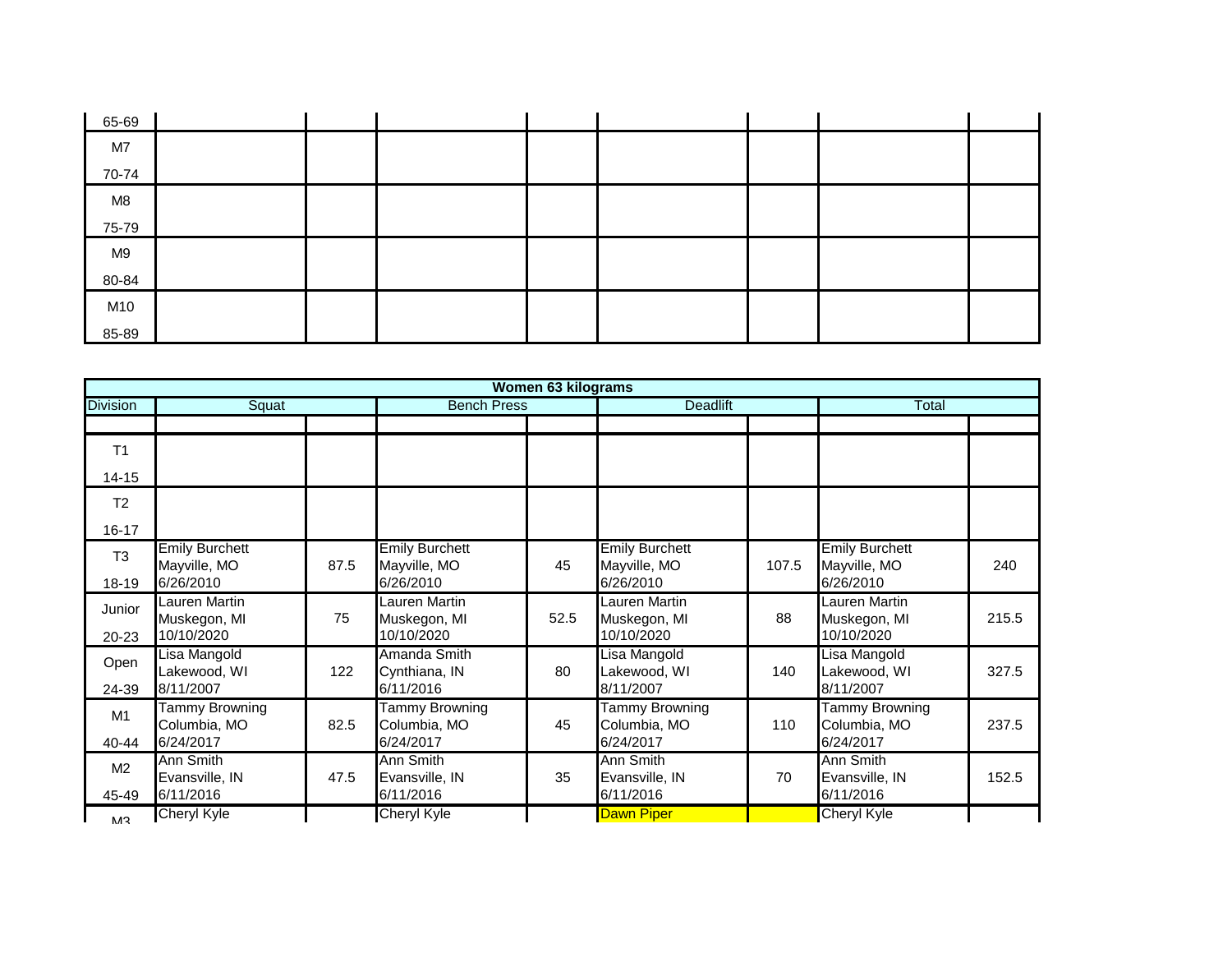| 65-69 |  |  |  |  |
|-------|--|--|--|--|
| M7    |  |  |  |  |
| 70-74 |  |  |  |  |
| M8    |  |  |  |  |
| 75-79 |  |  |  |  |
| M9    |  |  |  |  |
| 80-84 |  |  |  |  |
| M10   |  |  |  |  |
| 85-89 |  |  |  |  |

|                 |                                       |      |                                       | Women 63 kilograms |                                       |       |                                       |       |
|-----------------|---------------------------------------|------|---------------------------------------|--------------------|---------------------------------------|-------|---------------------------------------|-------|
| <b>Division</b> | Squat                                 |      | <b>Bench Press</b>                    |                    | <b>Deadlift</b>                       |       | Total                                 |       |
|                 |                                       |      |                                       |                    |                                       |       |                                       |       |
| T <sub>1</sub>  |                                       |      |                                       |                    |                                       |       |                                       |       |
| 14-15           |                                       |      |                                       |                    |                                       |       |                                       |       |
| T <sub>2</sub>  |                                       |      |                                       |                    |                                       |       |                                       |       |
| 16-17           |                                       |      |                                       |                    |                                       |       |                                       |       |
| T <sub>3</sub>  | <b>Emily Burchett</b><br>Mayville, MO | 87.5 | <b>Emily Burchett</b><br>Mayville, MO | 45                 | <b>Emily Burchett</b><br>Mayville, MO | 107.5 | <b>Emily Burchett</b><br>Mayville, MO | 240   |
| 18-19           | 6/26/2010                             |      | 6/26/2010                             |                    | 6/26/2010                             |       | 6/26/2010                             |       |
| Junior          | Lauren Martin<br>Muskegon, MI         | 75   | Lauren Martin<br>Muskegon, MI         | 52.5               | <b>Lauren Martin</b><br>Muskegon, MI  | 88    | Lauren Martin<br>Muskegon, MI         | 215.5 |
| 20-23           | 10/10/2020                            |      | 10/10/2020                            |                    | 10/10/2020                            |       | 10/10/2020                            |       |
| Open            | Lisa Mangold<br>Lakewood, WI          | 122  | Amanda Smith<br>Cynthiana, IN         | 80                 | Lisa Mangold<br>Lakewood, WI          | 140   | Lisa Mangold<br>Lakewood, WI          | 327.5 |
| 24-39           | 8/11/2007                             |      | 6/11/2016                             |                    | 8/11/2007                             |       | 8/11/2007                             |       |
| M1              | <b>Tammy Browning</b><br>Columbia, MO | 82.5 | <b>Tammy Browning</b><br>Columbia, MO | 45                 | <b>Tammy Browning</b><br>Columbia, MO | 110   | <b>Tammy Browning</b><br>Columbia, MO | 237.5 |
| 40-44           | 6/24/2017                             |      | 6/24/2017                             |                    | 6/24/2017                             |       | 6/24/2017                             |       |
| M <sub>2</sub>  | Ann Smith<br>Evansville, IN           | 47.5 | Ann Smith<br>Evansville, IN           | 35                 | <b>Ann Smith</b><br>Evansville, IN    | 70    | Ann Smith<br>Evansville, IN           | 152.5 |
| 45-49           | 6/11/2016                             |      | 6/11/2016                             |                    | 6/11/2016                             |       | 6/11/2016                             |       |
| M <sub>3</sub>  | Cheryl Kyle                           |      | <b>Cheryl Kyle</b>                    |                    | <b>Dawn Piper</b>                     |       | Cheryl Kyle                           |       |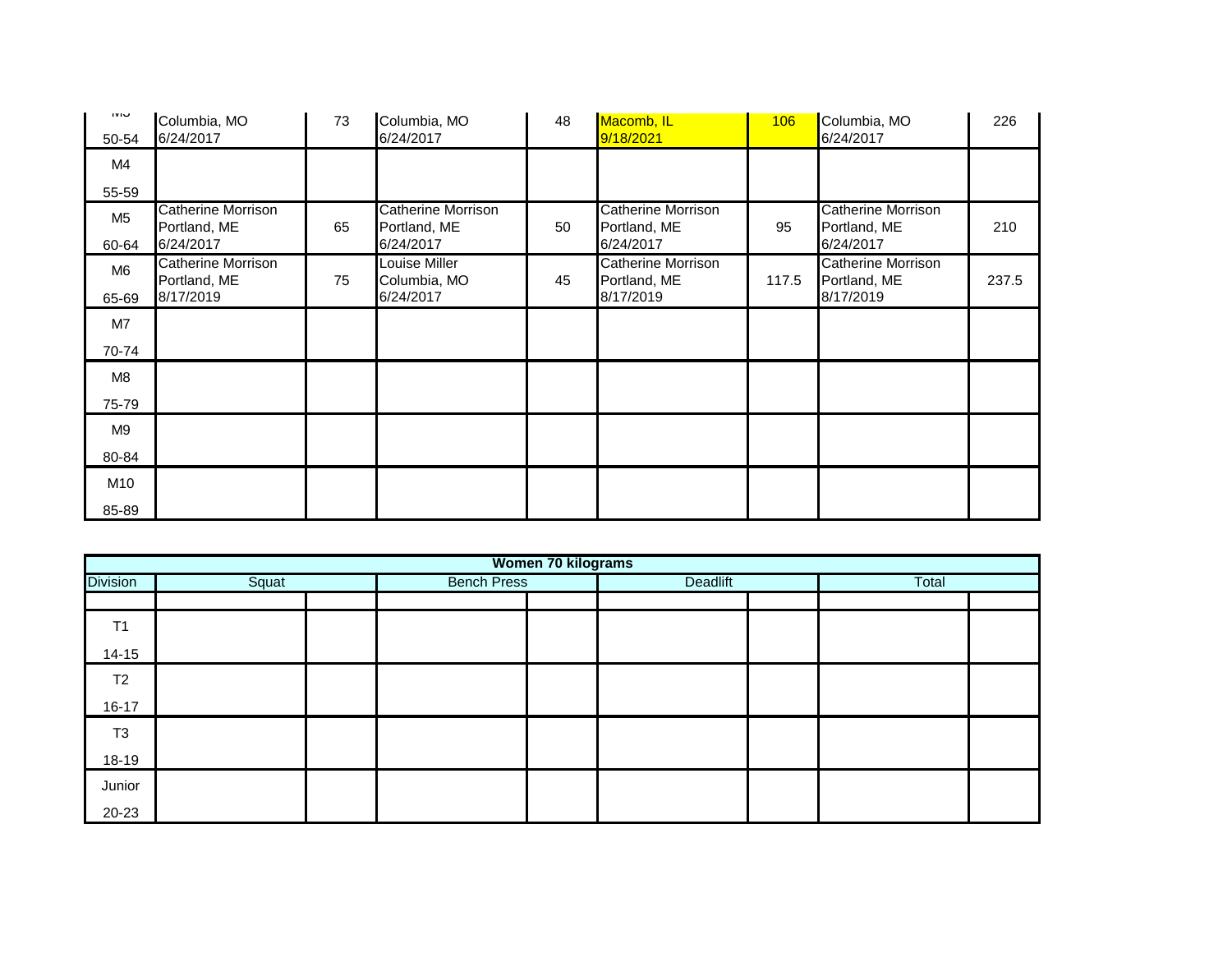| טועו<br>50-54  | Columbia, MO<br>6/24/2017                 | 73 | Columbia, MO<br>6/24/2017          | 48 | Macomb, IL<br>9/18/2021                   | 106   | Columbia, MO<br>6/24/2017          | 226   |
|----------------|-------------------------------------------|----|------------------------------------|----|-------------------------------------------|-------|------------------------------------|-------|
| M4             |                                           |    |                                    |    |                                           |       |                                    |       |
| 55-59          |                                           |    |                                    |    |                                           |       |                                    |       |
| M <sub>5</sub> | Catherine Morrison<br>Portland, ME        | 65 | Catherine Morrison<br>Portland, ME | 50 | Catherine Morrison<br>Portland, ME        | 95    | Catherine Morrison<br>Portland, ME | 210   |
| 60-64          | 6/24/2017                                 |    | 6/24/2017                          |    | 6/24/2017                                 |       | 6/24/2017                          |       |
| M <sub>6</sub> | <b>Catherine Morrison</b><br>Portland, ME | 75 | Louise Miller<br>Columbia, MO      | 45 | <b>Catherine Morrison</b><br>Portland, ME | 117.5 | Catherine Morrison<br>Portland, ME | 237.5 |
| 65-69          | 8/17/2019                                 |    | 6/24/2017                          |    | 8/17/2019                                 |       | 8/17/2019                          |       |
| M7             |                                           |    |                                    |    |                                           |       |                                    |       |
| 70-74          |                                           |    |                                    |    |                                           |       |                                    |       |
| M8             |                                           |    |                                    |    |                                           |       |                                    |       |
| 75-79          |                                           |    |                                    |    |                                           |       |                                    |       |
| M9             |                                           |    |                                    |    |                                           |       |                                    |       |
| 80-84          |                                           |    |                                    |    |                                           |       |                                    |       |
| M10            |                                           |    |                                    |    |                                           |       |                                    |       |
| 85-89          |                                           |    |                                    |    |                                           |       |                                    |       |

|                 | Women 70 kilograms |  |                    |          |  |       |  |  |  |  |  |
|-----------------|--------------------|--|--------------------|----------|--|-------|--|--|--|--|--|
| <b>Division</b> | Squat              |  | <b>Bench Press</b> | Deadlift |  | Total |  |  |  |  |  |
|                 |                    |  |                    |          |  |       |  |  |  |  |  |
| T <sub>1</sub>  |                    |  |                    |          |  |       |  |  |  |  |  |
| $14 - 15$       |                    |  |                    |          |  |       |  |  |  |  |  |
| T <sub>2</sub>  |                    |  |                    |          |  |       |  |  |  |  |  |
| $16 - 17$       |                    |  |                    |          |  |       |  |  |  |  |  |
| T <sub>3</sub>  |                    |  |                    |          |  |       |  |  |  |  |  |
| 18-19           |                    |  |                    |          |  |       |  |  |  |  |  |
| Junior          |                    |  |                    |          |  |       |  |  |  |  |  |
| 20-23           |                    |  |                    |          |  |       |  |  |  |  |  |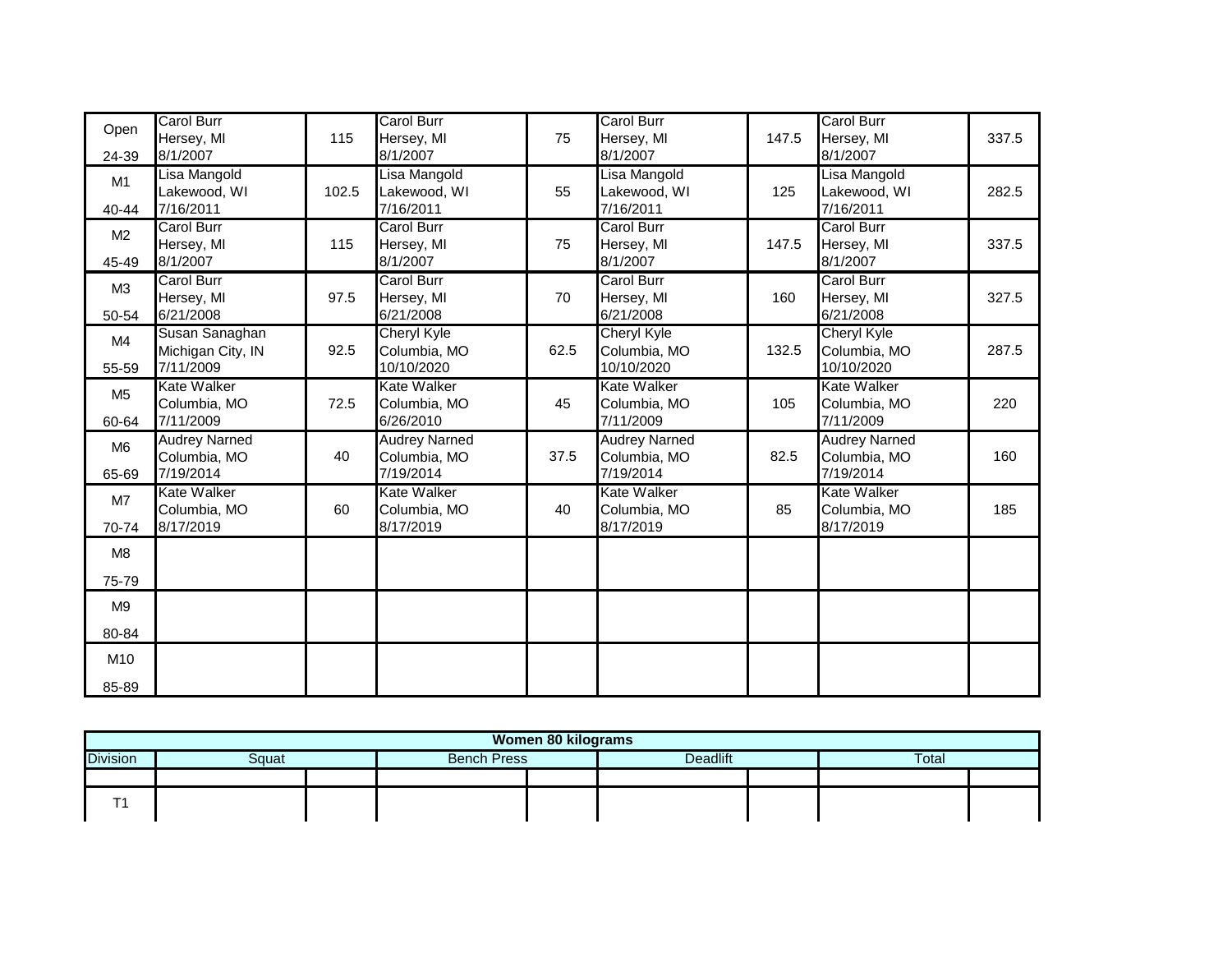| Open                    | <b>Carol Burr</b><br>Hersey, MI                   | 115   | <b>Carol Burr</b><br>Hersey, MI                   | 75   | <b>Carol Burr</b><br>Hersey, MI                   | 147.5 | <b>Carol Burr</b><br>Hersey, MI                   | 337.5 |
|-------------------------|---------------------------------------------------|-------|---------------------------------------------------|------|---------------------------------------------------|-------|---------------------------------------------------|-------|
| 24-39                   | 8/1/2007                                          |       | 8/1/2007                                          |      | 8/1/2007                                          |       | 8/1/2007                                          |       |
| M <sub>1</sub><br>40-44 | Lisa Mangold<br>Lakewood, WI<br>7/16/2011         | 102.5 | Lisa Mangold<br>Lakewood, WI<br>7/16/2011         | 55   | Lisa Mangold<br>Lakewood, WI<br>7/16/2011         | 125   | Lisa Mangold<br>Lakewood, WI<br>7/16/2011         | 282.5 |
| M <sub>2</sub><br>45-49 | <b>Carol Burr</b><br>Hersey, MI<br>8/1/2007       | 115   | Carol Burr<br>Hersey, MI<br>8/1/2007              | 75   | <b>Carol Burr</b><br>Hersey, MI<br>8/1/2007       | 147.5 | <b>Carol Burr</b><br>Hersey, MI<br>8/1/2007       | 337.5 |
| M <sub>3</sub><br>50-54 | <b>Carol Burr</b><br>Hersey, MI<br>6/21/2008      | 97.5  | <b>Carol Burr</b><br>Hersey, MI<br>6/21/2008      | 70   | <b>Carol Burr</b><br>Hersey, MI<br>6/21/2008      | 160   | <b>Carol Burr</b><br>Hersey, MI<br>6/21/2008      | 327.5 |
| M4<br>55-59             | Susan Sanaghan<br>Michigan City, IN<br>7/11/2009  | 92.5  | Cheryl Kyle<br>Columbia, MO<br>10/10/2020         | 62.5 | <b>Cheryl Kyle</b><br>Columbia, MO<br>10/10/2020  | 132.5 | <b>Cheryl Kyle</b><br>Columbia, MO<br>10/10/2020  | 287.5 |
| M <sub>5</sub><br>60-64 | Kate Walker<br>Columbia, MO<br>7/11/2009          | 72.5  | Kate Walker<br>Columbia, MO<br>6/26/2010          | 45   | <b>Kate Walker</b><br>Columbia, MO<br>7/11/2009   | 105   | <b>Kate Walker</b><br>Columbia, MO<br>7/11/2009   | 220   |
| M <sub>6</sub><br>65-69 | <b>Audrey Narned</b><br>Columbia, MO<br>7/19/2014 | 40    | <b>Audrey Narned</b><br>Columbia, MO<br>7/19/2014 | 37.5 | <b>Audrey Narned</b><br>Columbia, MO<br>7/19/2014 | 82.5  | <b>Audrey Narned</b><br>Columbia, MO<br>7/19/2014 | 160   |
| M7<br>70-74             | Kate Walker<br>Columbia, MO<br>8/17/2019          | 60    | Kate Walker<br>Columbia, MO<br>8/17/2019          | 40   | <b>Kate Walker</b><br>Columbia, MO<br>8/17/2019   | 85    | <b>Kate Walker</b><br>Columbia, MO<br>8/17/2019   | 185   |
| M <sub>8</sub><br>75-79 |                                                   |       |                                                   |      |                                                   |       |                                                   |       |
| M <sub>9</sub><br>80-84 |                                                   |       |                                                   |      |                                                   |       |                                                   |       |
| M10<br>85-89            |                                                   |       |                                                   |      |                                                   |       |                                                   |       |

| Women 80 kilograms |       |  |                    |                 |  |  |       |  |  |
|--------------------|-------|--|--------------------|-----------------|--|--|-------|--|--|
| <b>Division</b>    | Squat |  | <b>Bench Press</b> | <b>Deadlift</b> |  |  | Total |  |  |
|                    |       |  |                    |                 |  |  |       |  |  |
|                    |       |  |                    |                 |  |  |       |  |  |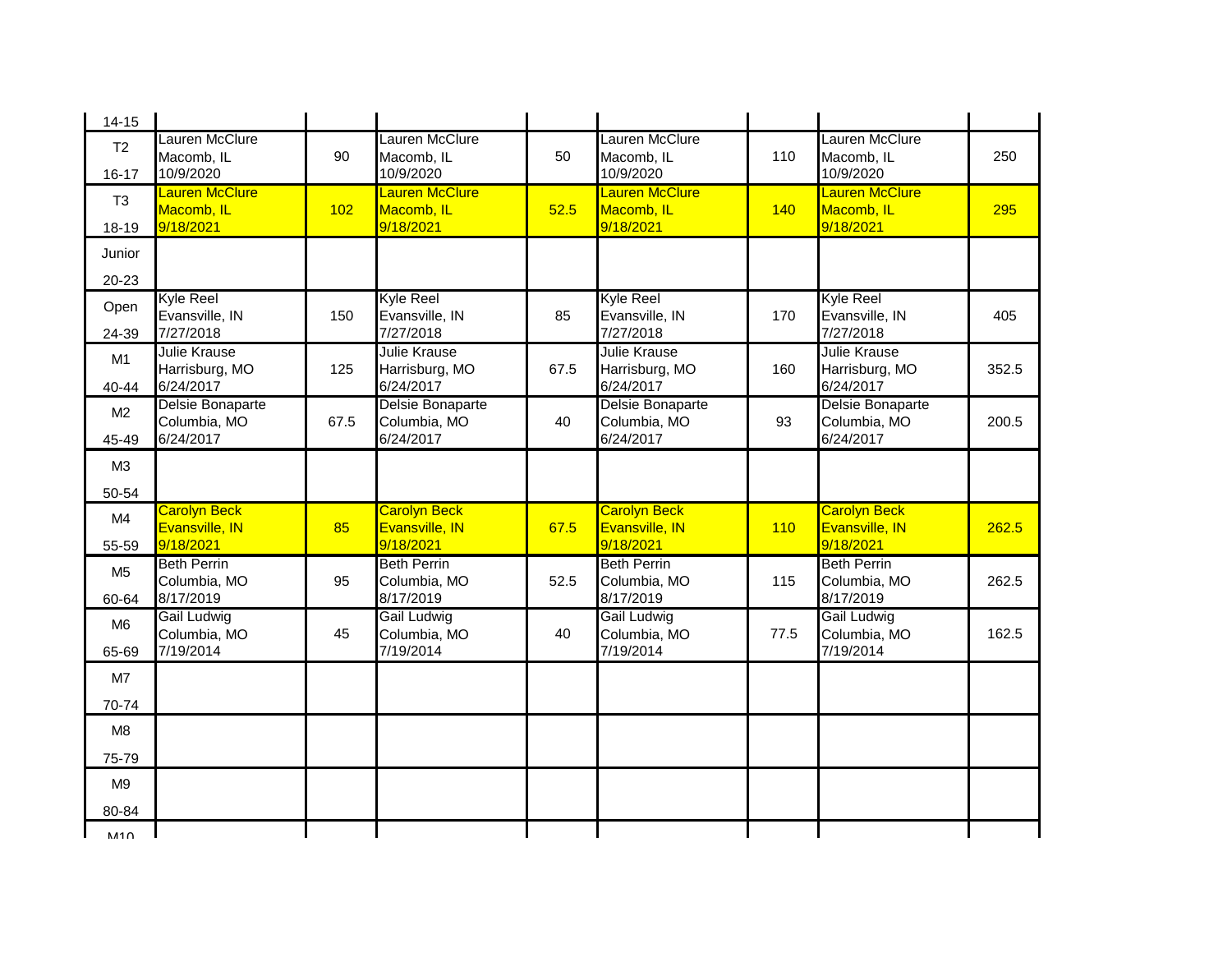| $14 - 15$                   |                                                    |      |                                                    |      |                                                    |      |                                                    |       |
|-----------------------------|----------------------------------------------------|------|----------------------------------------------------|------|----------------------------------------------------|------|----------------------------------------------------|-------|
| T <sub>2</sub><br>$16 - 17$ | Lauren McClure<br>Macomb, IL<br>10/9/2020          | 90   | Lauren McClure<br>Macomb, IL<br>10/9/2020          | 50   | Lauren McClure<br>Macomb, IL<br>10/9/2020          | 110  | Lauren McClure<br>Macomb, IL<br>10/9/2020          | 250   |
| T <sub>3</sub><br>18-19     | <b>Lauren McClure</b><br>Macomb, IL<br>9/18/2021   | 102  | <b>Lauren McClure</b><br>Macomb, IL<br>9/18/2021   | 52.5 | <b>Lauren McClure</b><br>Macomb, IL<br>9/18/2021   | 140  | <b>Lauren McClure</b><br>Macomb, IL<br>9/18/2021   | 295   |
| Junior                      |                                                    |      |                                                    |      |                                                    |      |                                                    |       |
| 20-23                       |                                                    |      |                                                    |      |                                                    |      |                                                    |       |
| Open<br>24-39               | <b>Kyle Reel</b><br>Evansville, IN<br>7/27/2018    | 150  | <b>Kyle Reel</b><br>Evansville, IN<br>7/27/2018    | 85   | <b>Kyle Reel</b><br>Evansville, IN<br>7/27/2018    | 170  | <b>Kyle Reel</b><br>Evansville, IN<br>7/27/2018    | 405   |
| M1<br>40-44                 | <b>Julie Krause</b><br>Harrisburg, MO<br>6/24/2017 | 125  | <b>Julie Krause</b><br>Harrisburg, MO<br>6/24/2017 | 67.5 | Julie Krause<br>Harrisburg, MO<br>6/24/2017        | 160  | <b>Julie Krause</b><br>Harrisburg, MO<br>6/24/2017 | 352.5 |
| M <sub>2</sub><br>45-49     | Delsie Bonaparte<br>Columbia, MO<br>6/24/2017      | 67.5 | Delsie Bonaparte<br>Columbia, MO<br>6/24/2017      | 40   | Delsie Bonaparte<br>Columbia, MO<br>6/24/2017      | 93   | Delsie Bonaparte<br>Columbia, MO<br>6/24/2017      | 200.5 |
| M3                          |                                                    |      |                                                    |      |                                                    |      |                                                    |       |
| 50-54                       |                                                    |      |                                                    |      |                                                    |      |                                                    |       |
| M4<br>55-59                 | <b>Carolyn Beck</b><br>Evansville, IN<br>9/18/2021 | 85   | <b>Carolyn Beck</b><br>Evansville, IN<br>9/18/2021 | 67.5 | <b>Carolyn Beck</b><br>Evansville, IN<br>9/18/2021 | 110  | <b>Carolyn Beck</b><br>Evansville, IN<br>9/18/2021 | 262.5 |
| M <sub>5</sub><br>60-64     | <b>Beth Perrin</b><br>Columbia, MO<br>8/17/2019    | 95   | <b>Beth Perrin</b><br>Columbia, MO<br>8/17/2019    | 52.5 | <b>Beth Perrin</b><br>Columbia, MO<br>8/17/2019    | 115  | <b>Beth Perrin</b><br>Columbia, MO<br>8/17/2019    | 262.5 |
| M <sub>6</sub><br>65-69     | Gail Ludwig<br>Columbia, MO<br>7/19/2014           | 45   | Gail Ludwig<br>Columbia, MO<br>7/19/2014           | 40   | Gail Ludwig<br>Columbia, MO<br>7/19/2014           | 77.5 | Gail Ludwig<br>Columbia, MO<br>7/19/2014           | 162.5 |
| M7                          |                                                    |      |                                                    |      |                                                    |      |                                                    |       |
| 70-74                       |                                                    |      |                                                    |      |                                                    |      |                                                    |       |
| M <sub>8</sub>              |                                                    |      |                                                    |      |                                                    |      |                                                    |       |
| 75-79                       |                                                    |      |                                                    |      |                                                    |      |                                                    |       |
| M <sub>9</sub>              |                                                    |      |                                                    |      |                                                    |      |                                                    |       |
| 80-84                       |                                                    |      |                                                    |      |                                                    |      |                                                    |       |
| M10                         |                                                    |      |                                                    |      |                                                    |      |                                                    |       |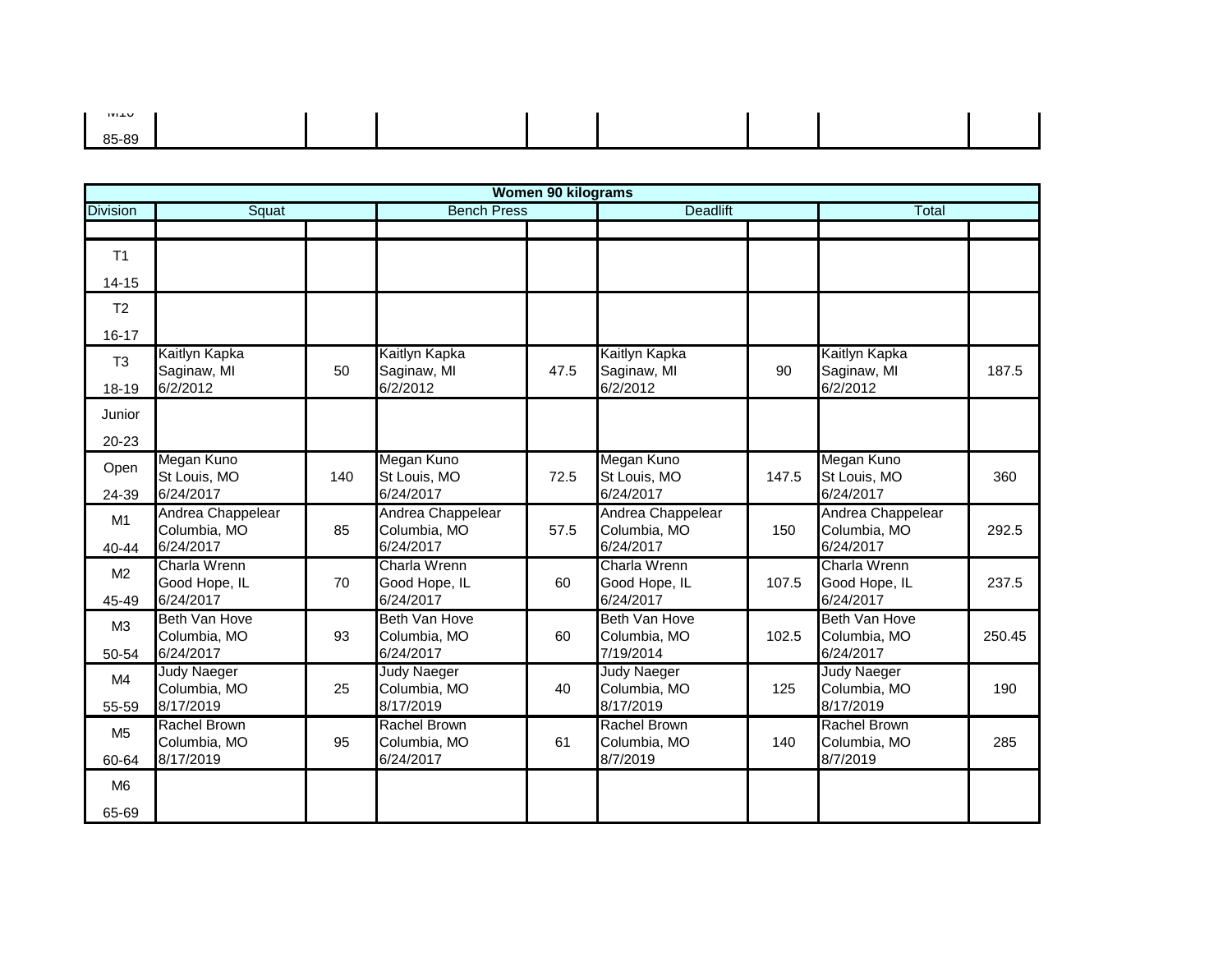| ᄁ     |  |  |  |  |
|-------|--|--|--|--|
|       |  |  |  |  |
| 85-89 |  |  |  |  |
|       |  |  |  |  |
|       |  |  |  |  |

|                 | <b>Women 90 kilograms</b>            |     |                                    |      |                                   |       |                                    |        |  |  |  |
|-----------------|--------------------------------------|-----|------------------------------------|------|-----------------------------------|-------|------------------------------------|--------|--|--|--|
| <b>Division</b> | Squat                                |     | <b>Bench Press</b>                 |      | <b>Deadlift</b>                   |       | <b>Total</b>                       |        |  |  |  |
|                 |                                      |     |                                    |      |                                   |       |                                    |        |  |  |  |
| T <sub>1</sub>  |                                      |     |                                    |      |                                   |       |                                    |        |  |  |  |
| $14 - 15$       |                                      |     |                                    |      |                                   |       |                                    |        |  |  |  |
| T <sub>2</sub>  |                                      |     |                                    |      |                                   |       |                                    |        |  |  |  |
| $16 - 17$       |                                      |     |                                    |      |                                   |       |                                    |        |  |  |  |
| T <sub>3</sub>  | Kaitlyn Kapka<br>Saginaw, MI         | 50  | Kaitlyn Kapka<br>Saginaw, MI       | 47.5 | Kaitlyn Kapka<br>Saginaw, MI      | 90    | Kaitlyn Kapka<br>Saginaw, MI       | 187.5  |  |  |  |
| 18-19           | 6/2/2012                             |     | 6/2/2012                           |      | 6/2/2012                          |       | 6/2/2012                           |        |  |  |  |
| Junior          |                                      |     |                                    |      |                                   |       |                                    |        |  |  |  |
| 20-23           |                                      |     |                                    |      |                                   |       |                                    |        |  |  |  |
| Open            | Megan Kuno<br>St Louis, MO           | 140 | Megan Kuno<br>St Louis, MO         | 72.5 | Megan Kuno<br>St Louis, MO        | 147.5 | Megan Kuno<br>St Louis, MO         | 360    |  |  |  |
| 24-39           | 6/24/2017                            |     | 6/24/2017                          |      | 6/24/2017                         |       | 6/24/2017                          |        |  |  |  |
| M1              | Andrea Chappelear<br>Columbia, MO    | 85  | Andrea Chappelear<br>Columbia, MO  | 57.5 | Andrea Chappelear<br>Columbia, MO | 150   | Andrea Chappelear<br>Columbia, MO  | 292.5  |  |  |  |
| 40-44           | 6/24/2017                            |     | 6/24/2017                          |      | 6/24/2017                         |       | 6/24/2017                          |        |  |  |  |
| M <sub>2</sub>  | Charla Wrenn<br>Good Hope, IL        | 70  | Charla Wrenn<br>Good Hope, IL      | 60   | Charla Wrenn<br>Good Hope, IL     | 107.5 | Charla Wrenn<br>Good Hope, IL      | 237.5  |  |  |  |
| 45-49           | 6/24/2017                            |     | 6/24/2017                          |      | 6/24/2017                         |       | 6/24/2017                          |        |  |  |  |
| M <sub>3</sub>  | <b>Beth Van Hove</b><br>Columbia, MO | 93  | Beth Van Hove<br>Columbia, MO      | 60   | Beth Van Hove<br>Columbia, MO     | 102.5 | Beth Van Hove<br>Columbia, MO      | 250.45 |  |  |  |
| 50-54           | 6/24/2017                            |     | 6/24/2017                          |      | 7/19/2014                         |       | 6/24/2017                          |        |  |  |  |
| M4              | Judy Naeger<br>Columbia, MO          | 25  | <b>Judy Naeger</b><br>Columbia, MO | 40   | Judy Naeger<br>Columbia, MO       | 125   | <b>Judy Naeger</b><br>Columbia, MO | 190    |  |  |  |
| 55-59           | 8/17/2019                            |     | 8/17/2019                          |      | 8/17/2019                         |       | 8/17/2019                          |        |  |  |  |
| M <sub>5</sub>  | Rachel Brown<br>Columbia, MO         | 95  | Rachel Brown<br>Columbia, MO       | 61   | Rachel Brown<br>Columbia, MO      | 140   | Rachel Brown<br>Columbia, MO       | 285    |  |  |  |
| 60-64           | 8/17/2019                            |     | 6/24/2017                          |      | 8/7/2019                          |       | 8/7/2019                           |        |  |  |  |
| M <sub>6</sub>  |                                      |     |                                    |      |                                   |       |                                    |        |  |  |  |
| 65-69           |                                      |     |                                    |      |                                   |       |                                    |        |  |  |  |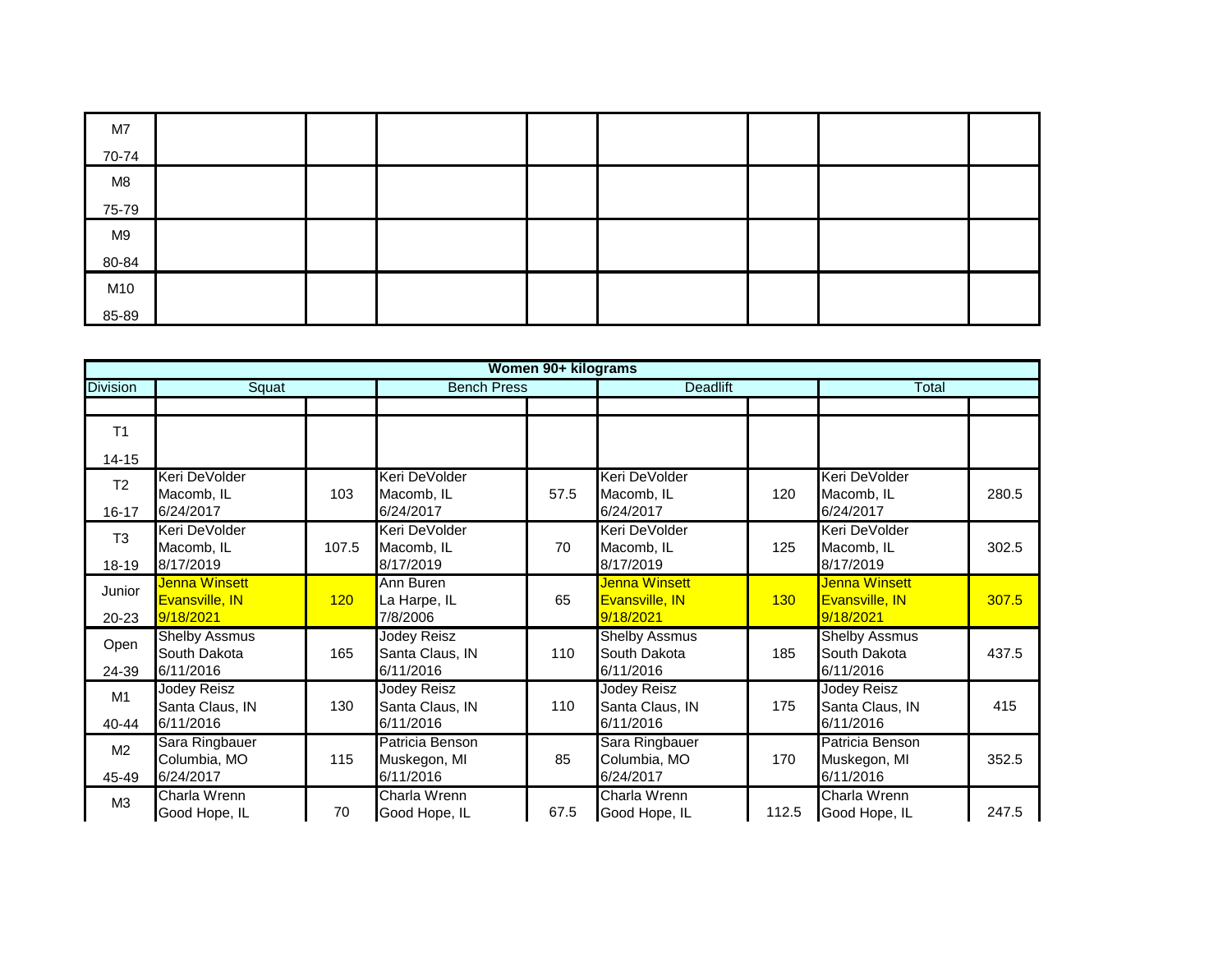| M7    |  |  |  |  |
|-------|--|--|--|--|
| 70-74 |  |  |  |  |
| M8    |  |  |  |  |
| 75-79 |  |  |  |  |
| M9    |  |  |  |  |
| 80-84 |  |  |  |  |
| M10   |  |  |  |  |
| 85-89 |  |  |  |  |

| Women 90+ kilograms         |                                                   |       |                                                    |      |                                                   |       |                                                     |       |  |  |
|-----------------------------|---------------------------------------------------|-------|----------------------------------------------------|------|---------------------------------------------------|-------|-----------------------------------------------------|-------|--|--|
| <b>Division</b>             | Squat                                             |       | <b>Bench Press</b>                                 |      | <b>Deadlift</b>                                   | Total |                                                     |       |  |  |
|                             |                                                   |       |                                                    |      |                                                   |       |                                                     |       |  |  |
| T <sub>1</sub>              |                                                   |       |                                                    |      |                                                   |       |                                                     |       |  |  |
| $14 - 15$                   |                                                   |       |                                                    |      |                                                   |       |                                                     |       |  |  |
| T <sub>2</sub><br>$16 - 17$ | Keri DeVolder<br>Macomb, IL<br>6/24/2017          | 103   | Keri DeVolder<br>Macomb, IL<br>6/24/2017           | 57.5 | Keri DeVolder<br>Macomb, IL<br>6/24/2017          | 120   | Keri DeVolder<br>Macomb, IL<br>6/24/2017            | 280.5 |  |  |
| T <sub>3</sub><br>18-19     | Keri DeVolder<br>Macomb, IL<br>8/17/2019          | 107.5 | Keri DeVolder<br>Macomb, IL<br>8/17/2019           | 70   | Keri DeVolder<br>Macomb, IL<br>8/17/2019          | 125   | Keri DeVolder<br>Macomb, IL<br>8/17/2019            | 302.5 |  |  |
| Junior<br>20-23             | Jenna Winsett<br>Evansville, IN<br>9/18/2021      | 120   | Ann Buren<br>La Harpe, IL<br>7/8/2006              | 65   | Jenna Winsett<br>Evansville, IN<br>9/18/2021      | 130   | Jenna Winsett<br><b>Evansville, IN</b><br>9/18/2021 | 307.5 |  |  |
| Open<br>24-39               | <b>Shelby Assmus</b><br>South Dakota<br>6/11/2016 | 165   | <b>Jodey Reisz</b><br>Santa Claus, IN<br>6/11/2016 | 110  | <b>Shelby Assmus</b><br>South Dakota<br>6/11/2016 | 185   | <b>Shelby Assmus</b><br>South Dakota<br>6/11/2016   | 437.5 |  |  |
| M1<br>$40 - 44$             | Jodey Reisz<br>Santa Claus, IN<br>6/11/2016       | 130   | Jodey Reisz<br>Santa Claus, IN<br>6/11/2016        | 110  | Jodey Reisz<br>Santa Claus, IN<br>6/11/2016       | 175   | <b>Jodey Reisz</b><br>Santa Claus, IN<br>6/11/2016  | 415   |  |  |
| M <sub>2</sub><br>45-49     | Sara Ringbauer<br>Columbia, MO<br>6/24/2017       | 115   | Patricia Benson<br>Muskegon, MI<br>6/11/2016       | 85   | Sara Ringbauer<br>Columbia, MO<br>6/24/2017       | 170   | Patricia Benson<br>Muskegon, MI<br>6/11/2016        | 352.5 |  |  |
| M <sub>3</sub>              | Charla Wrenn<br>Good Hope, IL                     | 70    | Charla Wrenn<br>Good Hope, IL                      | 67.5 | Charla Wrenn<br>Good Hope, IL                     | 112.5 | Charla Wrenn<br>Good Hope, IL                       | 247.5 |  |  |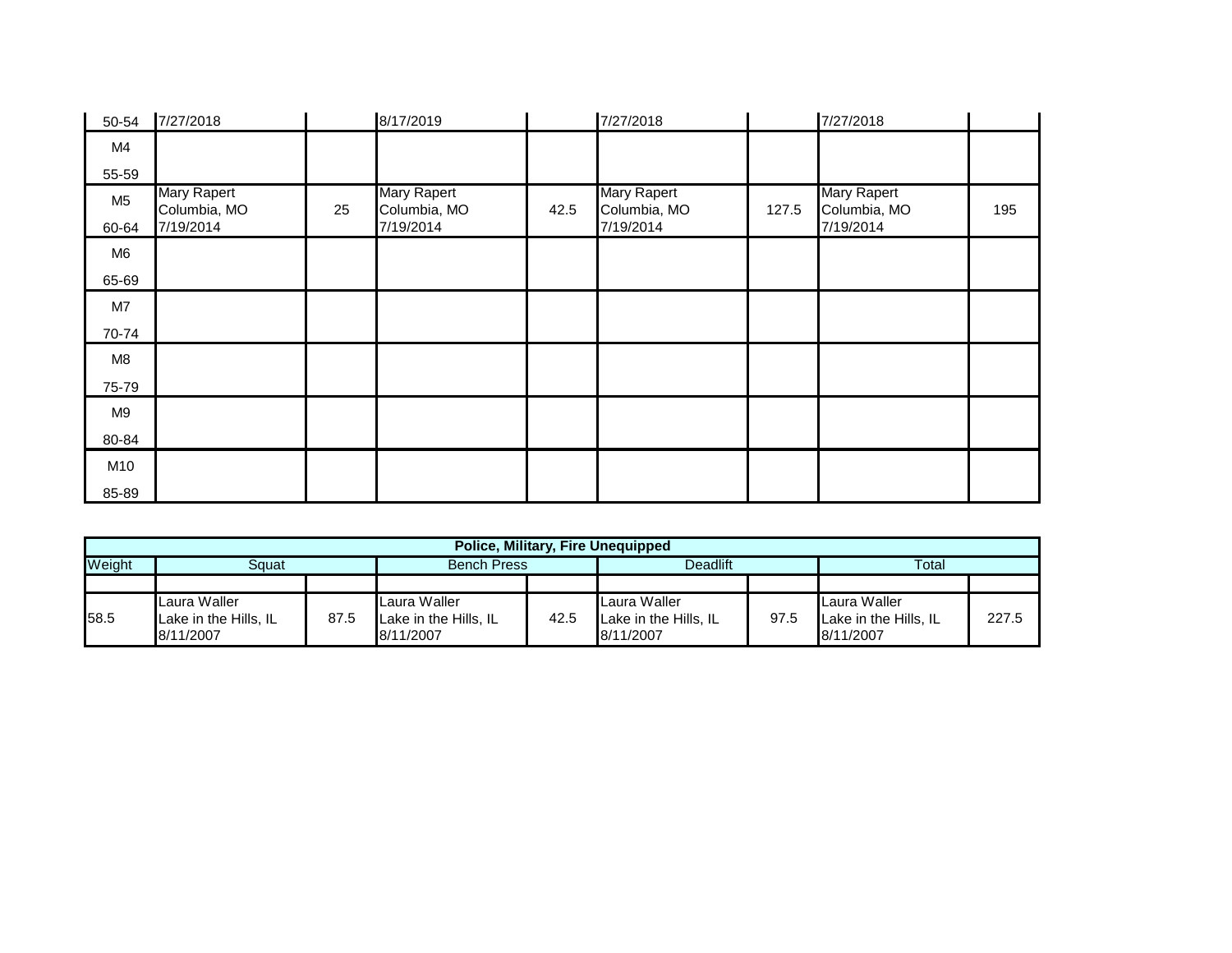| 50-54          | 7/27/2018                   |    | 8/17/2019                          |      | 7/27/2018                          |       | 7/27/2018                          |     |
|----------------|-----------------------------|----|------------------------------------|------|------------------------------------|-------|------------------------------------|-----|
| M4             |                             |    |                                    |      |                                    |       |                                    |     |
| 55-59          |                             |    |                                    |      |                                    |       |                                    |     |
| M <sub>5</sub> | Mary Rapert<br>Columbia, MO | 25 | <b>Mary Rapert</b><br>Columbia, MO | 42.5 | <b>Mary Rapert</b><br>Columbia, MO | 127.5 | <b>Mary Rapert</b><br>Columbia, MO | 195 |
| 60-64          | 7/19/2014                   |    | 7/19/2014                          |      | 7/19/2014                          |       | 7/19/2014                          |     |
| M <sub>6</sub> |                             |    |                                    |      |                                    |       |                                    |     |
| 65-69          |                             |    |                                    |      |                                    |       |                                    |     |
| M7             |                             |    |                                    |      |                                    |       |                                    |     |
| 70-74          |                             |    |                                    |      |                                    |       |                                    |     |
| M8             |                             |    |                                    |      |                                    |       |                                    |     |
| 75-79          |                             |    |                                    |      |                                    |       |                                    |     |
| M9             |                             |    |                                    |      |                                    |       |                                    |     |
| 80-84          |                             |    |                                    |      |                                    |       |                                    |     |
| M10            |                             |    |                                    |      |                                    |       |                                    |     |
| 85-89          |                             |    |                                    |      |                                    |       |                                    |     |

|        | <b>Police, Military, Fire Unequipped</b>           |      |                                                    |      |                                                    |      |                                                    |       |  |  |  |
|--------|----------------------------------------------------|------|----------------------------------------------------|------|----------------------------------------------------|------|----------------------------------------------------|-------|--|--|--|
| Weight | Sauat                                              |      | <b>Bench Press</b>                                 |      | Deadlift                                           |      | Total                                              |       |  |  |  |
|        |                                                    |      |                                                    |      |                                                    |      |                                                    |       |  |  |  |
| 58.5   | Laura Waller<br>Lake in the Hills, IL<br>8/11/2007 | 87.5 | Laura Waller<br>Lake in the Hills, IL<br>8/11/2007 | 42.5 | Laura Waller<br>Lake in the Hills. IL<br>8/11/2007 | 97.5 | Laura Waller<br>Lake in the Hills. IL<br>8/11/2007 | 227.5 |  |  |  |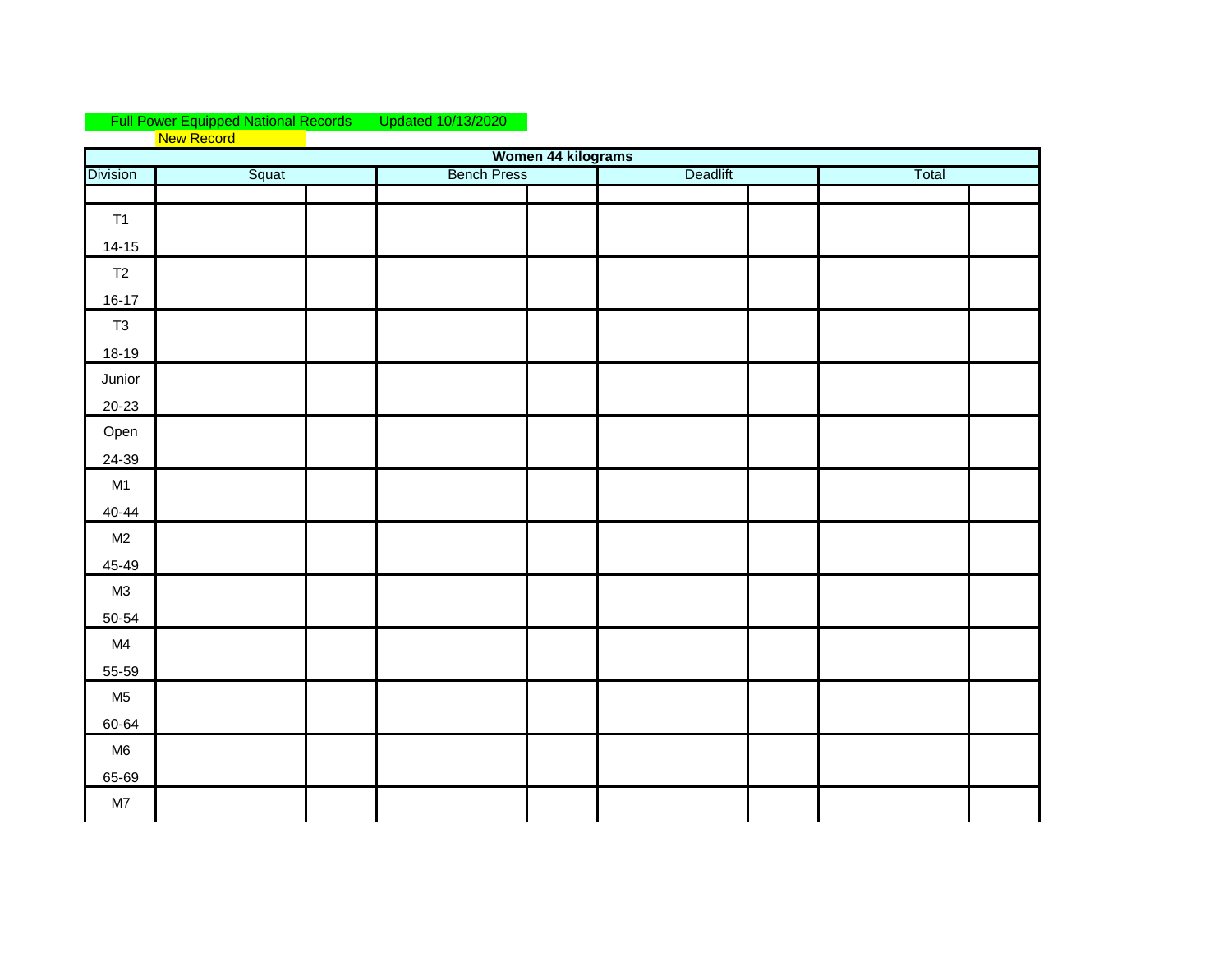## Full Power Equipped National Records Updated 10/13/2020 **New Record**

|                 | Women 44 kilograms |                    |          |       |  |  |  |  |  |  |  |  |
|-----------------|--------------------|--------------------|----------|-------|--|--|--|--|--|--|--|--|
| <b>Division</b> | Squat              | <b>Bench Press</b> | Deadlift | Total |  |  |  |  |  |  |  |  |
|                 |                    |                    |          |       |  |  |  |  |  |  |  |  |
| T1<br>$14-15$   |                    |                    |          |       |  |  |  |  |  |  |  |  |
| T2              |                    |                    |          |       |  |  |  |  |  |  |  |  |
| $16-17$         |                    |                    |          |       |  |  |  |  |  |  |  |  |
| T3              |                    |                    |          |       |  |  |  |  |  |  |  |  |
| $18-19$         |                    |                    |          |       |  |  |  |  |  |  |  |  |
| Junior          |                    |                    |          |       |  |  |  |  |  |  |  |  |
| $20 - 23$       |                    |                    |          |       |  |  |  |  |  |  |  |  |
| Open            |                    |                    |          |       |  |  |  |  |  |  |  |  |
| 24-39           |                    |                    |          |       |  |  |  |  |  |  |  |  |
| M1              |                    |                    |          |       |  |  |  |  |  |  |  |  |
| $40 - 44$       |                    |                    |          |       |  |  |  |  |  |  |  |  |
| M2              |                    |                    |          |       |  |  |  |  |  |  |  |  |
| 45-49           |                    |                    |          |       |  |  |  |  |  |  |  |  |
| M3              |                    |                    |          |       |  |  |  |  |  |  |  |  |
| 50-54           |                    |                    |          |       |  |  |  |  |  |  |  |  |
| M4<br>55-59     |                    |                    |          |       |  |  |  |  |  |  |  |  |
| M <sub>5</sub>  |                    |                    |          |       |  |  |  |  |  |  |  |  |
| 60-64           |                    |                    |          |       |  |  |  |  |  |  |  |  |
| M <sub>6</sub>  |                    |                    |          |       |  |  |  |  |  |  |  |  |
| 65-69           |                    |                    |          |       |  |  |  |  |  |  |  |  |
| M7              |                    |                    |          |       |  |  |  |  |  |  |  |  |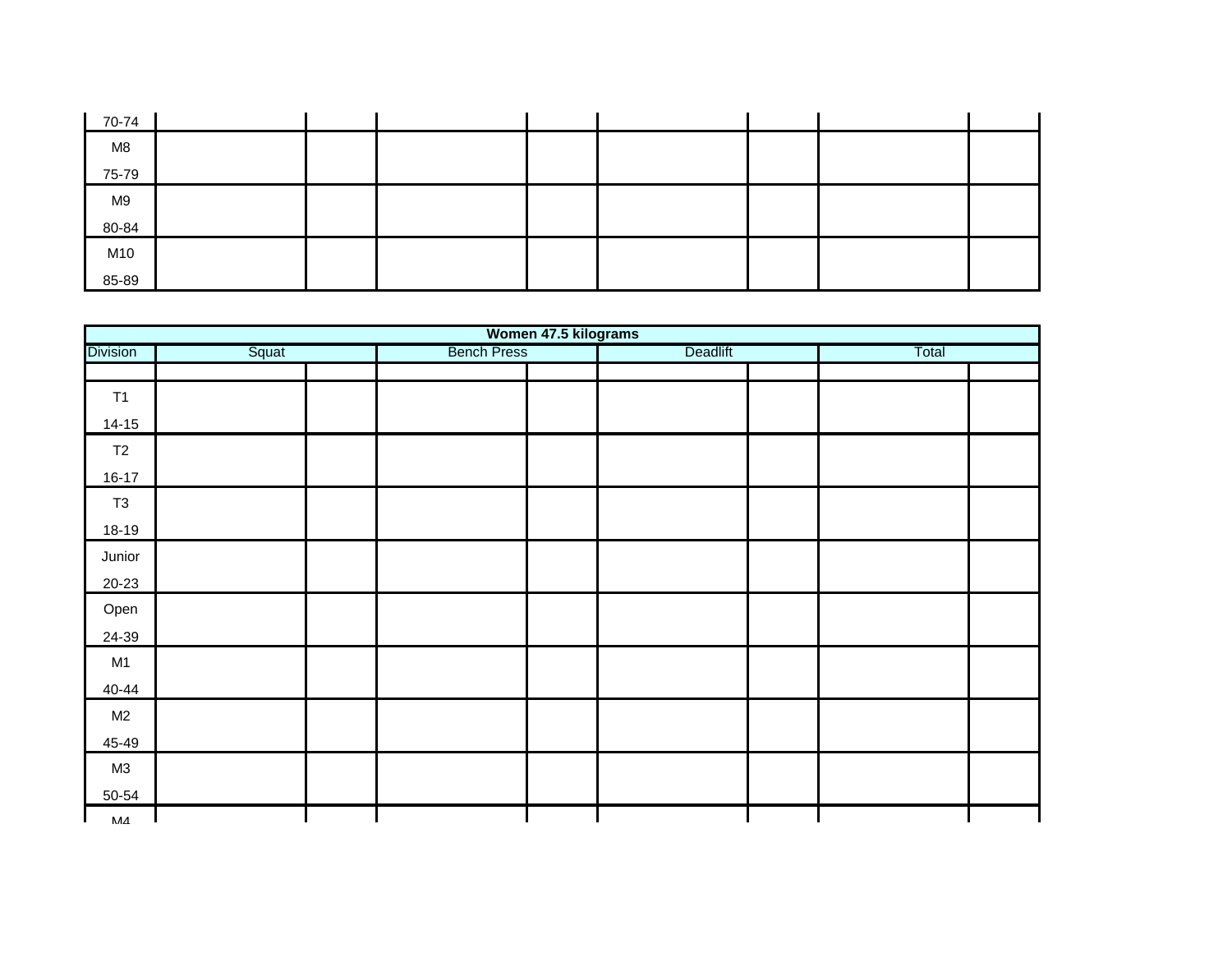| 70-74 |  |  |  |  |
|-------|--|--|--|--|
| M8    |  |  |  |  |
| 75-79 |  |  |  |  |
| M9    |  |  |  |  |
| 80-84 |  |  |  |  |
| M10   |  |  |  |  |
| 85-89 |  |  |  |  |

|                 |       |                    | Women 47.5 kilograms |       |
|-----------------|-------|--------------------|----------------------|-------|
| <b>Division</b> | Squat | <b>Bench Press</b> | Deadlift             | Total |
|                 |       |                    |                      |       |
| T1              |       |                    |                      |       |
| $14 - 15$       |       |                    |                      |       |
| T2              |       |                    |                      |       |
| $16-17$         |       |                    |                      |       |
| T <sub>3</sub>  |       |                    |                      |       |
| 18-19           |       |                    |                      |       |
| Junior          |       |                    |                      |       |
| $20 - 23$       |       |                    |                      |       |
| Open            |       |                    |                      |       |
| 24-39           |       |                    |                      |       |
| M1              |       |                    |                      |       |
| $40 - 44$       |       |                    |                      |       |
| M2              |       |                    |                      |       |
| 45-49           |       |                    |                      |       |
| M3              |       |                    |                      |       |
| 50-54           |       |                    |                      |       |
| МЛ              |       |                    |                      |       |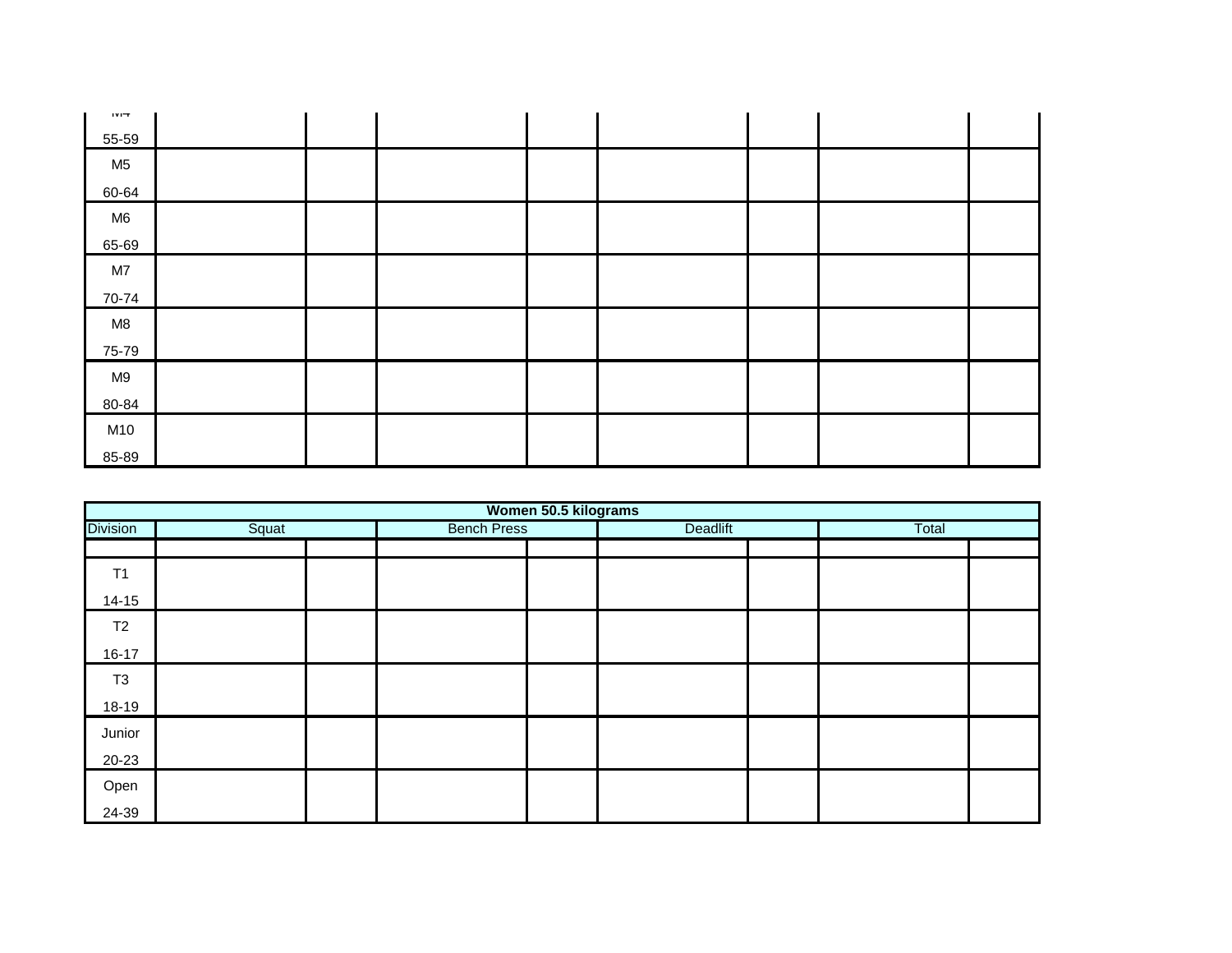| 111T           |  |  |  |  |
|----------------|--|--|--|--|
| 55-59          |  |  |  |  |
| M <sub>5</sub> |  |  |  |  |
| 60-64          |  |  |  |  |
| M <sub>6</sub> |  |  |  |  |
| 65-69          |  |  |  |  |
| M7             |  |  |  |  |
| 70-74          |  |  |  |  |
| M8             |  |  |  |  |
| 75-79          |  |  |  |  |
| M9             |  |  |  |  |
| 80-84          |  |  |  |  |
| M10            |  |  |  |  |
| 85-89          |  |  |  |  |

|                 | Women 50.5 kilograms |  |                    |  |          |  |       |  |  |  |  |  |
|-----------------|----------------------|--|--------------------|--|----------|--|-------|--|--|--|--|--|
| <b>Division</b> | Squat                |  | <b>Bench Press</b> |  | Deadlift |  | Total |  |  |  |  |  |
|                 |                      |  |                    |  |          |  |       |  |  |  |  |  |
| T1              |                      |  |                    |  |          |  |       |  |  |  |  |  |
| $14 - 15$       |                      |  |                    |  |          |  |       |  |  |  |  |  |
| T <sub>2</sub>  |                      |  |                    |  |          |  |       |  |  |  |  |  |
| $16 - 17$       |                      |  |                    |  |          |  |       |  |  |  |  |  |
| T <sub>3</sub>  |                      |  |                    |  |          |  |       |  |  |  |  |  |
| 18-19           |                      |  |                    |  |          |  |       |  |  |  |  |  |
| Junior          |                      |  |                    |  |          |  |       |  |  |  |  |  |
| 20-23           |                      |  |                    |  |          |  |       |  |  |  |  |  |
| Open            |                      |  |                    |  |          |  |       |  |  |  |  |  |
| 24-39           |                      |  |                    |  |          |  |       |  |  |  |  |  |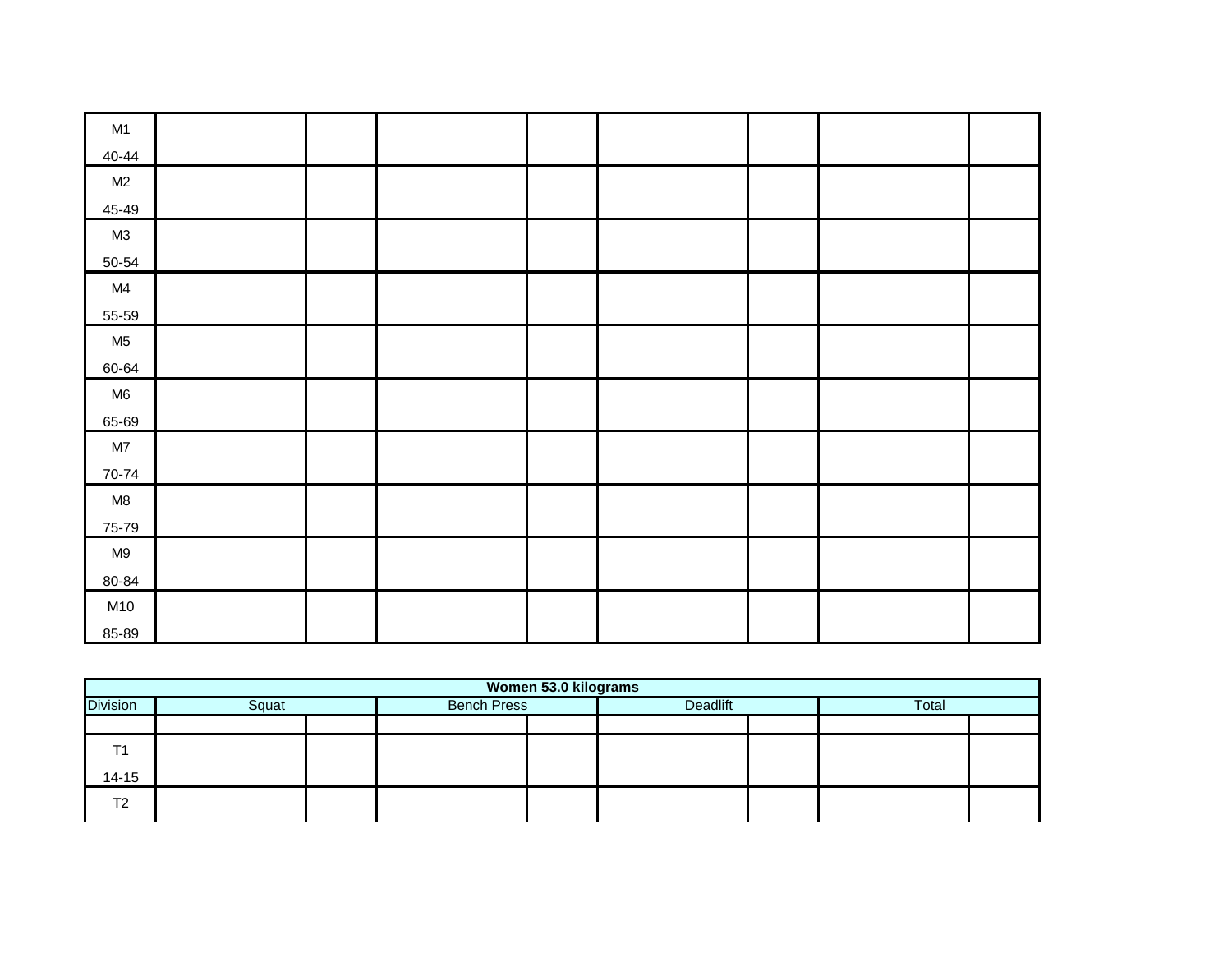| M1             |  |  |  |  |
|----------------|--|--|--|--|
| 40-44          |  |  |  |  |
| M2             |  |  |  |  |
| 45-49          |  |  |  |  |
| M3             |  |  |  |  |
| $50 - 54$      |  |  |  |  |
| M4             |  |  |  |  |
| 55-59          |  |  |  |  |
| M <sub>5</sub> |  |  |  |  |
| 60-64          |  |  |  |  |
| M6             |  |  |  |  |
| 65-69          |  |  |  |  |
| M7             |  |  |  |  |
| 70-74          |  |  |  |  |
| M8             |  |  |  |  |
| 75-79          |  |  |  |  |
| M9             |  |  |  |  |
| 80-84          |  |  |  |  |
| M10            |  |  |  |  |
| 85-89          |  |  |  |  |

| Squat | <b>Bench Press</b> |                      | Total    |  |
|-------|--------------------|----------------------|----------|--|
|       |                    |                      |          |  |
|       |                    |                      |          |  |
|       |                    |                      |          |  |
|       |                    |                      |          |  |
|       |                    | Women 53.0 kilograms | Deadlift |  |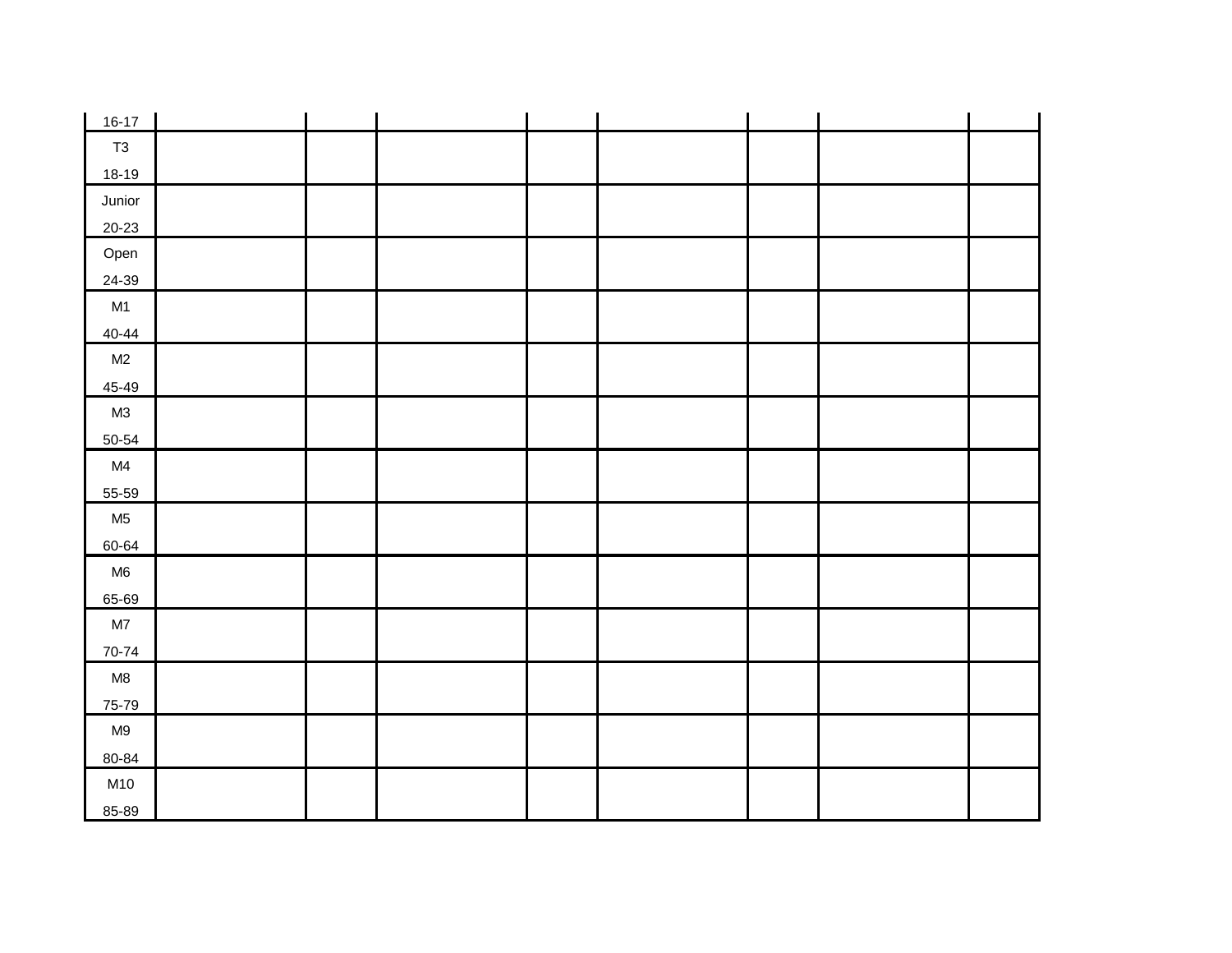| $16-17$        |  |  |  |  |
|----------------|--|--|--|--|
| T3             |  |  |  |  |
| 18-19          |  |  |  |  |
| Junior         |  |  |  |  |
| $20 - 23$      |  |  |  |  |
| Open           |  |  |  |  |
| 24-39          |  |  |  |  |
| M1             |  |  |  |  |
| $40 - 44$      |  |  |  |  |
| M2             |  |  |  |  |
| 45-49          |  |  |  |  |
| M3             |  |  |  |  |
| $50 - 54$      |  |  |  |  |
| M4             |  |  |  |  |
| 55-59          |  |  |  |  |
| M <sub>5</sub> |  |  |  |  |
| 60-64          |  |  |  |  |
| M6             |  |  |  |  |
| 65-69          |  |  |  |  |
| M7             |  |  |  |  |
| 70-74          |  |  |  |  |
| M8             |  |  |  |  |
| 75-79          |  |  |  |  |
| M9             |  |  |  |  |
| 80-84          |  |  |  |  |
| M10            |  |  |  |  |
| 85-89          |  |  |  |  |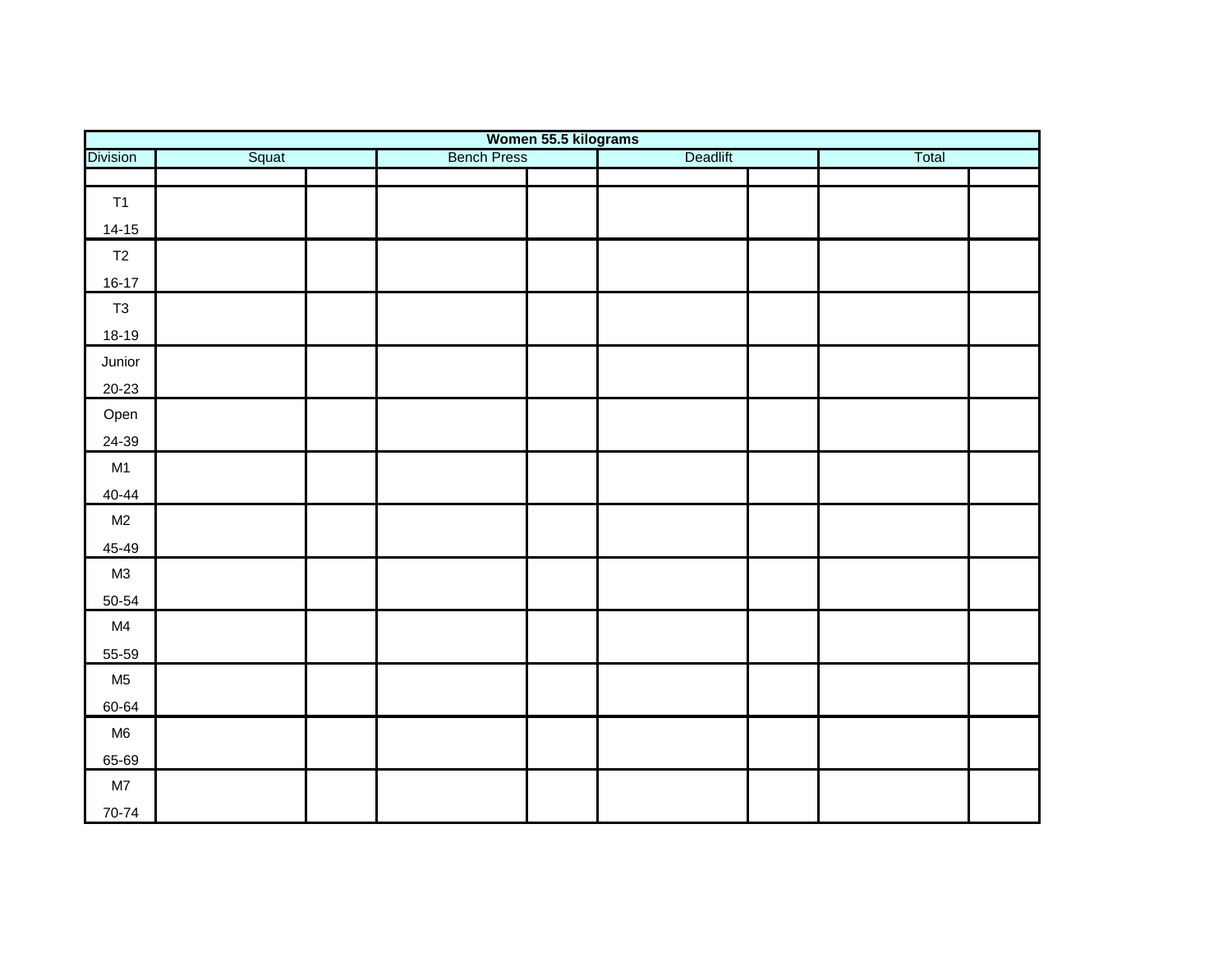|                 |       |                    | Women 55.5 kilograms |       |
|-----------------|-------|--------------------|----------------------|-------|
| <b>Division</b> | Squat | <b>Bench Press</b> | Deadlift             | Total |
|                 |       |                    |                      |       |
| T1              |       |                    |                      |       |
| $14 - 15$       |       |                    |                      |       |
| T2              |       |                    |                      |       |
| $16-17$         |       |                    |                      |       |
| T <sub>3</sub>  |       |                    |                      |       |
| $18-19$         |       |                    |                      |       |
| Junior          |       |                    |                      |       |
| $20-23$         |       |                    |                      |       |
| Open            |       |                    |                      |       |
| 24-39           |       |                    |                      |       |
| M1              |       |                    |                      |       |
| $40 - 44$       |       |                    |                      |       |
| M2              |       |                    |                      |       |
| 45-49           |       |                    |                      |       |
| M3              |       |                    |                      |       |
| $50 - 54$       |       |                    |                      |       |
| M4              |       |                    |                      |       |
| 55-59           |       |                    |                      |       |
| M <sub>5</sub>  |       |                    |                      |       |
| 60-64           |       |                    |                      |       |
| M6              |       |                    |                      |       |
| 65-69           |       |                    |                      |       |
| $\mathsf{M}7$   |       |                    |                      |       |
| 70-74           |       |                    |                      |       |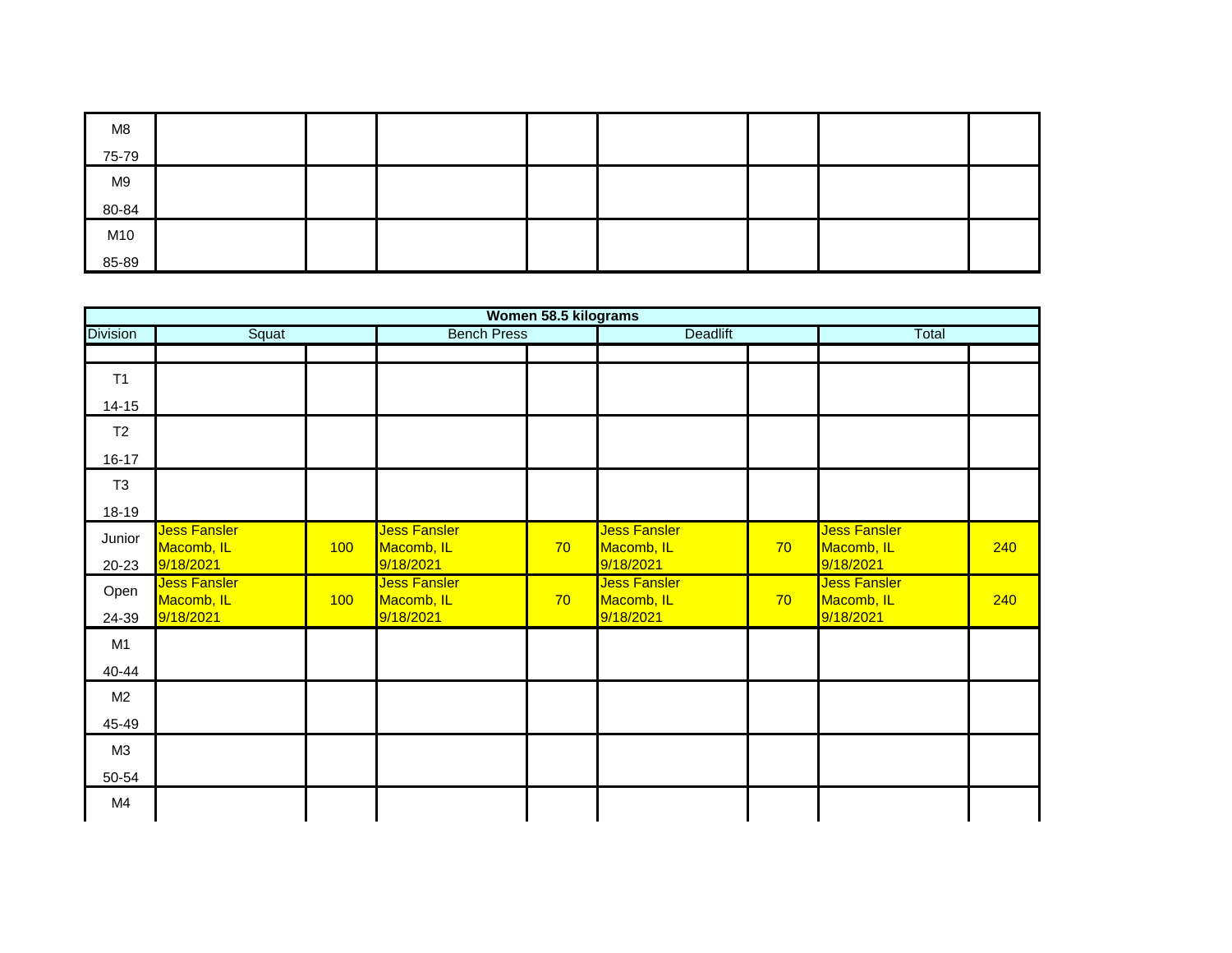| M8    |  |  |  |  |
|-------|--|--|--|--|
| 75-79 |  |  |  |  |
| M9    |  |  |  |  |
| 80-84 |  |  |  |  |
| M10   |  |  |  |  |
| 85-89 |  |  |  |  |

|                 |                                         |     |                                                | Women 58.5 kilograms |                                                |    |                                                |     |
|-----------------|-----------------------------------------|-----|------------------------------------------------|----------------------|------------------------------------------------|----|------------------------------------------------|-----|
| <b>Division</b> | Squat                                   |     | <b>Bench Press</b>                             |                      | <b>Deadlift</b>                                |    | Total                                          |     |
| T1              |                                         |     |                                                |                      |                                                |    |                                                |     |
| $14 - 15$       |                                         |     |                                                |                      |                                                |    |                                                |     |
| T <sub>2</sub>  |                                         |     |                                                |                      |                                                |    |                                                |     |
| $16 - 17$       |                                         |     |                                                |                      |                                                |    |                                                |     |
| T <sub>3</sub>  |                                         |     |                                                |                      |                                                |    |                                                |     |
| 18-19           |                                         |     |                                                |                      |                                                |    |                                                |     |
| Junior<br>20-23 | Jess Fansler<br>Macomb, IL<br>9/18/2021 | 100 | Jess Fansler<br>Macomb, IL<br>9/18/2021        | 70                   | <b>Jess Fansler</b><br>Macomb, IL<br>9/18/2021 | 70 | <b>Jess Fansler</b><br>Macomb, IL<br>9/18/2021 | 240 |
| Open<br>24-39   | Jess Fansler<br>Macomb, IL<br>9/18/2021 | 100 | <b>Jess Fansler</b><br>Macomb, IL<br>9/18/2021 | 70                   | <b>Jess Fansler</b><br>Macomb, IL<br>9/18/2021 | 70 | <b>Jess Fansler</b><br>Macomb, IL<br>9/18/2021 | 240 |
| M1              |                                         |     |                                                |                      |                                                |    |                                                |     |
| 40-44           |                                         |     |                                                |                      |                                                |    |                                                |     |
| M <sub>2</sub>  |                                         |     |                                                |                      |                                                |    |                                                |     |
| 45-49           |                                         |     |                                                |                      |                                                |    |                                                |     |
| M3              |                                         |     |                                                |                      |                                                |    |                                                |     |
| 50-54           |                                         |     |                                                |                      |                                                |    |                                                |     |
| M4              |                                         |     |                                                |                      |                                                |    |                                                |     |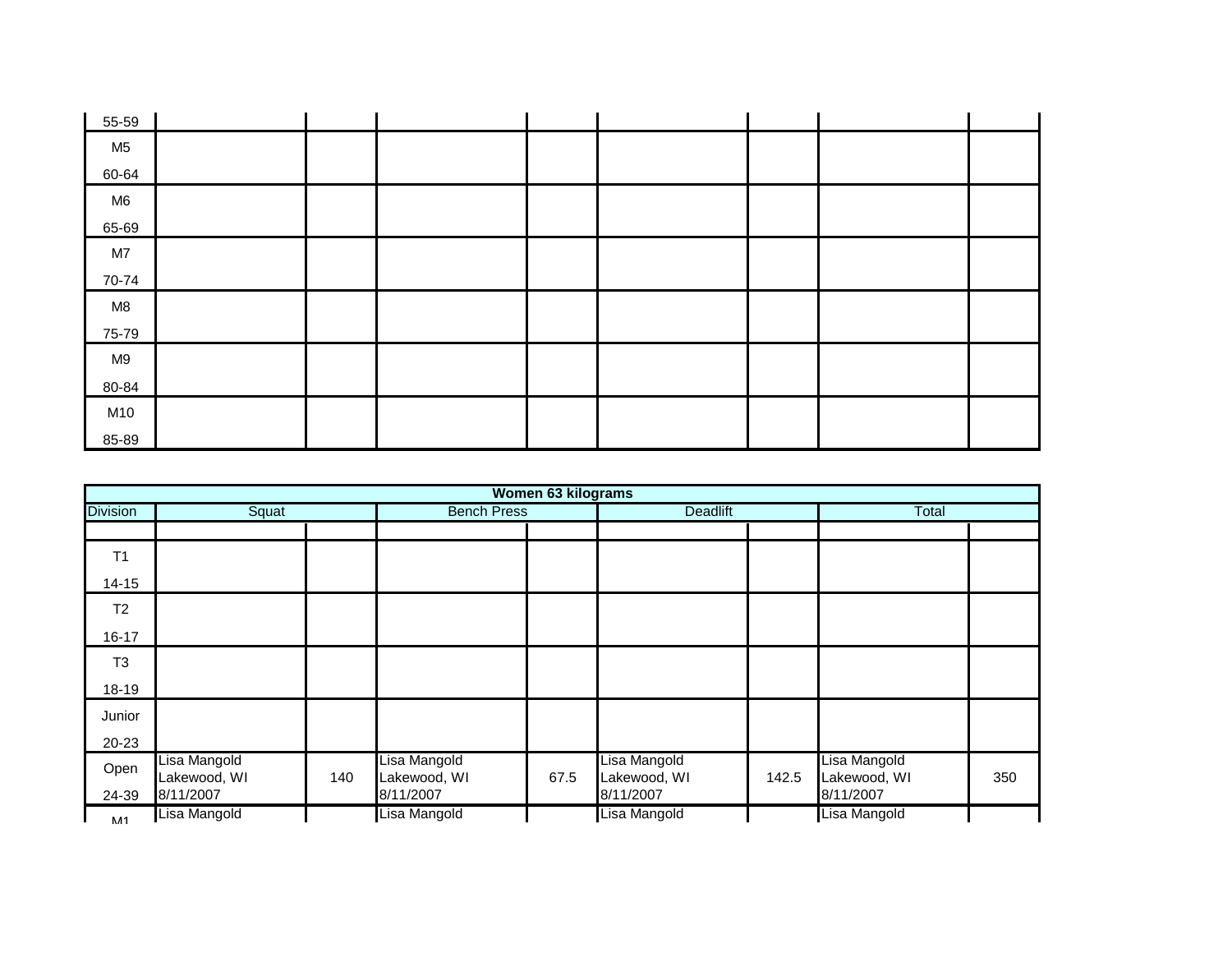| 55-59          |  |  |  |  |
|----------------|--|--|--|--|
| M <sub>5</sub> |  |  |  |  |
| 60-64          |  |  |  |  |
| M <sub>6</sub> |  |  |  |  |
| 65-69          |  |  |  |  |
| M7             |  |  |  |  |
| 70-74          |  |  |  |  |
| M8             |  |  |  |  |
| 75-79          |  |  |  |  |
| M9             |  |  |  |  |
| 80-84          |  |  |  |  |
| M10            |  |  |  |  |
| 85-89          |  |  |  |  |

|                 |                              |     |                              | Women 63 kilograms |                              |       |                              |     |
|-----------------|------------------------------|-----|------------------------------|--------------------|------------------------------|-------|------------------------------|-----|
| <b>Division</b> | Squat                        |     | <b>Bench Press</b>           |                    | <b>Deadlift</b>              |       | Total                        |     |
|                 |                              |     |                              |                    |                              |       |                              |     |
| T1              |                              |     |                              |                    |                              |       |                              |     |
| $14 - 15$       |                              |     |                              |                    |                              |       |                              |     |
| T <sub>2</sub>  |                              |     |                              |                    |                              |       |                              |     |
| $16 - 17$       |                              |     |                              |                    |                              |       |                              |     |
| T <sub>3</sub>  |                              |     |                              |                    |                              |       |                              |     |
| 18-19           |                              |     |                              |                    |                              |       |                              |     |
| Junior          |                              |     |                              |                    |                              |       |                              |     |
| $20 - 23$       |                              |     |                              |                    |                              |       |                              |     |
| Open            | Lisa Mangold<br>Lakewood, WI | 140 | Lisa Mangold<br>Lakewood, WI | 67.5               | Lisa Mangold<br>Lakewood, WI | 142.5 | Lisa Mangold<br>Lakewood, WI | 350 |
| 24-39           | 8/11/2007                    |     | 8/11/2007                    |                    | 8/11/2007                    |       | 8/11/2007                    |     |
| <b>M11</b>      | Lisa Mangold                 |     | Lisa Mangold                 |                    | Lisa Mangold                 |       | Lisa Mangold                 |     |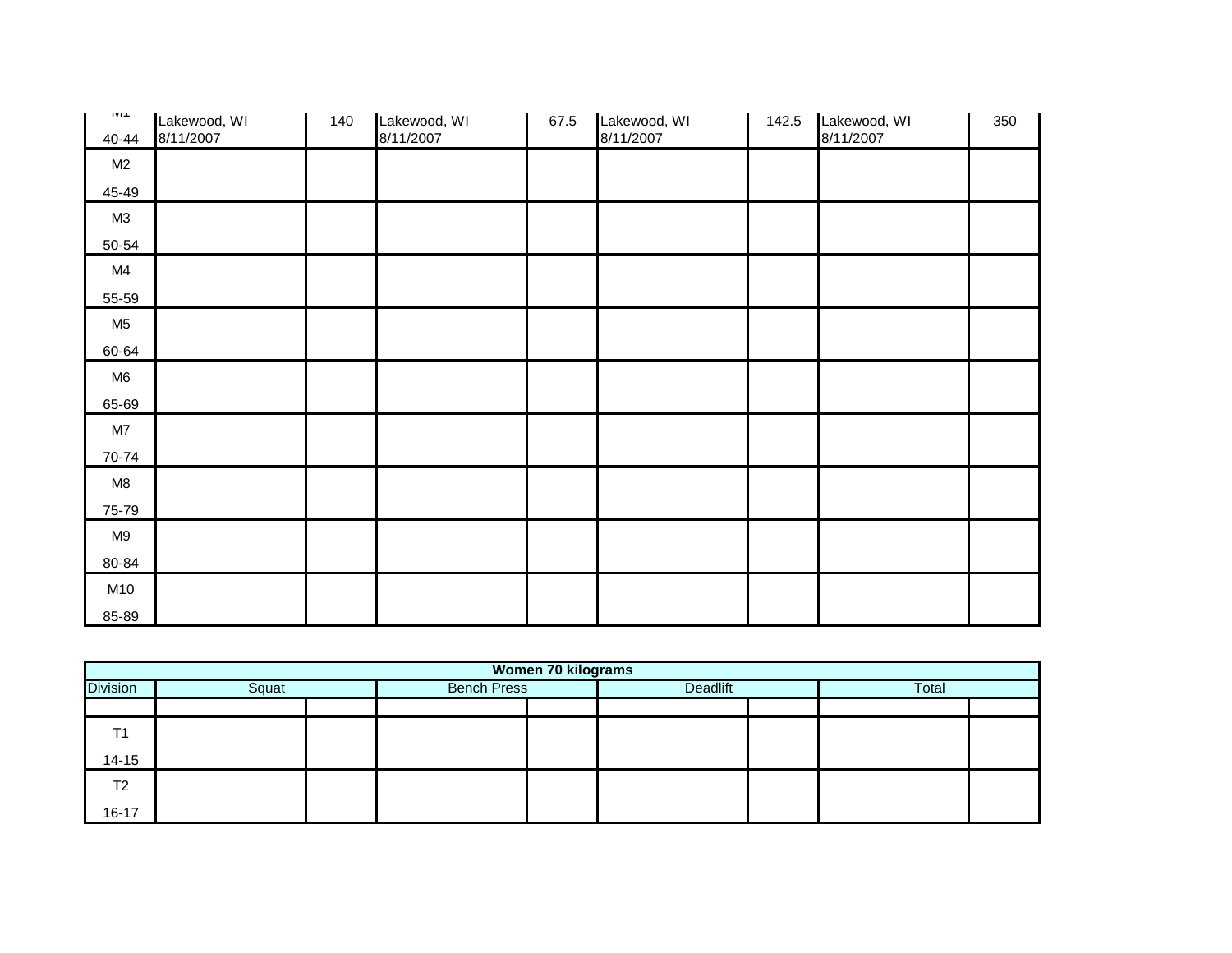| $1\,\mathrm{V}1.1$ | Lakewood, WI | 140 | Lakewood, WI | 67.5 | Lakewood, WI | 142.5 | Lakewood, WI | 350 |
|--------------------|--------------|-----|--------------|------|--------------|-------|--------------|-----|
| 40-44              | 8/11/2007    |     | 8/11/2007    |      | 8/11/2007    |       | 8/11/2007    |     |
| M2                 |              |     |              |      |              |       |              |     |
| 45-49              |              |     |              |      |              |       |              |     |
| M3                 |              |     |              |      |              |       |              |     |
| 50-54              |              |     |              |      |              |       |              |     |
| M4                 |              |     |              |      |              |       |              |     |
| 55-59              |              |     |              |      |              |       |              |     |
| M <sub>5</sub>     |              |     |              |      |              |       |              |     |
| 60-64              |              |     |              |      |              |       |              |     |
| M <sub>6</sub>     |              |     |              |      |              |       |              |     |
| 65-69              |              |     |              |      |              |       |              |     |
| M7                 |              |     |              |      |              |       |              |     |
| 70-74              |              |     |              |      |              |       |              |     |
| M8                 |              |     |              |      |              |       |              |     |
| 75-79              |              |     |              |      |              |       |              |     |
| M9                 |              |     |              |      |              |       |              |     |
| 80-84              |              |     |              |      |              |       |              |     |
| M10                |              |     |              |      |              |       |              |     |
| 85-89              |              |     |              |      |              |       |              |     |

|                 | <b>Women 70 kilograms</b> |  |                    |  |                 |  |       |  |  |  |  |
|-----------------|---------------------------|--|--------------------|--|-----------------|--|-------|--|--|--|--|
| <b>Division</b> | Squat                     |  | <b>Bench Press</b> |  | <b>Deadlift</b> |  | Total |  |  |  |  |
|                 |                           |  |                    |  |                 |  |       |  |  |  |  |
| T <sub>1</sub>  |                           |  |                    |  |                 |  |       |  |  |  |  |
| $14 - 15$       |                           |  |                    |  |                 |  |       |  |  |  |  |
| T <sub>2</sub>  |                           |  |                    |  |                 |  |       |  |  |  |  |
| $16 - 17$       |                           |  |                    |  |                 |  |       |  |  |  |  |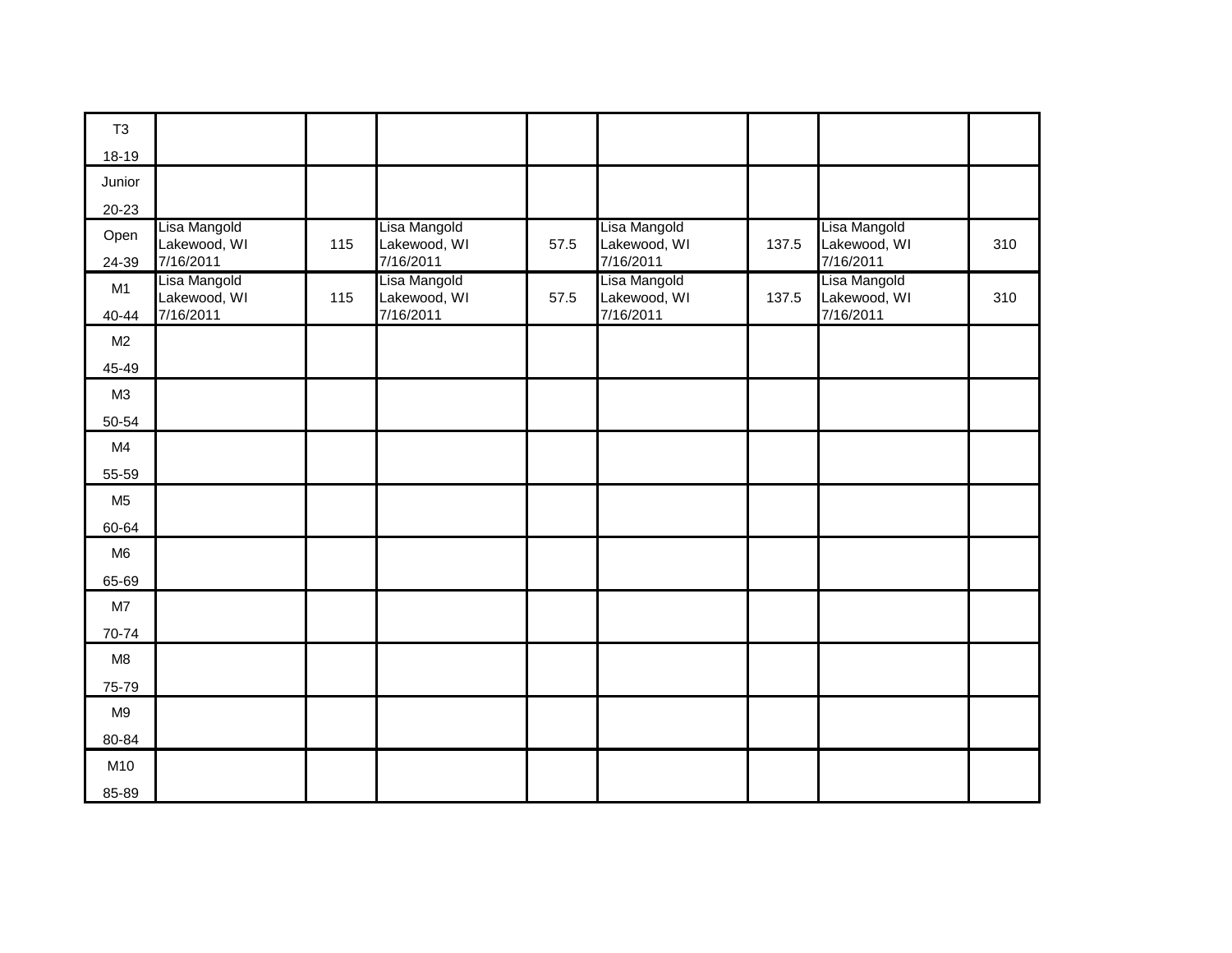| T <sub>3</sub> |                                           |     |                                           |      |                                           |       |                                           |     |
|----------------|-------------------------------------------|-----|-------------------------------------------|------|-------------------------------------------|-------|-------------------------------------------|-----|
| 18-19          |                                           |     |                                           |      |                                           |       |                                           |     |
| Junior         |                                           |     |                                           |      |                                           |       |                                           |     |
| $20 - 23$      |                                           |     |                                           |      |                                           |       |                                           |     |
| Open<br>24-39  | Lisa Mangold<br>Lakewood, WI<br>7/16/2011 | 115 | Lisa Mangold<br>Lakewood, WI<br>7/16/2011 | 57.5 | Lisa Mangold<br>Lakewood, WI<br>7/16/2011 | 137.5 | Lisa Mangold<br>Lakewood, WI<br>7/16/2011 | 310 |
| M1             | Lisa Mangold<br>Lakewood, WI              | 115 | Lisa Mangold<br>Lakewood, WI              | 57.5 | Lisa Mangold<br>Lakewood, WI              | 137.5 | Lisa Mangold<br>Lakewood, WI              | 310 |
| 40-44          | 7/16/2011                                 |     | 7/16/2011                                 |      | 7/16/2011                                 |       | 7/16/2011                                 |     |
| M <sub>2</sub> |                                           |     |                                           |      |                                           |       |                                           |     |
| 45-49          |                                           |     |                                           |      |                                           |       |                                           |     |
| M3             |                                           |     |                                           |      |                                           |       |                                           |     |
| 50-54          |                                           |     |                                           |      |                                           |       |                                           |     |
| M4             |                                           |     |                                           |      |                                           |       |                                           |     |
| 55-59          |                                           |     |                                           |      |                                           |       |                                           |     |
| M <sub>5</sub> |                                           |     |                                           |      |                                           |       |                                           |     |
| 60-64          |                                           |     |                                           |      |                                           |       |                                           |     |
| M <sub>6</sub> |                                           |     |                                           |      |                                           |       |                                           |     |
| 65-69          |                                           |     |                                           |      |                                           |       |                                           |     |
| M7             |                                           |     |                                           |      |                                           |       |                                           |     |
| 70-74          |                                           |     |                                           |      |                                           |       |                                           |     |
| M8             |                                           |     |                                           |      |                                           |       |                                           |     |
| 75-79          |                                           |     |                                           |      |                                           |       |                                           |     |
| M <sub>9</sub> |                                           |     |                                           |      |                                           |       |                                           |     |
| 80-84          |                                           |     |                                           |      |                                           |       |                                           |     |
| M10            |                                           |     |                                           |      |                                           |       |                                           |     |
| 85-89          |                                           |     |                                           |      |                                           |       |                                           |     |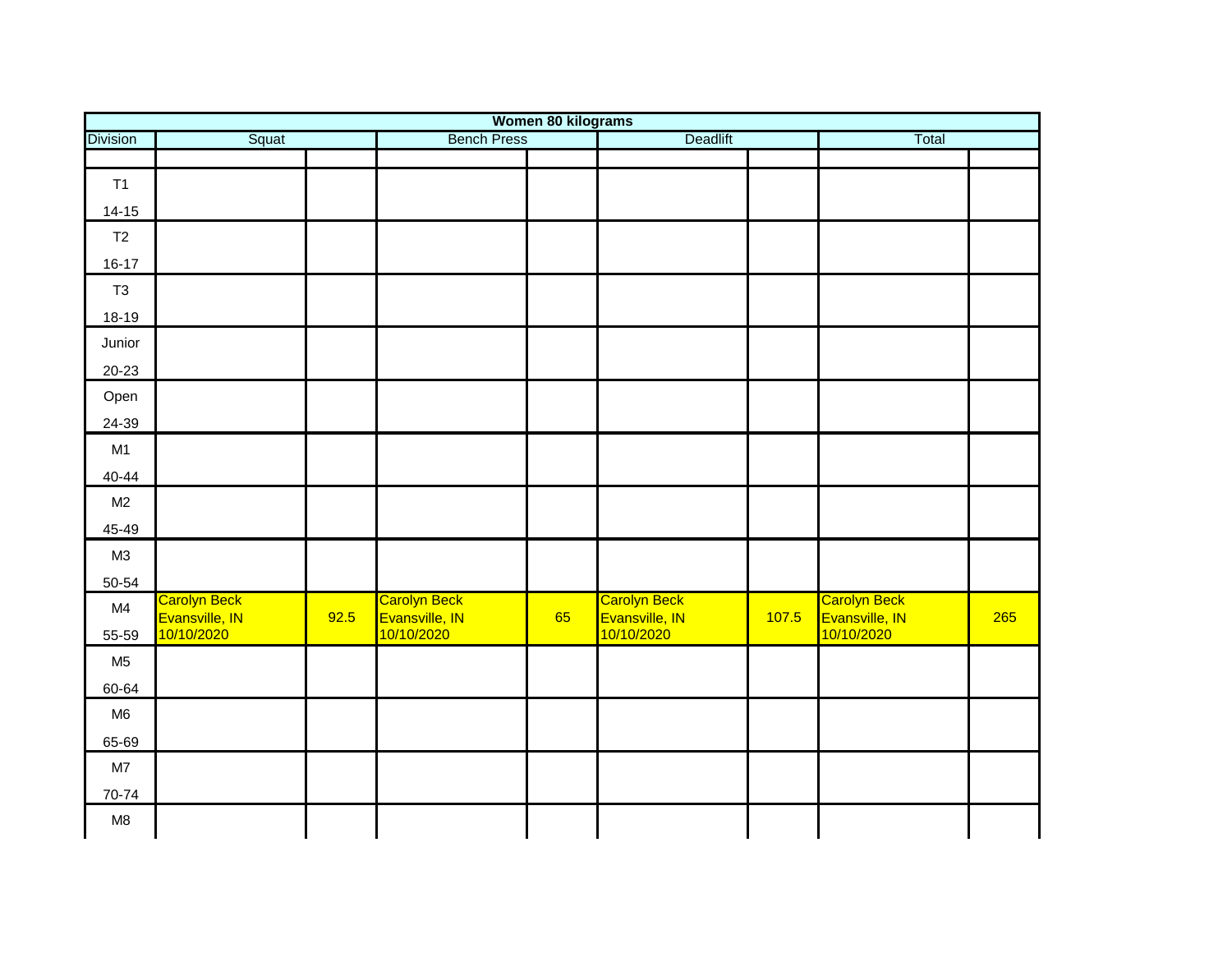| Women 80 kilograms |                              |      |                              |    |                              |       |                              |     |
|--------------------|------------------------------|------|------------------------------|----|------------------------------|-------|------------------------------|-----|
| <b>Division</b>    | Squat                        |      | <b>Bench Press</b>           |    | <b>Deadlift</b>              | Total |                              |     |
|                    |                              |      |                              |    |                              |       |                              |     |
| T1                 |                              |      |                              |    |                              |       |                              |     |
| $14 - 15$          |                              |      |                              |    |                              |       |                              |     |
| T2                 |                              |      |                              |    |                              |       |                              |     |
| $16-17$            |                              |      |                              |    |                              |       |                              |     |
| T <sub>3</sub>     |                              |      |                              |    |                              |       |                              |     |
| 18-19              |                              |      |                              |    |                              |       |                              |     |
| Junior             |                              |      |                              |    |                              |       |                              |     |
| $20 - 23$          |                              |      |                              |    |                              |       |                              |     |
| Open               |                              |      |                              |    |                              |       |                              |     |
| 24-39              |                              |      |                              |    |                              |       |                              |     |
| M1                 |                              |      |                              |    |                              |       |                              |     |
| $40 - 44$          |                              |      |                              |    |                              |       |                              |     |
| M2                 |                              |      |                              |    |                              |       |                              |     |
| 45-49              |                              |      |                              |    |                              |       |                              |     |
| M3                 |                              |      |                              |    |                              |       |                              |     |
| 50-54              |                              |      |                              |    |                              |       |                              |     |
| M4                 | <b>Carolyn Beck</b>          |      | Carolyn Beck                 |    | Carolyn Beck                 |       | Carolyn Beck                 |     |
| 55-59              | Evansville, IN<br>10/10/2020 | 92.5 | Evansville, IN<br>10/10/2020 | 65 | Evansville, IN<br>10/10/2020 | 107.5 | Evansville, IN<br>10/10/2020 | 265 |
| M <sub>5</sub>     |                              |      |                              |    |                              |       |                              |     |
| 60-64              |                              |      |                              |    |                              |       |                              |     |
| M <sub>6</sub>     |                              |      |                              |    |                              |       |                              |     |
| 65-69              |                              |      |                              |    |                              |       |                              |     |
| M7                 |                              |      |                              |    |                              |       |                              |     |
| 70-74              |                              |      |                              |    |                              |       |                              |     |
| M8                 |                              |      |                              |    |                              |       |                              |     |
|                    |                              |      |                              |    |                              |       |                              |     |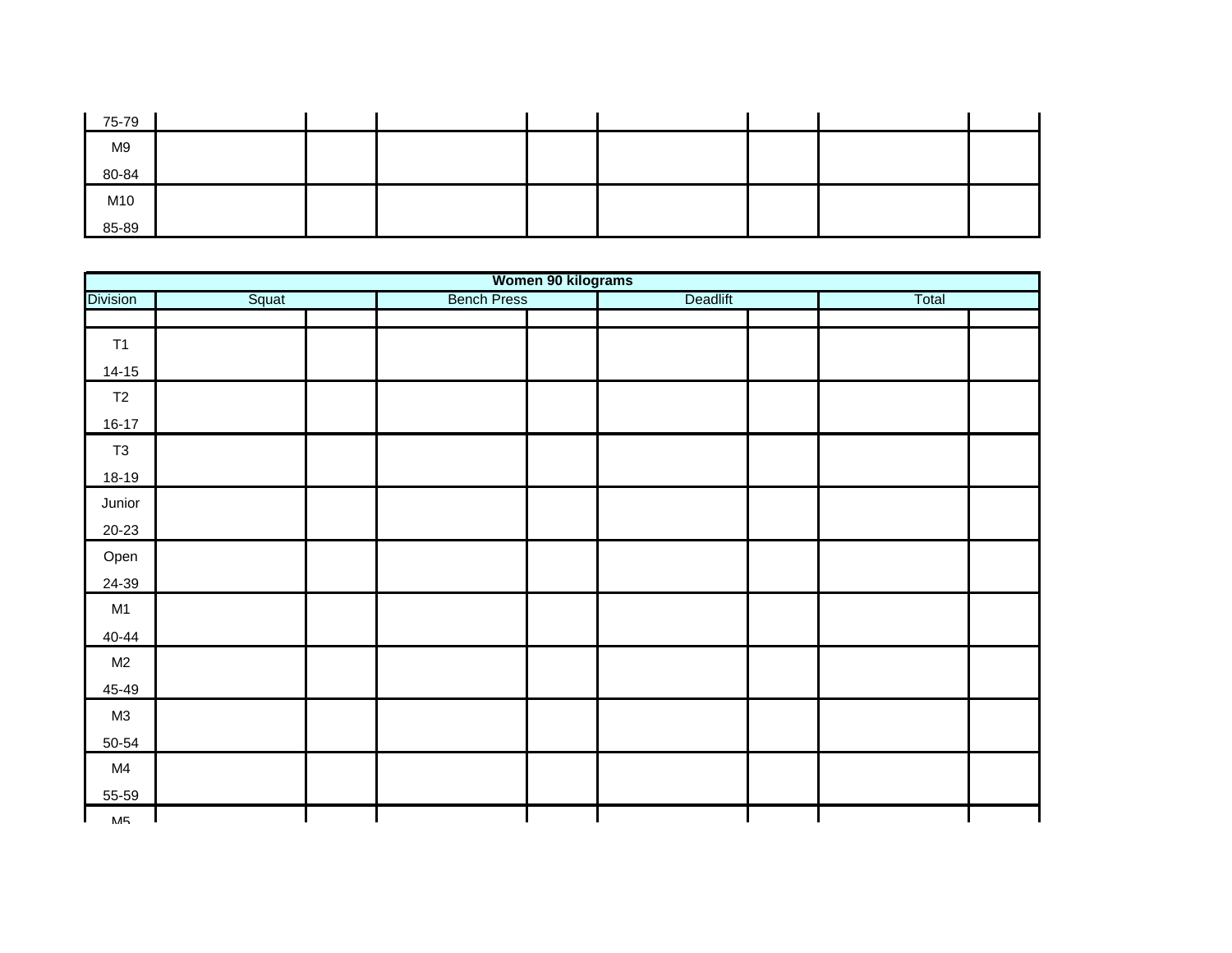| 75-79 |  |  |  |  |
|-------|--|--|--|--|
| M9    |  |  |  |  |
| 80-84 |  |  |  |  |
| M10   |  |  |  |  |
| 85-89 |  |  |  |  |

| Women 90 kilograms |       |                    |  |          |  |       |  |
|--------------------|-------|--------------------|--|----------|--|-------|--|
| <b>Division</b>    | Squat | <b>Bench Press</b> |  | Deadlift |  | Total |  |
|                    |       |                    |  |          |  |       |  |
| T1                 |       |                    |  |          |  |       |  |
| $14-15$            |       |                    |  |          |  |       |  |
| T2                 |       |                    |  |          |  |       |  |
| $16-17$            |       |                    |  |          |  |       |  |
| T3                 |       |                    |  |          |  |       |  |
| 18-19              |       |                    |  |          |  |       |  |
| Junior             |       |                    |  |          |  |       |  |
| $20 - 23$          |       |                    |  |          |  |       |  |
| Open               |       |                    |  |          |  |       |  |
| 24-39              |       |                    |  |          |  |       |  |
| M1                 |       |                    |  |          |  |       |  |
| $40 - 44$          |       |                    |  |          |  |       |  |
| M2                 |       |                    |  |          |  |       |  |
| 45-49              |       |                    |  |          |  |       |  |
| M3                 |       |                    |  |          |  |       |  |
| 50-54              |       |                    |  |          |  |       |  |
| M4                 |       |                    |  |          |  |       |  |
| 55-59              |       |                    |  |          |  |       |  |
| МБ                 |       |                    |  |          |  |       |  |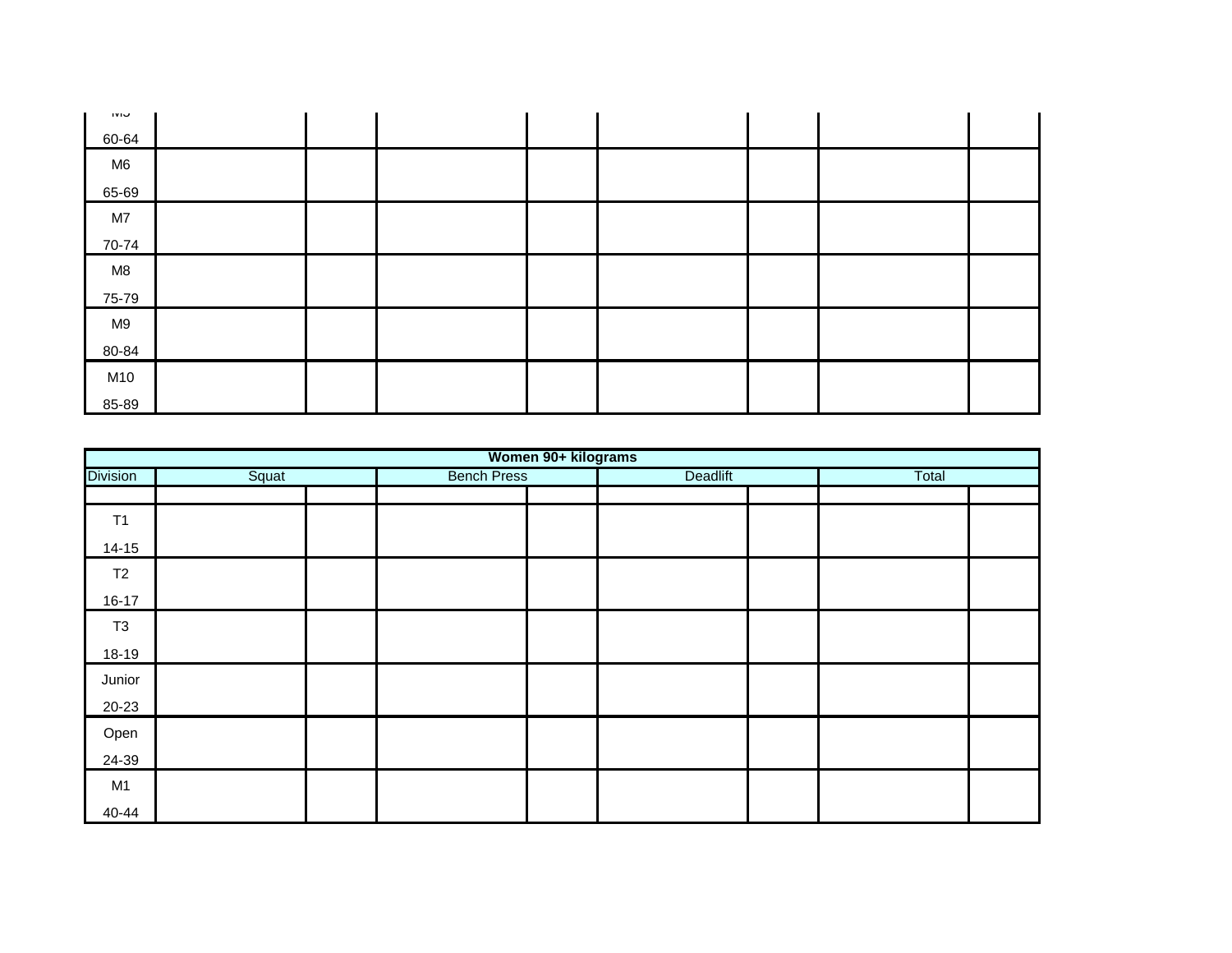| <b>IVIU</b>    |  |  |  |  |
|----------------|--|--|--|--|
| 60-64          |  |  |  |  |
| M <sub>6</sub> |  |  |  |  |
| 65-69          |  |  |  |  |
| M7             |  |  |  |  |
| 70-74          |  |  |  |  |
| M8             |  |  |  |  |
| 75-79          |  |  |  |  |
| M9             |  |  |  |  |
| 80-84          |  |  |  |  |
| M10            |  |  |  |  |
| 85-89          |  |  |  |  |

|                 |       |                    | Women 90+ kilograms |          |       |  |
|-----------------|-------|--------------------|---------------------|----------|-------|--|
| <b>Division</b> | Squat | <b>Bench Press</b> |                     | Deadlift | Total |  |
|                 |       |                    |                     |          |       |  |
| T1              |       |                    |                     |          |       |  |
| $14 - 15$       |       |                    |                     |          |       |  |
| T2              |       |                    |                     |          |       |  |
| $16 - 17$       |       |                    |                     |          |       |  |
| T <sub>3</sub>  |       |                    |                     |          |       |  |
| 18-19           |       |                    |                     |          |       |  |
| Junior          |       |                    |                     |          |       |  |
| 20-23           |       |                    |                     |          |       |  |
| Open            |       |                    |                     |          |       |  |
| 24-39           |       |                    |                     |          |       |  |
| M1              |       |                    |                     |          |       |  |
| 40-44           |       |                    |                     |          |       |  |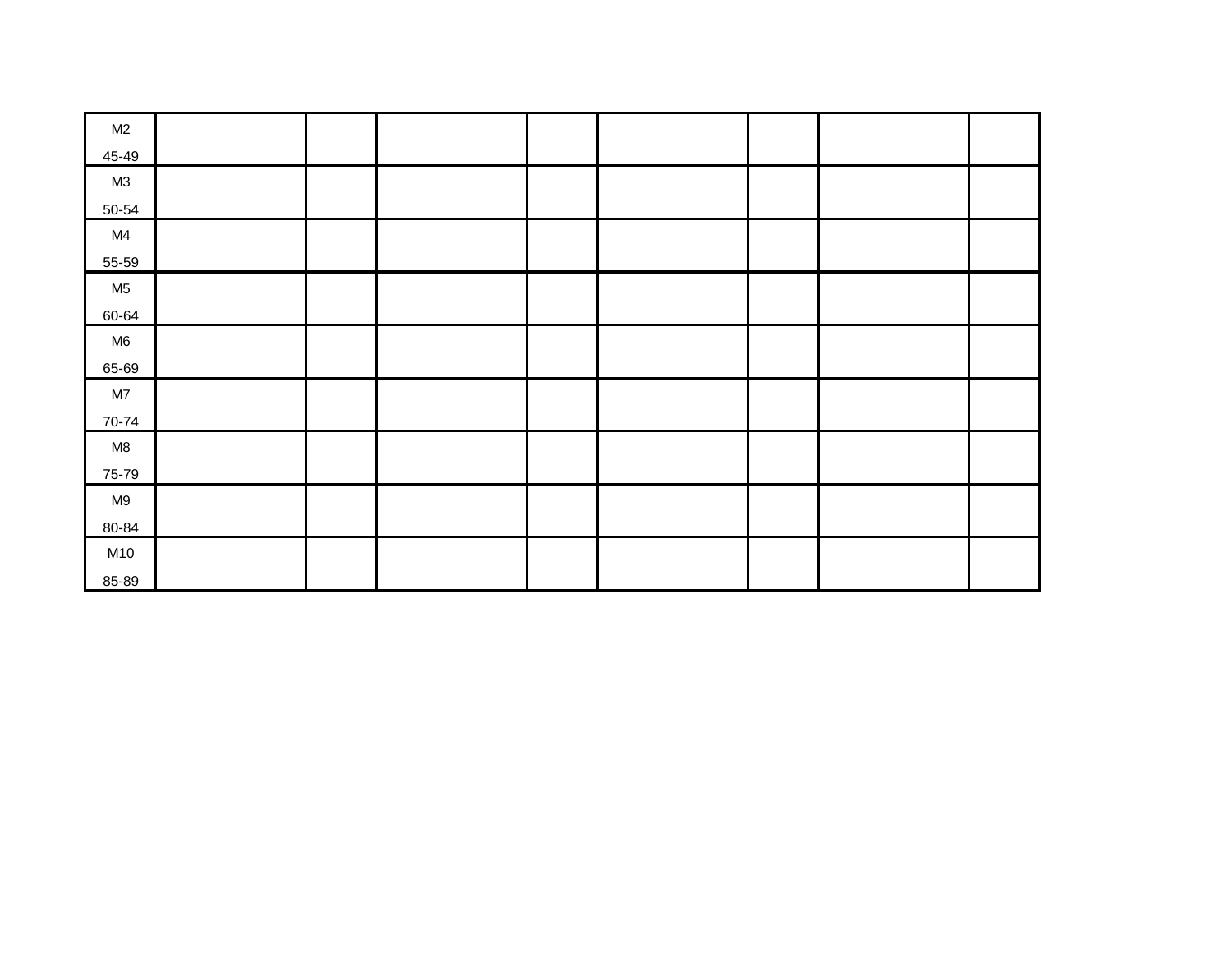| M2             |  |  |  |  |
|----------------|--|--|--|--|
| 45-49          |  |  |  |  |
| M3             |  |  |  |  |
| 50-54          |  |  |  |  |
| M4             |  |  |  |  |
| 55-59          |  |  |  |  |
| M <sub>5</sub> |  |  |  |  |
| 60-64          |  |  |  |  |
| M6             |  |  |  |  |
| 65-69          |  |  |  |  |
| $\mathsf{M}7$  |  |  |  |  |
| 70-74          |  |  |  |  |
| M8             |  |  |  |  |
| 75-79          |  |  |  |  |
| M9             |  |  |  |  |
| 80-84          |  |  |  |  |
| M10            |  |  |  |  |
| 85-89          |  |  |  |  |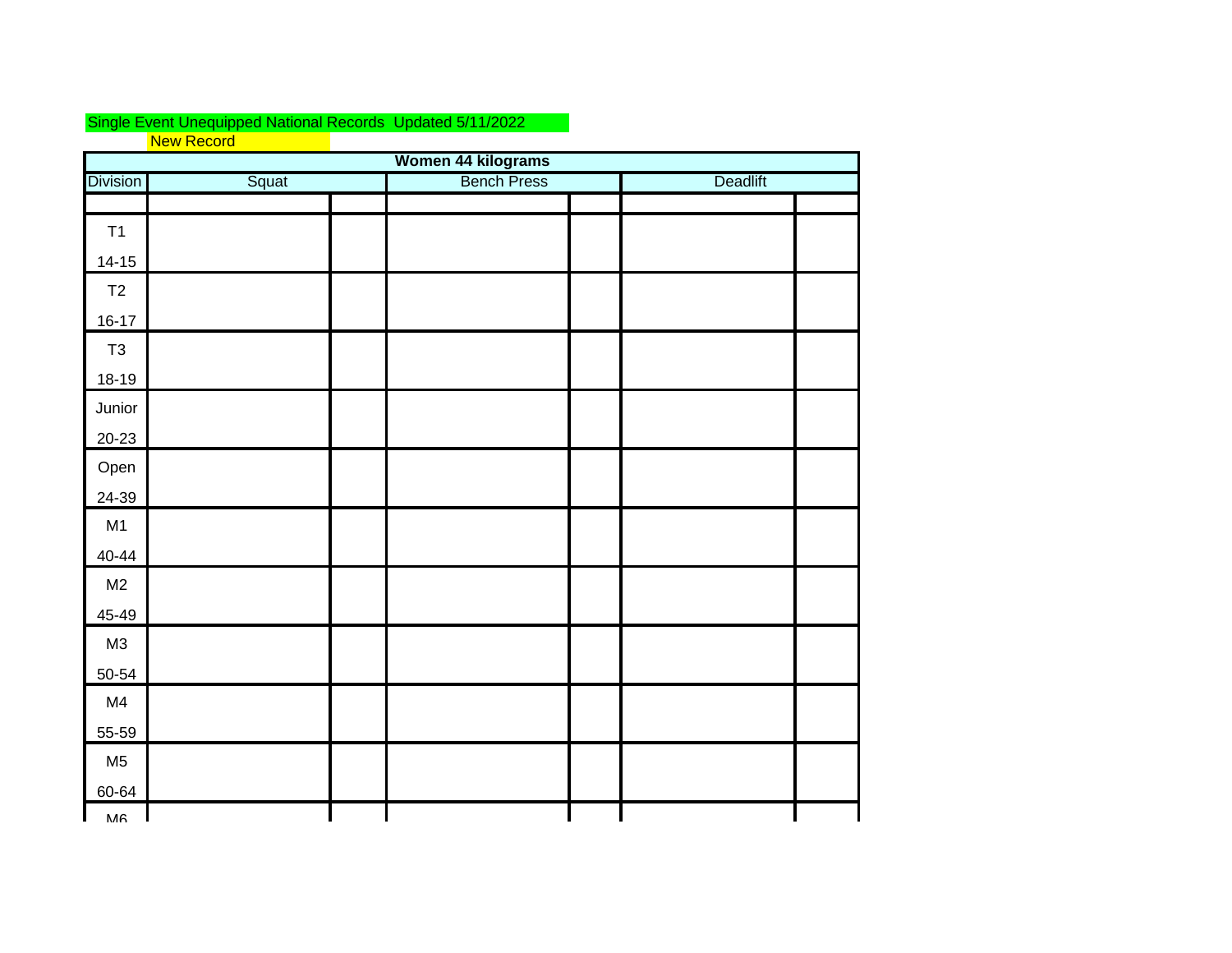## Single Event Unequipped National Records Updated 5/11/2022 New Record

|                 | Women 44 kilograms |  |                    |  |          |  |  |  |  |  |
|-----------------|--------------------|--|--------------------|--|----------|--|--|--|--|--|
| <b>Division</b> | Squat              |  | <b>Bench Press</b> |  | Deadlift |  |  |  |  |  |
|                 |                    |  |                    |  |          |  |  |  |  |  |
| T1              |                    |  |                    |  |          |  |  |  |  |  |
| $14-15$         |                    |  |                    |  |          |  |  |  |  |  |
| T2              |                    |  |                    |  |          |  |  |  |  |  |
| $16 - 17$       |                    |  |                    |  |          |  |  |  |  |  |
| $\mathsf{T}3$   |                    |  |                    |  |          |  |  |  |  |  |
| $18-19$         |                    |  |                    |  |          |  |  |  |  |  |
| Junior          |                    |  |                    |  |          |  |  |  |  |  |
| $20 - 23$       |                    |  |                    |  |          |  |  |  |  |  |
| Open            |                    |  |                    |  |          |  |  |  |  |  |
| 24-39           |                    |  |                    |  |          |  |  |  |  |  |
| M1              |                    |  |                    |  |          |  |  |  |  |  |
| $40 - 44$       |                    |  |                    |  |          |  |  |  |  |  |
| M2              |                    |  |                    |  |          |  |  |  |  |  |
| 45-49           |                    |  |                    |  |          |  |  |  |  |  |
| M3              |                    |  |                    |  |          |  |  |  |  |  |
| $50 - 54$       |                    |  |                    |  |          |  |  |  |  |  |
| M4              |                    |  |                    |  |          |  |  |  |  |  |
| 55-59           |                    |  |                    |  |          |  |  |  |  |  |
| M <sub>5</sub>  |                    |  |                    |  |          |  |  |  |  |  |
| 60-64           |                    |  |                    |  |          |  |  |  |  |  |
| MA              |                    |  |                    |  |          |  |  |  |  |  |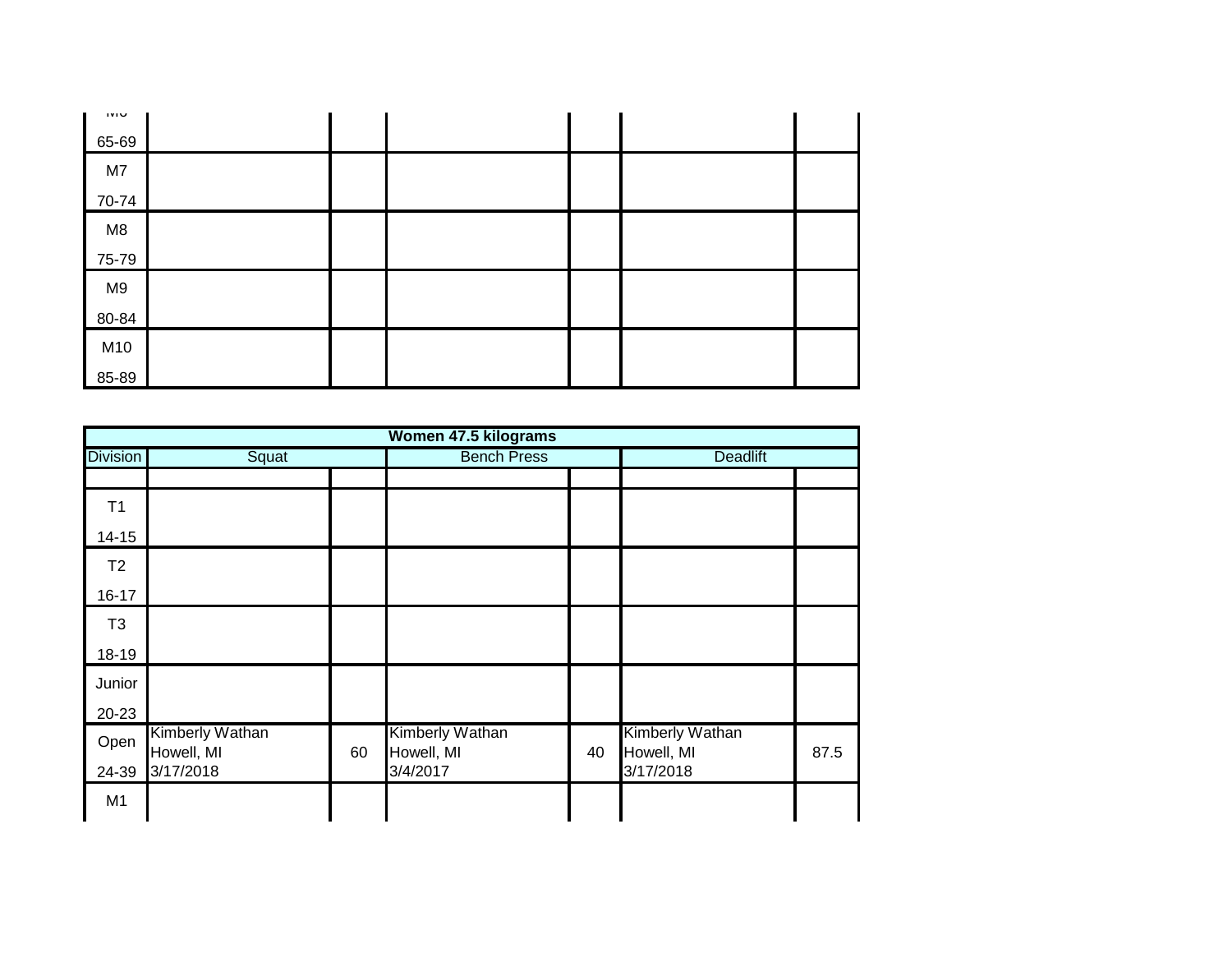| <b>IVIU</b> |  |  |  |
|-------------|--|--|--|
| 65-69       |  |  |  |
| M7          |  |  |  |
| 70-74       |  |  |  |
| M8          |  |  |  |
| 75-79       |  |  |  |
| M9          |  |  |  |
| 80-84       |  |  |  |
| M10         |  |  |  |
| 85-89       |  |  |  |

|                 |                                      |    | Women 47.5 kilograms          |    |                               |      |
|-----------------|--------------------------------------|----|-------------------------------|----|-------------------------------|------|
| <b>Division</b> | Squat                                |    | <b>Bench Press</b>            |    | Deadlift                      |      |
|                 |                                      |    |                               |    |                               |      |
| T1              |                                      |    |                               |    |                               |      |
| $14 - 15$       |                                      |    |                               |    |                               |      |
| T2              |                                      |    |                               |    |                               |      |
| $16 - 17$       |                                      |    |                               |    |                               |      |
| T <sub>3</sub>  |                                      |    |                               |    |                               |      |
| 18-19           |                                      |    |                               |    |                               |      |
| Junior          |                                      |    |                               |    |                               |      |
| $20 - 23$       |                                      |    |                               |    |                               |      |
| Open            | <b>Kimberly Wathan</b><br>Howell, MI | 60 | Kimberly Wathan<br>Howell, MI | 40 | Kimberly Wathan<br>Howell, MI | 87.5 |
| 24-39           | 3/17/2018                            |    | 3/4/2017                      |    | 3/17/2018                     |      |
| M1              |                                      |    |                               |    |                               |      |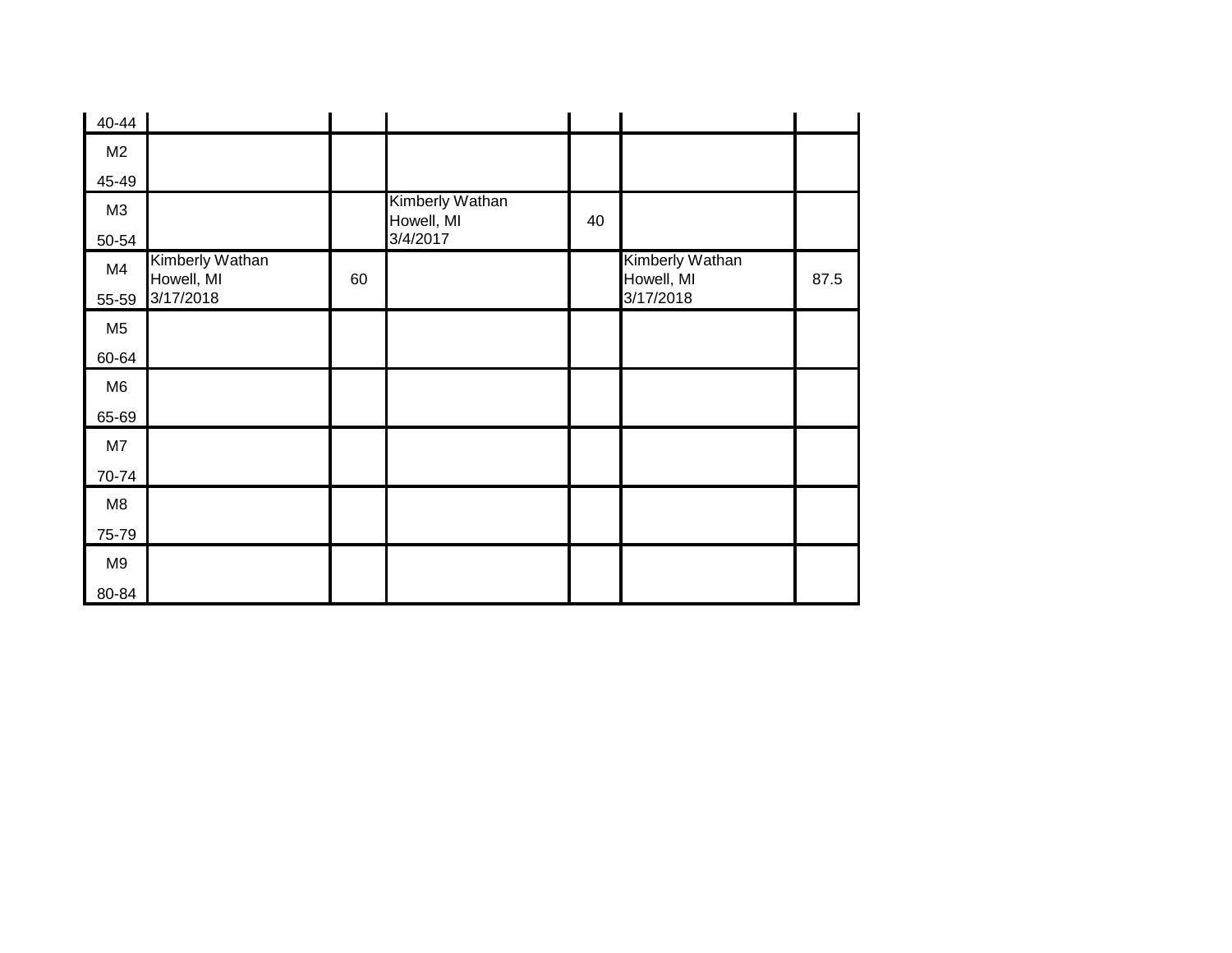| 40-44          |                               |    |                               |    |                               |      |
|----------------|-------------------------------|----|-------------------------------|----|-------------------------------|------|
| M2             |                               |    |                               |    |                               |      |
| 45-49          |                               |    |                               |    |                               |      |
| M <sub>3</sub> |                               |    | Kimberly Wathan<br>Howell, MI | 40 |                               |      |
| 50-54          |                               |    | 3/4/2017                      |    |                               |      |
| M4             | Kimberly Wathan<br>Howell, MI | 60 |                               |    | Kimberly Wathan<br>Howell, MI | 87.5 |
| 55-59          | 3/17/2018                     |    |                               |    | 3/17/2018                     |      |
| M <sub>5</sub> |                               |    |                               |    |                               |      |
| 60-64          |                               |    |                               |    |                               |      |
| M <sub>6</sub> |                               |    |                               |    |                               |      |
| 65-69          |                               |    |                               |    |                               |      |
| M7             |                               |    |                               |    |                               |      |
| 70-74          |                               |    |                               |    |                               |      |
| M8             |                               |    |                               |    |                               |      |
| 75-79          |                               |    |                               |    |                               |      |
| M9             |                               |    |                               |    |                               |      |
| 80-84          |                               |    |                               |    |                               |      |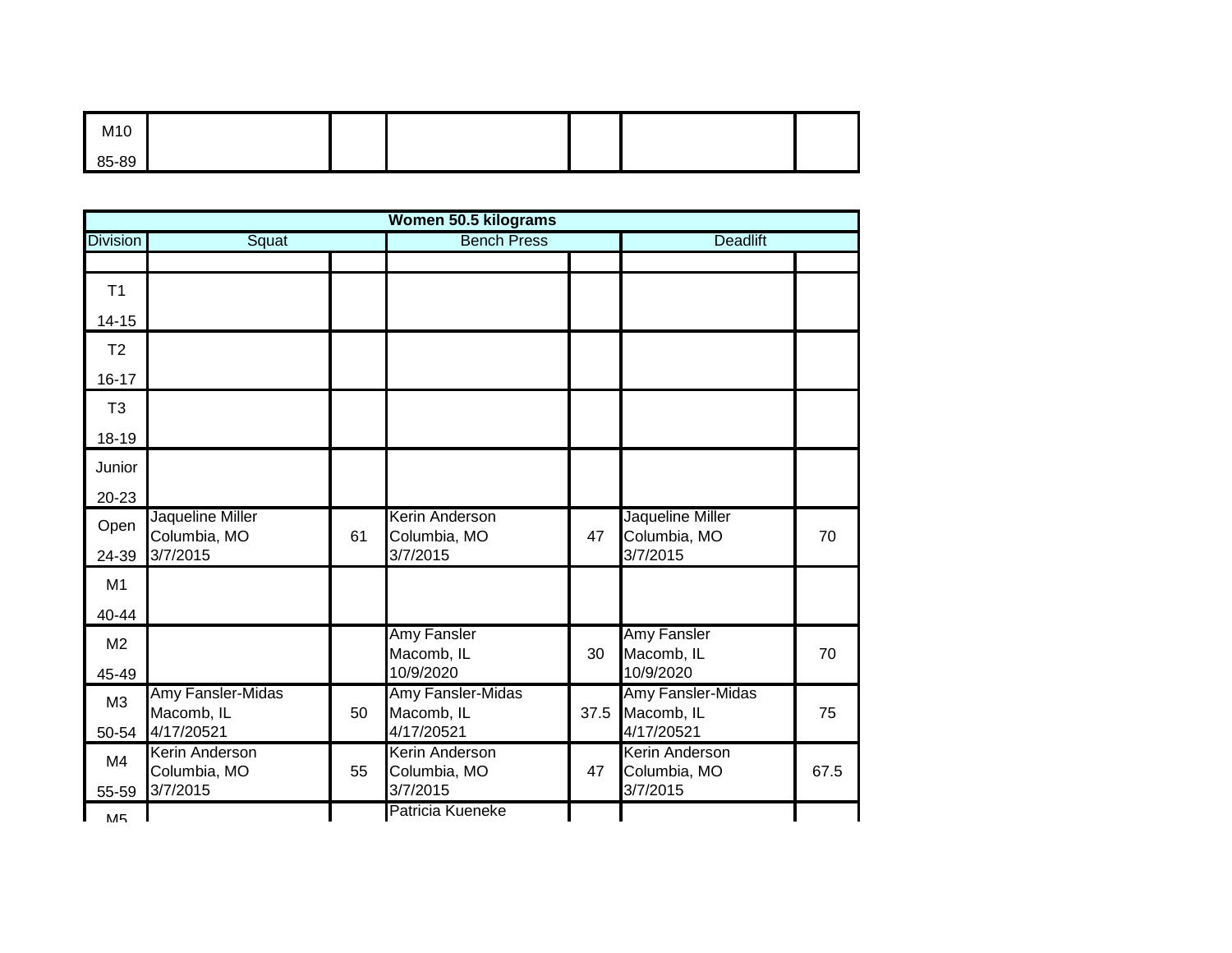| M10   |  |  |  |
|-------|--|--|--|
| 85-89 |  |  |  |

|                 |                                  |    | Women 50.5 kilograms                  |      |                                  |      |
|-----------------|----------------------------------|----|---------------------------------------|------|----------------------------------|------|
| <b>Division</b> | Squat                            |    | <b>Bench Press</b>                    |      | <b>Deadlift</b>                  |      |
|                 |                                  |    |                                       |      |                                  |      |
| T1              |                                  |    |                                       |      |                                  |      |
| $14 - 15$       |                                  |    |                                       |      |                                  |      |
| T <sub>2</sub>  |                                  |    |                                       |      |                                  |      |
| $16 - 17$       |                                  |    |                                       |      |                                  |      |
| T <sub>3</sub>  |                                  |    |                                       |      |                                  |      |
| 18-19           |                                  |    |                                       |      |                                  |      |
| Junior          |                                  |    |                                       |      |                                  |      |
| 20-23           |                                  |    |                                       |      |                                  |      |
| Open            | Jaqueline Miller<br>Columbia, MO | 61 | <b>Kerin Anderson</b><br>Columbia, MO | 47   | Jaqueline Miller<br>Columbia, MO | 70   |
| 24-39           | 3/7/2015                         |    | 3/7/2015                              |      | 3/7/2015                         |      |
| M1              |                                  |    |                                       |      |                                  |      |
| 40-44           |                                  |    |                                       |      |                                  |      |
| M <sub>2</sub>  |                                  |    | Amy Fansler<br>Macomb, IL             | 30   | Amy Fansler<br>Macomb, IL        | 70   |
| 45-49           |                                  |    | 10/9/2020                             |      | 10/9/2020                        |      |
| M3              | Amy Fansler-Midas<br>Macomb, IL  | 50 | Amy Fansler-Midas<br>Macomb, IL       | 37.5 | Amy Fansler-Midas<br>Macomb, IL  | 75   |
| 50-54           | 4/17/20521                       |    | 4/17/20521                            |      | 4/17/20521                       |      |
| M4              | Kerin Anderson<br>Columbia, MO   | 55 | <b>Kerin Anderson</b><br>Columbia, MO | 47   | Kerin Anderson<br>Columbia, MO   | 67.5 |
| 55-59           | 3/7/2015                         |    | 3/7/2015                              |      | 3/7/2015                         |      |
| <b>M5</b>       |                                  |    | Patricia Kueneke                      |      |                                  |      |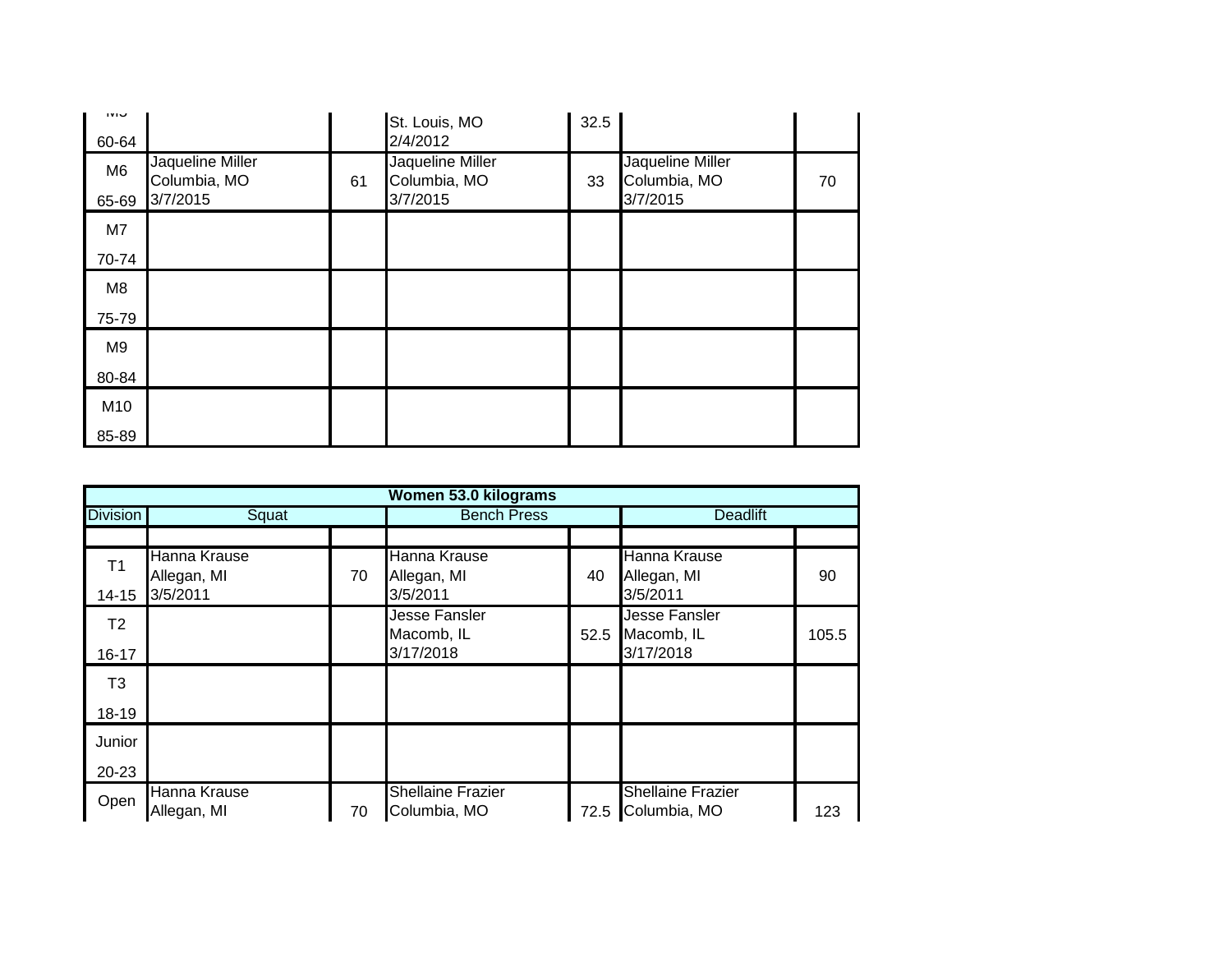| טועו<br>60-64           |                                              |    | St. Louis, MO<br>2/4/2012                    | 32.5 |                                              |    |
|-------------------------|----------------------------------------------|----|----------------------------------------------|------|----------------------------------------------|----|
| M <sub>6</sub><br>65-69 | Jaqueline Miller<br>Columbia, MO<br>3/7/2015 | 61 | Jaqueline Miller<br>Columbia, MO<br>3/7/2015 | 33   | Jaqueline Miller<br>Columbia, MO<br>3/7/2015 | 70 |
| M7                      |                                              |    |                                              |      |                                              |    |
| 70-74                   |                                              |    |                                              |      |                                              |    |
| M8                      |                                              |    |                                              |      |                                              |    |
| 75-79                   |                                              |    |                                              |      |                                              |    |
| M9                      |                                              |    |                                              |      |                                              |    |
| 80-84                   |                                              |    |                                              |      |                                              |    |
| M10                     |                                              |    |                                              |      |                                              |    |
| 85-89                   |                                              |    |                                              |      |                                              |    |

|                 |                                         |    | Women 53.0 kilograms                     |                    |                                               |                 |  |
|-----------------|-----------------------------------------|----|------------------------------------------|--------------------|-----------------------------------------------|-----------------|--|
| <b>Division</b> | Squat                                   |    |                                          | <b>Bench Press</b> |                                               | <b>Deadlift</b> |  |
|                 |                                         |    |                                          |                    |                                               |                 |  |
| T <sub>1</sub>  | Hanna Krause<br>Allegan, MI<br>3/5/2011 | 70 | Hanna Krause<br>Allegan, MI<br>3/5/2011  | 40                 | Hanna Krause<br>Allegan, MI<br>3/5/2011       | 90              |  |
| $14 - 15$       |                                         |    |                                          |                    |                                               |                 |  |
| T2              |                                         |    | <b>Jesse Fansler</b><br>Macomb, IL       | 52.5               | <b>Jesse Fansler</b><br>Macomb, IL            | 105.5           |  |
| $16 - 17$       |                                         |    | 3/17/2018                                |                    | 3/17/2018                                     |                 |  |
| T3              |                                         |    |                                          |                    |                                               |                 |  |
| 18-19           |                                         |    |                                          |                    |                                               |                 |  |
| Junior          |                                         |    |                                          |                    |                                               |                 |  |
| 20-23           |                                         |    |                                          |                    |                                               |                 |  |
| Open            | Hanna Krause<br>Allegan, MI             | 70 | <b>Shellaine Frazier</b><br>Columbia, MO |                    | <b>Shellaine Frazier</b><br>72.5 Columbia, MO | 123             |  |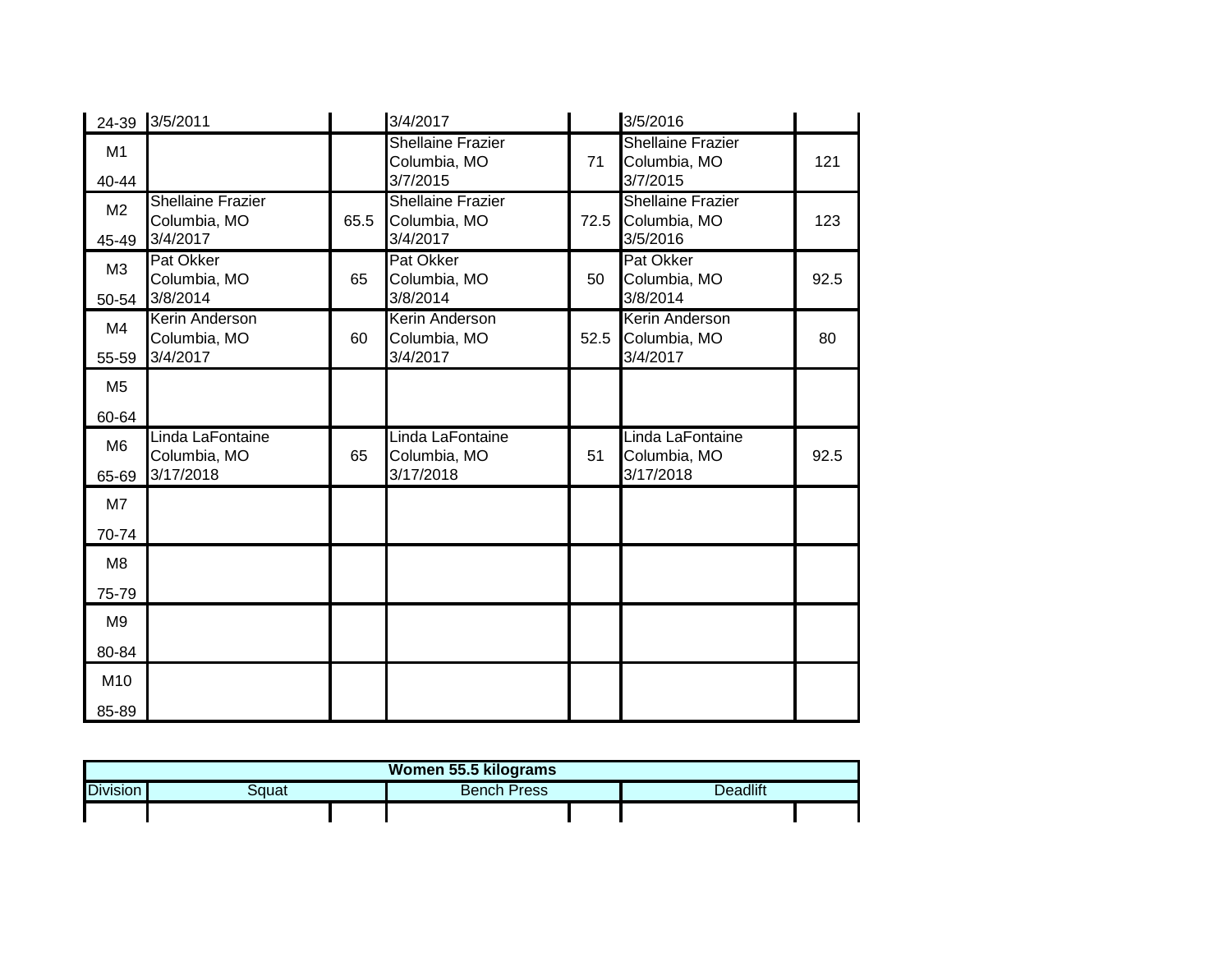|                         | 24-39 3/5/2011                                       |      | 3/4/2017                                             |      | 3/5/2016                                             |      |
|-------------------------|------------------------------------------------------|------|------------------------------------------------------|------|------------------------------------------------------|------|
| M1<br>40-44             |                                                      |      | <b>Shellaine Frazier</b><br>Columbia, MO<br>3/7/2015 | 71   | <b>Shellaine Frazier</b><br>Columbia, MO<br>3/7/2015 | 121  |
| M <sub>2</sub><br>45-49 | <b>Shellaine Frazier</b><br>Columbia, MO<br>3/4/2017 | 65.5 | <b>Shellaine Frazier</b><br>Columbia, MO<br>3/4/2017 | 72.5 | <b>Shellaine Frazier</b><br>Columbia, MO<br>3/5/2016 | 123  |
| M3<br>50-54             | Pat Okker<br>Columbia, MO<br>3/8/2014                | 65   | Pat Okker<br>Columbia, MO<br>3/8/2014                | 50   | Pat Okker<br>Columbia, MO<br>3/8/2014                | 92.5 |
| M4<br>55-59             | Kerin Anderson<br>Columbia, MO<br>3/4/2017           | 60   | <b>Kerin Anderson</b><br>Columbia, MO<br>3/4/2017    | 52.5 | Kerin Anderson<br>Columbia, MO<br>3/4/2017           | 80   |
| M <sub>5</sub>          |                                                      |      |                                                      |      |                                                      |      |
| 60-64                   |                                                      |      |                                                      |      |                                                      |      |
| M <sub>6</sub><br>65-69 | Linda LaFontaine<br>Columbia, MO<br>3/17/2018        | 65   | Linda LaFontaine<br>Columbia, MO<br>3/17/2018        | 51   | Linda LaFontaine<br>Columbia, MO<br>3/17/2018        | 92.5 |
| M7                      |                                                      |      |                                                      |      |                                                      |      |
| 70-74                   |                                                      |      |                                                      |      |                                                      |      |
| M <sub>8</sub>          |                                                      |      |                                                      |      |                                                      |      |
| 75-79                   |                                                      |      |                                                      |      |                                                      |      |
| M <sub>9</sub>          |                                                      |      |                                                      |      |                                                      |      |
| 80-84                   |                                                      |      |                                                      |      |                                                      |      |
| M10                     |                                                      |      |                                                      |      |                                                      |      |
| 85-89                   |                                                      |      |                                                      |      |                                                      |      |

| Women 55.5 kilograms |       |  |                    |  |          |  |  |
|----------------------|-------|--|--------------------|--|----------|--|--|
| <b>Division</b>      | პαuat |  | <b>Bench Press</b> |  | Deadlift |  |  |
|                      |       |  |                    |  |          |  |  |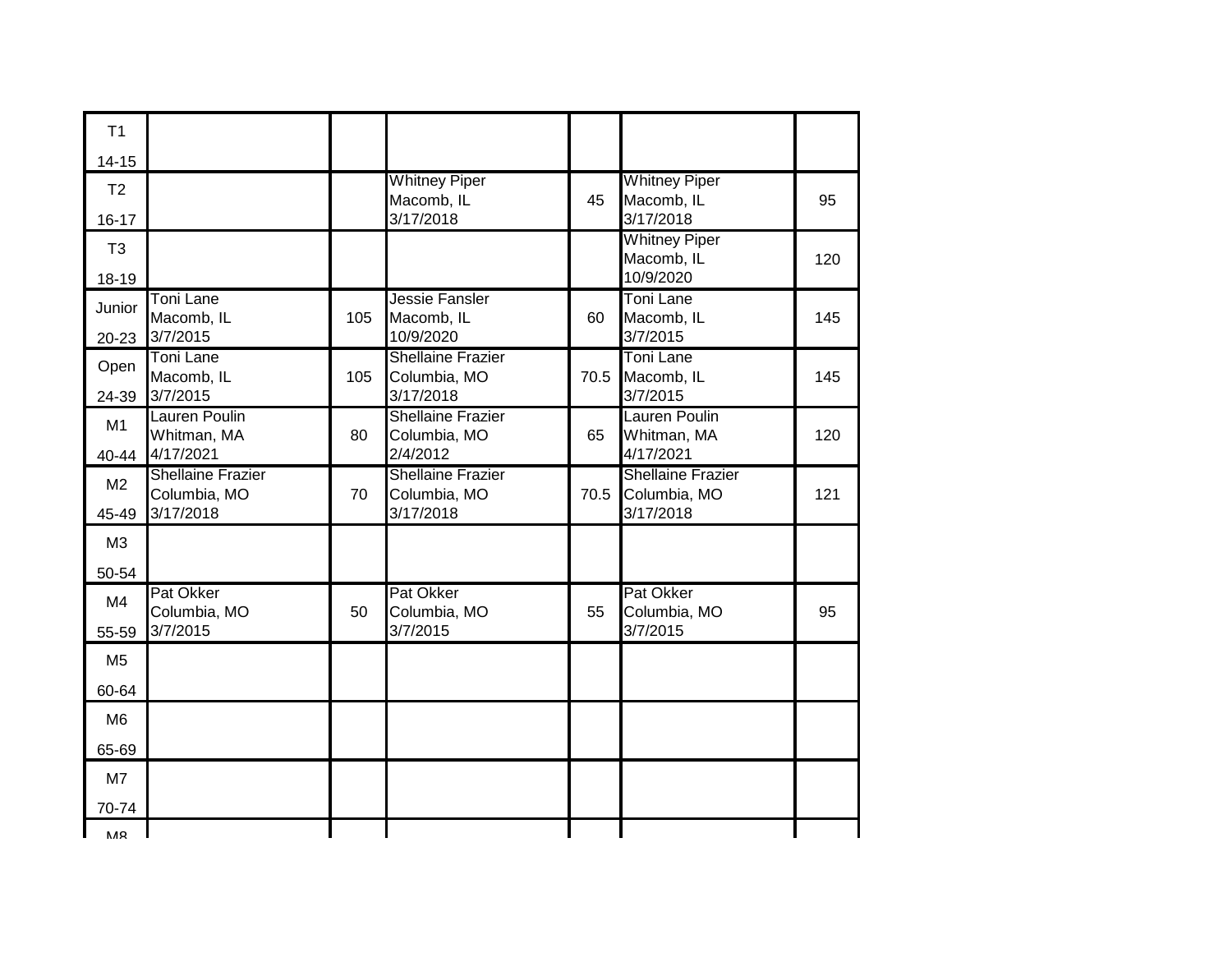| T1                          |                                                       |     |                                                       |      |                                                       |     |
|-----------------------------|-------------------------------------------------------|-----|-------------------------------------------------------|------|-------------------------------------------------------|-----|
| $14 - 15$                   |                                                       |     |                                                       |      |                                                       |     |
| T <sub>2</sub><br>$16 - 17$ |                                                       |     | <b>Whitney Piper</b><br>Macomb, IL<br>3/17/2018       | 45   | <b>Whitney Piper</b><br>Macomb, IL<br>3/17/2018       | 95  |
| T <sub>3</sub><br>18-19     |                                                       |     |                                                       |      | <b>Whitney Piper</b><br>Macomb, IL<br>10/9/2020       | 120 |
| Junior<br>20-23             | <b>Toni Lane</b><br>Macomb, IL<br>3/7/2015            | 105 | Jessie Fansler<br>Macomb, IL<br>10/9/2020             | 60   | <b>Toni Lane</b><br>Macomb, IL<br>3/7/2015            | 145 |
| Open<br>24-39               | <b>Toni Lane</b><br>Macomb, IL<br>3/7/2015            | 105 | <b>Shellaine Frazier</b><br>Columbia, MO<br>3/17/2018 | 70.5 | <b>Toni Lane</b><br>Macomb, IL<br>3/7/2015            | 145 |
| M1<br>40-44                 | <b>Lauren Poulin</b><br>Whitman, MA<br>4/17/2021      | 80  | <b>Shellaine Frazier</b><br>Columbia, MO<br>2/4/2012  | 65   | <b>Lauren Poulin</b><br>Whitman, MA<br>4/17/2021      | 120 |
| M <sub>2</sub><br>45-49     | <b>Shellaine Frazier</b><br>Columbia, MO<br>3/17/2018 | 70  | <b>Shellaine Frazier</b><br>Columbia, MO<br>3/17/2018 | 70.5 | <b>Shellaine Frazier</b><br>Columbia, MO<br>3/17/2018 | 121 |
| M3<br>50-54                 |                                                       |     |                                                       |      |                                                       |     |
| M <sub>4</sub><br>55-59     | Pat Okker<br>Columbia, MO<br>3/7/2015                 | 50  | Pat Okker<br>Columbia, MO<br>3/7/2015                 | 55   | <b>Pat Okker</b><br>Columbia, MO<br>3/7/2015          | 95  |
| M <sub>5</sub>              |                                                       |     |                                                       |      |                                                       |     |
| 60-64                       |                                                       |     |                                                       |      |                                                       |     |
| M <sub>6</sub>              |                                                       |     |                                                       |      |                                                       |     |
| 65-69                       |                                                       |     |                                                       |      |                                                       |     |
| M <sub>7</sub>              |                                                       |     |                                                       |      |                                                       |     |
| 70-74                       |                                                       |     |                                                       |      |                                                       |     |
| <b>MR</b>                   |                                                       |     |                                                       |      |                                                       |     |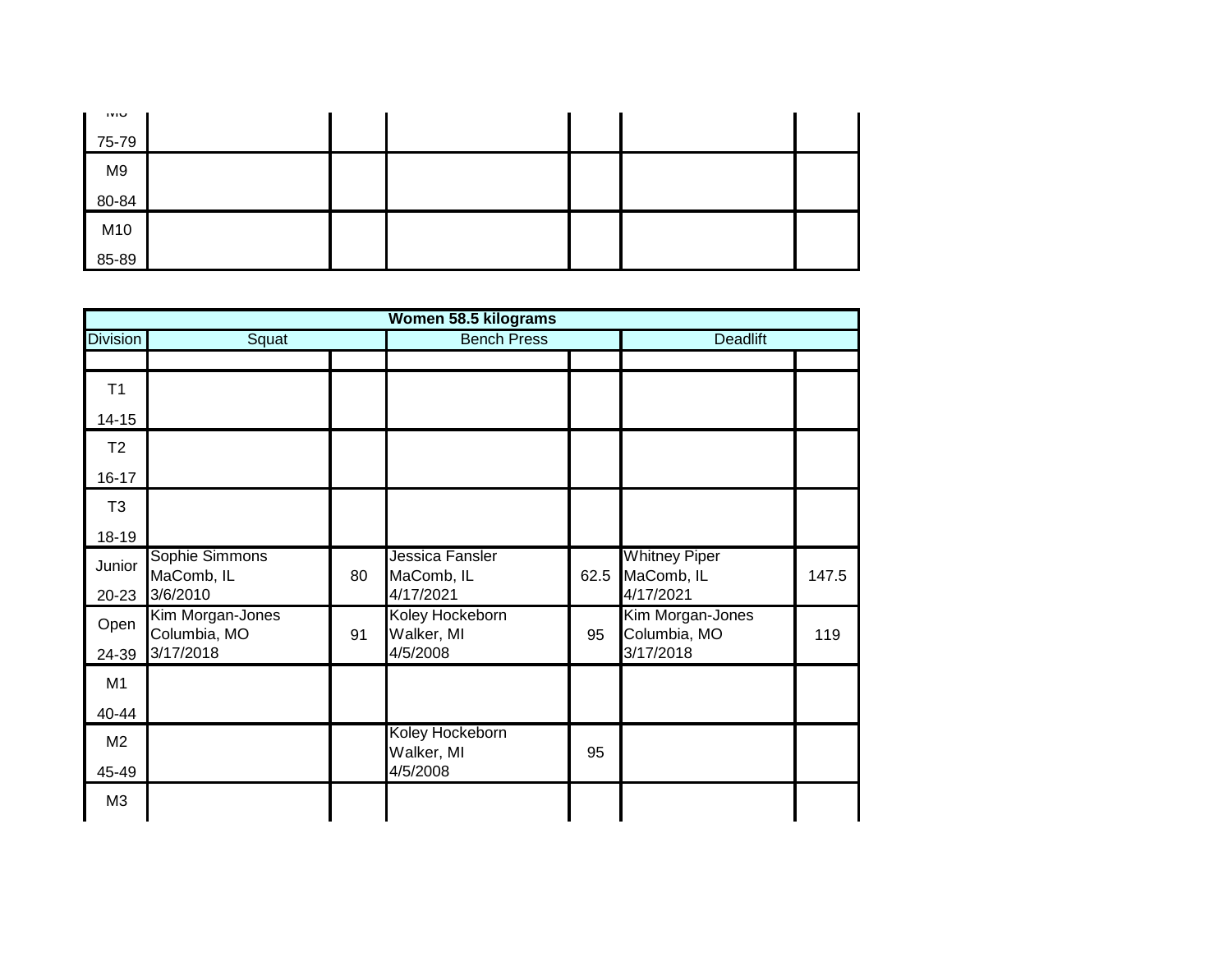| טועו           |  |  |  |
|----------------|--|--|--|
| 75-79          |  |  |  |
| M <sub>9</sub> |  |  |  |
| 80-84          |  |  |  |
| M10            |  |  |  |
| 85-89          |  |  |  |

|                         |                                               |    | Women 58.5 kilograms                       |      |                                                 |       |
|-------------------------|-----------------------------------------------|----|--------------------------------------------|------|-------------------------------------------------|-------|
| <b>Division</b>         | Squat                                         |    | <b>Bench Press</b>                         |      | <b>Deadlift</b>                                 |       |
| T1                      |                                               |    |                                            |      |                                                 |       |
| $14 - 15$               |                                               |    |                                            |      |                                                 |       |
| T <sub>2</sub>          |                                               |    |                                            |      |                                                 |       |
| $16 - 17$               |                                               |    |                                            |      |                                                 |       |
| T <sub>3</sub>          |                                               |    |                                            |      |                                                 |       |
| 18-19                   |                                               |    |                                            |      |                                                 |       |
| Junior<br>$20 - 23$     | Sophie Simmons<br>MaComb, IL<br>3/6/2010      | 80 | Jessica Fansler<br>MaComb, IL<br>4/17/2021 | 62.5 | <b>Whitney Piper</b><br>MaComb, IL<br>4/17/2021 | 147.5 |
| Open<br>24-39           | Kim Morgan-Jones<br>Columbia, MO<br>3/17/2018 | 91 | Koley Hockeborn<br>Walker, MI<br>4/5/2008  | 95   | Kim Morgan-Jones<br>Columbia, MO<br>3/17/2018   | 119   |
| M1                      |                                               |    |                                            |      |                                                 |       |
| 40-44                   |                                               |    |                                            |      |                                                 |       |
| M <sub>2</sub><br>45-49 |                                               |    | Koley Hockeborn<br>Walker, MI<br>4/5/2008  | 95   |                                                 |       |
| M <sub>3</sub>          |                                               |    |                                            |      |                                                 |       |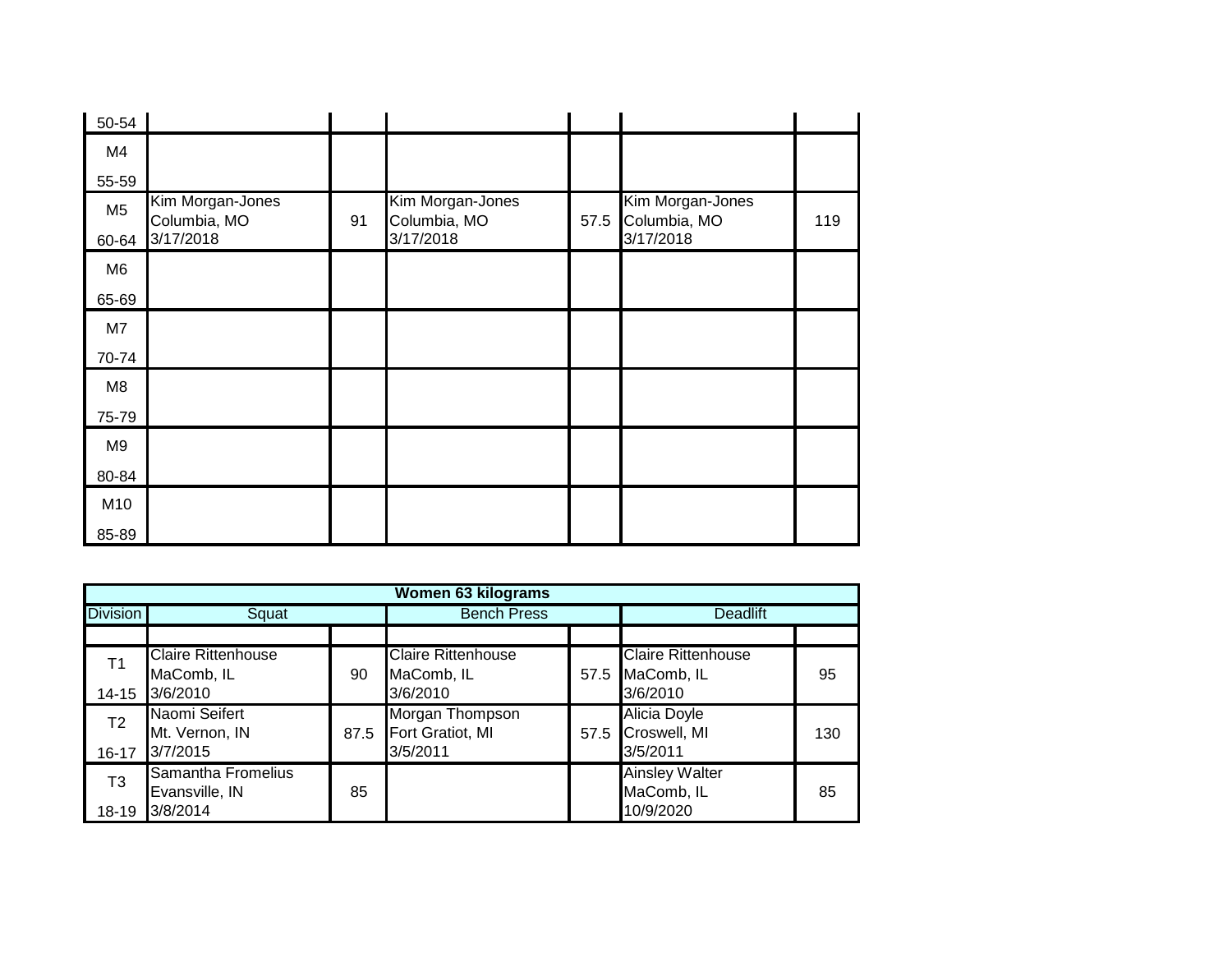| 50-54          |                                  |    |                                  |      |                                  |     |
|----------------|----------------------------------|----|----------------------------------|------|----------------------------------|-----|
| M4             |                                  |    |                                  |      |                                  |     |
| 55-59          |                                  |    |                                  |      |                                  |     |
| M <sub>5</sub> | Kim Morgan-Jones<br>Columbia, MO | 91 | Kim Morgan-Jones<br>Columbia, MO | 57.5 | Kim Morgan-Jones<br>Columbia, MO | 119 |
| 60-64          | 3/17/2018                        |    | 3/17/2018                        |      | 3/17/2018                        |     |
| M6             |                                  |    |                                  |      |                                  |     |
| 65-69          |                                  |    |                                  |      |                                  |     |
| M7             |                                  |    |                                  |      |                                  |     |
| 70-74          |                                  |    |                                  |      |                                  |     |
| M8             |                                  |    |                                  |      |                                  |     |
| 75-79          |                                  |    |                                  |      |                                  |     |
| M9             |                                  |    |                                  |      |                                  |     |
| 80-84          |                                  |    |                                  |      |                                  |     |
| M10            |                                  |    |                                  |      |                                  |     |
| 85-89          |                                  |    |                                  |      |                                  |     |

|                 | <b>Women 63 kilograms</b>                   |      |                                     |  |                                     |     |  |  |  |
|-----------------|---------------------------------------------|------|-------------------------------------|--|-------------------------------------|-----|--|--|--|
| <b>Division</b> | Squat                                       |      | <b>Bench Press</b>                  |  | <b>Deadlift</b>                     |     |  |  |  |
|                 |                                             |      |                                     |  |                                     |     |  |  |  |
| Τ1              | Claire Rittenhouse                          |      | <b>Claire Rittenhouse</b>           |  | <b>Claire Rittenhouse</b>           |     |  |  |  |
| 14-15           | MaComb, IL<br>3/6/2010                      | 90   | MaComb, IL<br>3/6/2010              |  | 57.5 MaComb, IL<br>3/6/2010         | 95  |  |  |  |
| T <sub>2</sub>  | Naomi Seifert<br>Mt. Vernon, IN             | 87.5 | Morgan Thompson<br>Fort Gratiot, MI |  | Alicia Doyle<br>57.5 Croswell, MI   | 130 |  |  |  |
| $16 - 17$       | 3/7/2015                                    |      | 3/5/2011                            |  | 3/5/2011                            |     |  |  |  |
| T <sub>3</sub>  | <b>Samantha Fromelius</b><br>Evansville, IN | 85   |                                     |  | <b>Ainsley Walter</b><br>MaComb, IL | 85  |  |  |  |
| $18 - 19$       | 3/8/2014                                    |      |                                     |  | 10/9/2020                           |     |  |  |  |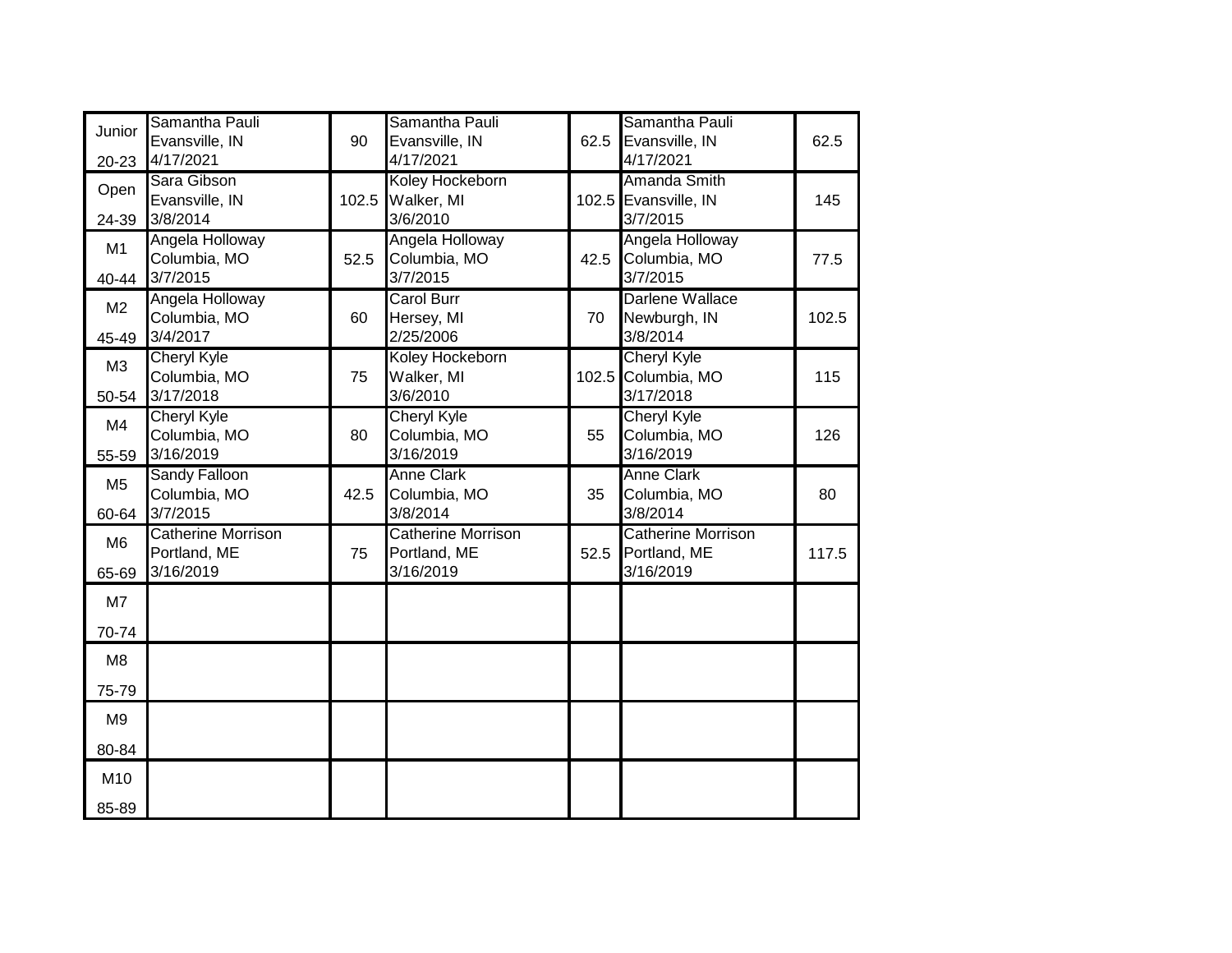| Junior         | Samantha Pauli            |       | Samantha Pauli            |      | Samantha Pauli            |       |
|----------------|---------------------------|-------|---------------------------|------|---------------------------|-------|
|                | Evansville, IN            | 90    | Evansville, IN            | 62.5 | Evansville, IN            | 62.5  |
| $20 - 23$      | 4/17/2021                 |       | 4/17/2021                 |      | 4/17/2021                 |       |
| Open           | Sara Gibson               |       | Koley Hockeborn           |      | Amanda Smith              |       |
|                | Evansville, IN            | 102.5 | Walker, MI                |      | 102.5 Evansville, IN      | 145   |
| 24-39          | 3/8/2014                  |       | 3/6/2010                  |      | 3/7/2015                  |       |
| M1             | Angela Holloway           |       | Angela Holloway           |      | Angela Holloway           |       |
|                | Columbia, MO              | 52.5  | Columbia, MO              | 42.5 | Columbia, MO              | 77.5  |
| 40-44          | 3/7/2015                  |       | 3/7/2015                  |      | 3/7/2015                  |       |
| M <sub>2</sub> | Angela Holloway           |       | <b>Carol Burr</b>         |      | Darlene Wallace           |       |
|                | Columbia, MO              | 60    | Hersey, MI                | 70   | Newburgh, IN              | 102.5 |
| 45-49          | 3/4/2017                  |       | 2/25/2006                 |      | 3/8/2014                  |       |
| M3             | <b>Cheryl Kyle</b>        |       | Koley Hockeborn           |      | <b>Cheryl Kyle</b>        |       |
|                | Columbia, MO              | 75    | Walker, MI                |      | 102.5 Columbia, MO        | 115   |
| 50-54          | 3/17/2018                 |       | 3/6/2010                  |      | 3/17/2018                 |       |
| M <sub>4</sub> | <b>Cheryl Kyle</b>        |       | <b>Cheryl Kyle</b>        |      | <b>Cheryl Kyle</b>        |       |
|                | Columbia, MO              | 80    | Columbia, MO              | 55   | Columbia, MO              | 126   |
| 55-59          | 3/16/2019                 |       | 3/16/2019                 |      | 3/16/2019                 |       |
| M <sub>5</sub> | <b>Sandy Falloon</b>      |       | <b>Anne Clark</b>         |      | <b>Anne Clark</b>         |       |
|                | Columbia, MO              | 42.5  | Columbia, MO              | 35   | Columbia, MO              | 80    |
| 60-64          | 3/7/2015                  |       | 3/8/2014                  |      | 3/8/2014                  |       |
| M <sub>6</sub> | <b>Catherine Morrison</b> |       | <b>Catherine Morrison</b> |      | <b>Catherine Morrison</b> |       |
|                | Portland, ME              | 75    | Portland, ME              | 52.5 | Portland, ME              | 117.5 |
| 65-69          | 3/16/2019                 |       | 3/16/2019                 |      | 3/16/2019                 |       |
| M7             |                           |       |                           |      |                           |       |
| 70-74          |                           |       |                           |      |                           |       |
| M <sub>8</sub> |                           |       |                           |      |                           |       |
| 75-79          |                           |       |                           |      |                           |       |
| M <sub>9</sub> |                           |       |                           |      |                           |       |
| 80-84          |                           |       |                           |      |                           |       |
| M10            |                           |       |                           |      |                           |       |
| 85-89          |                           |       |                           |      |                           |       |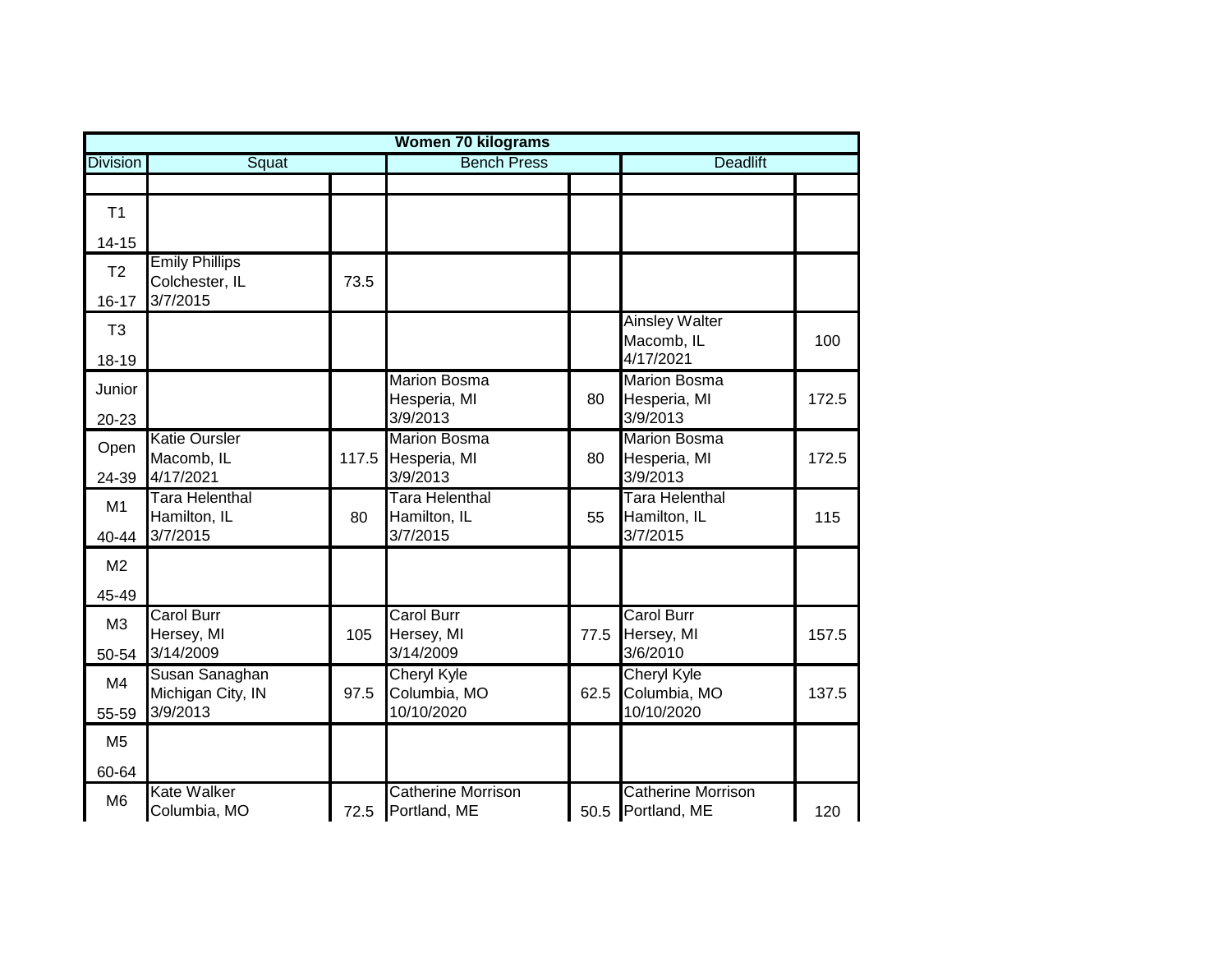|                 | <b>Women 70 kilograms</b>               |       |                                           |      |                                                |       |  |  |  |  |
|-----------------|-----------------------------------------|-------|-------------------------------------------|------|------------------------------------------------|-------|--|--|--|--|
| <b>Division</b> | Squat                                   |       | <b>Bench Press</b>                        |      | <b>Deadlift</b>                                |       |  |  |  |  |
|                 |                                         |       |                                           |      |                                                |       |  |  |  |  |
| T1              |                                         |       |                                           |      |                                                |       |  |  |  |  |
| $14 - 15$       |                                         |       |                                           |      |                                                |       |  |  |  |  |
| T <sub>2</sub>  | <b>Emily Phillips</b><br>Colchester, IL | 73.5  |                                           |      |                                                |       |  |  |  |  |
| $16 - 17$       | 3/7/2015                                |       |                                           |      |                                                |       |  |  |  |  |
| T <sub>3</sub>  |                                         |       |                                           |      | <b>Ainsley Walter</b><br>Macomb, IL            | 100   |  |  |  |  |
| 18-19           |                                         |       |                                           |      | 4/17/2021                                      |       |  |  |  |  |
| Junior          |                                         |       | <b>Marion Bosma</b><br>Hesperia, MI       | 80   | <b>Marion Bosma</b><br>Hesperia, MI            | 172.5 |  |  |  |  |
| 20-23           |                                         |       | 3/9/2013                                  |      | 3/9/2013                                       |       |  |  |  |  |
| Open            | <b>Katie Oursler</b><br>Macomb, IL      | 117.5 | <b>Marion Bosma</b><br>Hesperia, MI       | 80   | <b>Marion Bosma</b><br>Hesperia, MI            | 172.5 |  |  |  |  |
| 24-39           | 4/17/2021                               |       | 3/9/2013                                  |      | 3/9/2013                                       |       |  |  |  |  |
| M1              | Tara Helenthal<br>Hamilton, IL          | 80    | Tara Helenthal<br>Hamilton, IL            | 55   | Tara Helenthal<br>Hamilton, IL                 | 115   |  |  |  |  |
| 40-44           | 3/7/2015                                |       | 3/7/2015                                  |      | 3/7/2015                                       |       |  |  |  |  |
| M <sub>2</sub>  |                                         |       |                                           |      |                                                |       |  |  |  |  |
| 45-49           |                                         |       |                                           |      |                                                |       |  |  |  |  |
| M3              | Carol Burr<br>Hersey, MI                | 105   | <b>Carol Burr</b><br>Hersey, MI           | 77.5 | <b>Carol Burr</b><br>Hersey, MI                | 157.5 |  |  |  |  |
| 50-54           | 3/14/2009                               |       | 3/14/2009                                 |      | 3/6/2010                                       |       |  |  |  |  |
| M4              | Susan Sanaghan                          |       | Cheryl Kyle                               |      | Cheryl Kyle                                    |       |  |  |  |  |
| 55-59           | Michigan City, IN<br>3/9/2013           | 97.5  | Columbia, MO<br>10/10/2020                | 62.5 | Columbia, MO<br>10/10/2020                     | 137.5 |  |  |  |  |
| M <sub>5</sub>  |                                         |       |                                           |      |                                                |       |  |  |  |  |
| 60-64           |                                         |       |                                           |      |                                                |       |  |  |  |  |
| M <sub>6</sub>  | <b>Kate Walker</b><br>Columbia, MO      | 72.5  | <b>Catherine Morrison</b><br>Portland, ME |      | <b>Catherine Morrison</b><br>50.5 Portland, ME | 120   |  |  |  |  |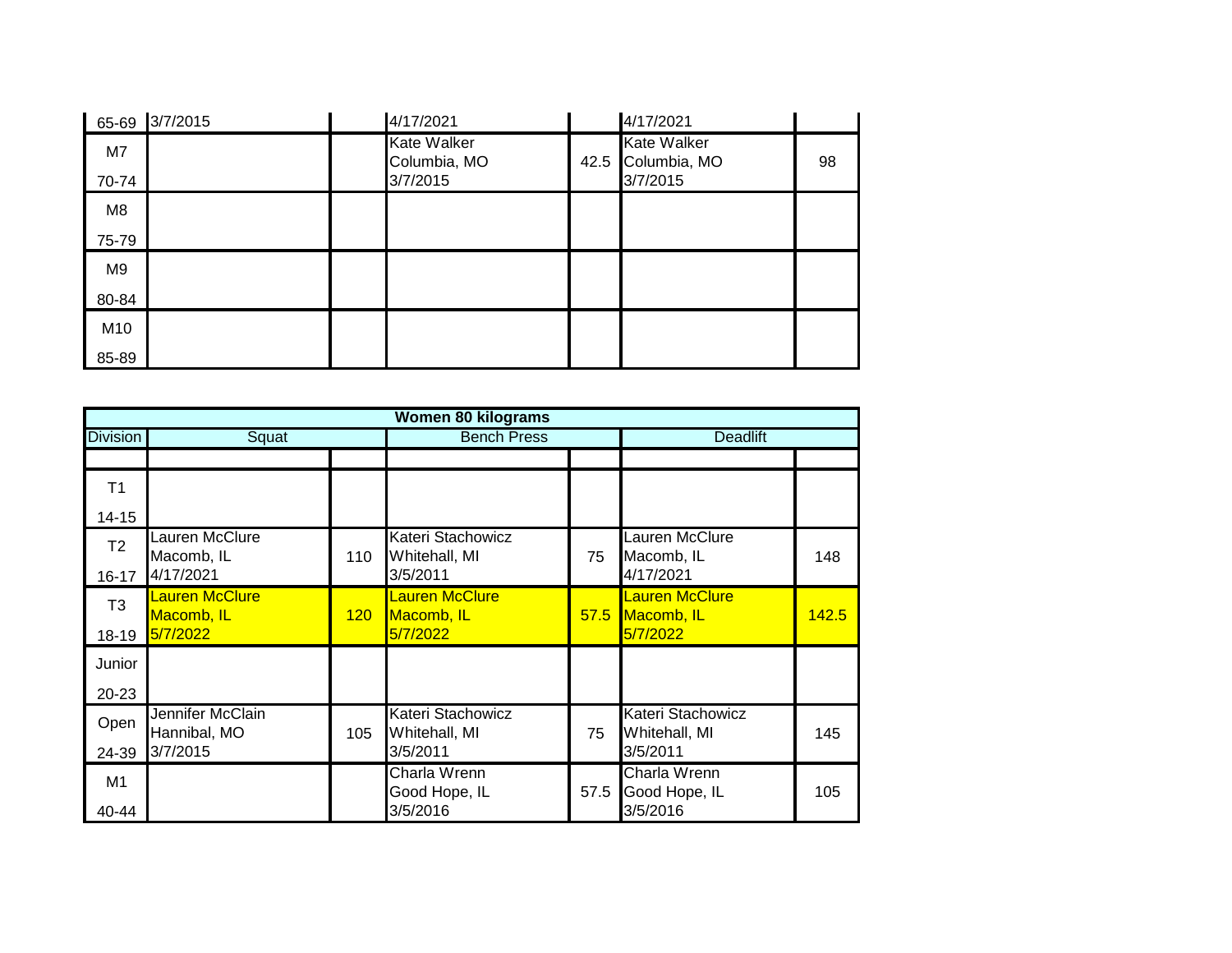| 65-69 | 3/7/2015 | 4/17/2021                          |      | 4/17/2021                          |    |
|-------|----------|------------------------------------|------|------------------------------------|----|
| M7    |          | <b>Kate Walker</b><br>Columbia, MO | 42.5 | <b>Kate Walker</b><br>Columbia, MO | 98 |
| 70-74 |          | 3/7/2015                           |      | 3/7/2015                           |    |
| M8    |          |                                    |      |                                    |    |
| 75-79 |          |                                    |      |                                    |    |
| M9    |          |                                    |      |                                    |    |
| 80-84 |          |                                    |      |                                    |    |
| M10   |          |                                    |      |                                    |    |
| 85-89 |          |                                    |      |                                    |    |

|                 | <b>Women 80 kilograms</b>        |     |                                    |      |                                    |                 |  |  |  |
|-----------------|----------------------------------|-----|------------------------------------|------|------------------------------------|-----------------|--|--|--|
| <b>Division</b> | Squat                            |     | <b>Bench Press</b>                 |      |                                    | <b>Deadlift</b> |  |  |  |
|                 |                                  |     |                                    |      |                                    |                 |  |  |  |
| T1              |                                  |     |                                    |      |                                    |                 |  |  |  |
| $14 - 15$       |                                  |     |                                    |      |                                    |                 |  |  |  |
| T <sub>2</sub>  | Lauren McClure<br>Macomb, IL     | 110 | Kateri Stachowicz<br>Whitehall, MI | 75   | Lauren McClure<br>Macomb, IL       | 148             |  |  |  |
| $16 - 17$       | 4/17/2021                        |     | 3/5/2011                           |      | 4/17/2021                          |                 |  |  |  |
| T <sub>3</sub>  | Lauren McClure<br>Macomb, IL     | 120 | Lauren McClure<br>Macomb, IL       | 57.5 | Lauren McClure<br>Macomb, IL       | 142.5           |  |  |  |
| 18-19           | 5/7/2022                         |     | 5/7/2022                           |      | 5/7/2022                           |                 |  |  |  |
| Junior          |                                  |     |                                    |      |                                    |                 |  |  |  |
| $20 - 23$       |                                  |     |                                    |      |                                    |                 |  |  |  |
| Open            | Jennifer McClain<br>Hannibal, MO | 105 | Kateri Stachowicz<br>Whitehall, MI | 75   | Kateri Stachowicz<br>Whitehall, MI | 145             |  |  |  |
| 24-39           | 3/7/2015                         |     | 3/5/2011                           |      | 3/5/2011                           |                 |  |  |  |
| M1              |                                  |     | Charla Wrenn                       |      | Charla Wrenn                       |                 |  |  |  |
| 40-44           |                                  |     | Good Hope, IL<br>3/5/2016          | 57.5 | Good Hope, IL<br>3/5/2016          | 105             |  |  |  |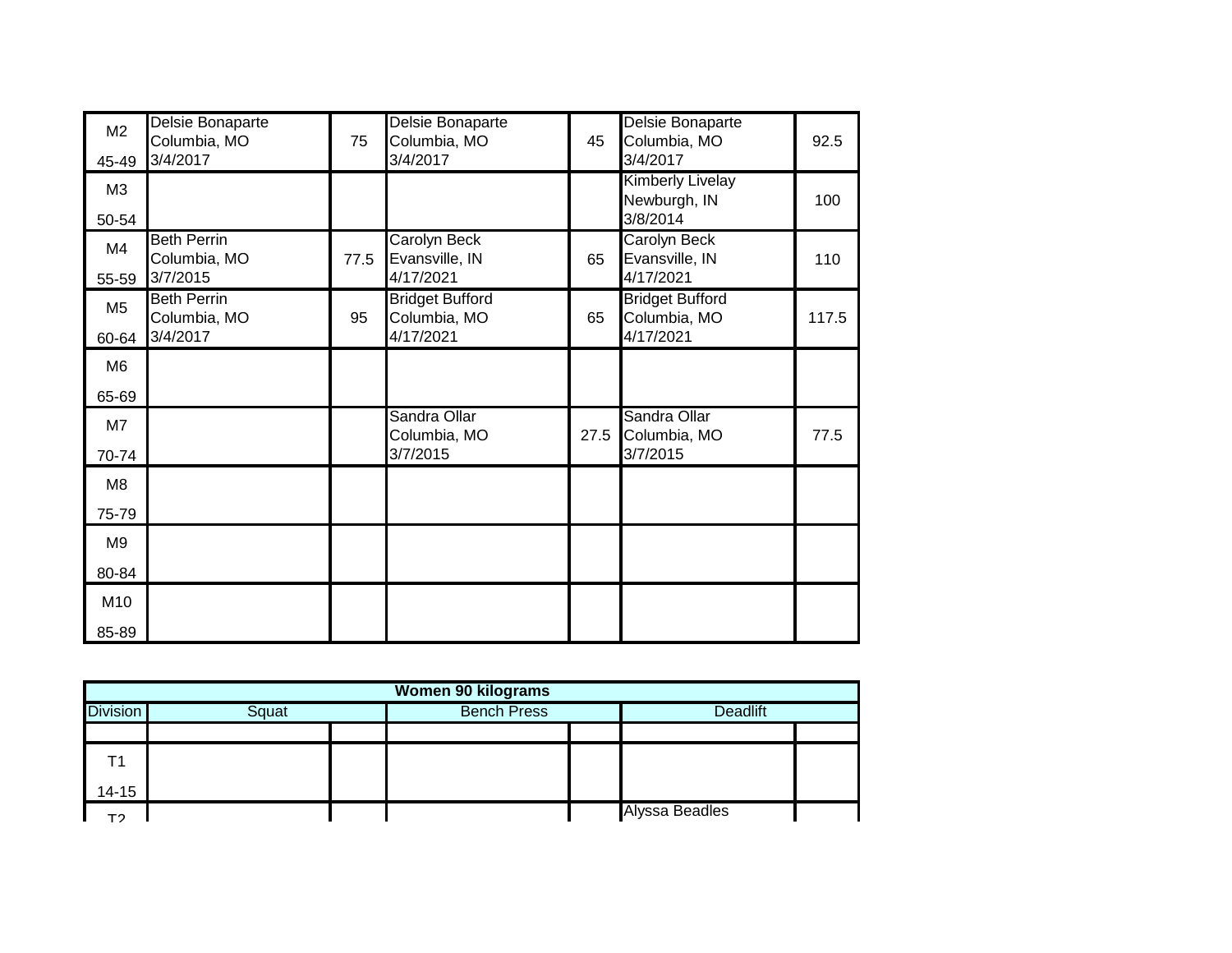| M <sub>2</sub><br>45-49 | Delsie Bonaparte<br>Columbia, MO<br>3/4/2017   | 75   | Delsie Bonaparte<br>Columbia, MO<br>3/4/2017        | 45   | Delsie Bonaparte<br>Columbia, MO<br>3/4/2017        | 92.5  |
|-------------------------|------------------------------------------------|------|-----------------------------------------------------|------|-----------------------------------------------------|-------|
| M3<br>50-54             |                                                |      |                                                     |      | <b>Kimberly Livelay</b><br>Newburgh, IN<br>3/8/2014 | 100   |
| M4<br>55-59             | <b>Beth Perrin</b><br>Columbia, MO<br>3/7/2015 | 77.5 | <b>Carolyn Beck</b><br>Evansville, IN<br>4/17/2021  | 65   | <b>Carolyn Beck</b><br>Evansville, IN<br>4/17/2021  | 110   |
| M <sub>5</sub><br>60-64 | <b>Beth Perrin</b><br>Columbia, MO<br>3/4/2017 | 95   | <b>Bridget Bufford</b><br>Columbia, MO<br>4/17/2021 | 65   | <b>Bridget Bufford</b><br>Columbia, MO<br>4/17/2021 | 117.5 |
| M6                      |                                                |      |                                                     |      |                                                     |       |
| 65-69                   |                                                |      |                                                     |      |                                                     |       |
| M7                      |                                                |      | Sandra Ollar<br>Columbia, MO                        | 27.5 | Sandra Ollar<br>Columbia, MO                        | 77.5  |
| 70-74                   |                                                |      | 3/7/2015                                            |      | 3/7/2015                                            |       |
| M <sub>8</sub>          |                                                |      |                                                     |      |                                                     |       |
| 75-79                   |                                                |      |                                                     |      |                                                     |       |
| M <sub>9</sub>          |                                                |      |                                                     |      |                                                     |       |
| 80-84                   |                                                |      |                                                     |      |                                                     |       |
| M10                     |                                                |      |                                                     |      |                                                     |       |
| 85-89                   |                                                |      |                                                     |      |                                                     |       |

|                 | <b>Women 90 kilograms</b> |  |  |                    |                |  |  |  |  |  |
|-----------------|---------------------------|--|--|--------------------|----------------|--|--|--|--|--|
| <b>Division</b> | Squat                     |  |  | <b>Bench Press</b> |                |  |  |  |  |  |
|                 |                           |  |  |                    |                |  |  |  |  |  |
| T1              |                           |  |  |                    |                |  |  |  |  |  |
| $14 - 15$       |                           |  |  |                    |                |  |  |  |  |  |
| тາ              |                           |  |  |                    | Alyssa Beadles |  |  |  |  |  |
|                 |                           |  |  |                    |                |  |  |  |  |  |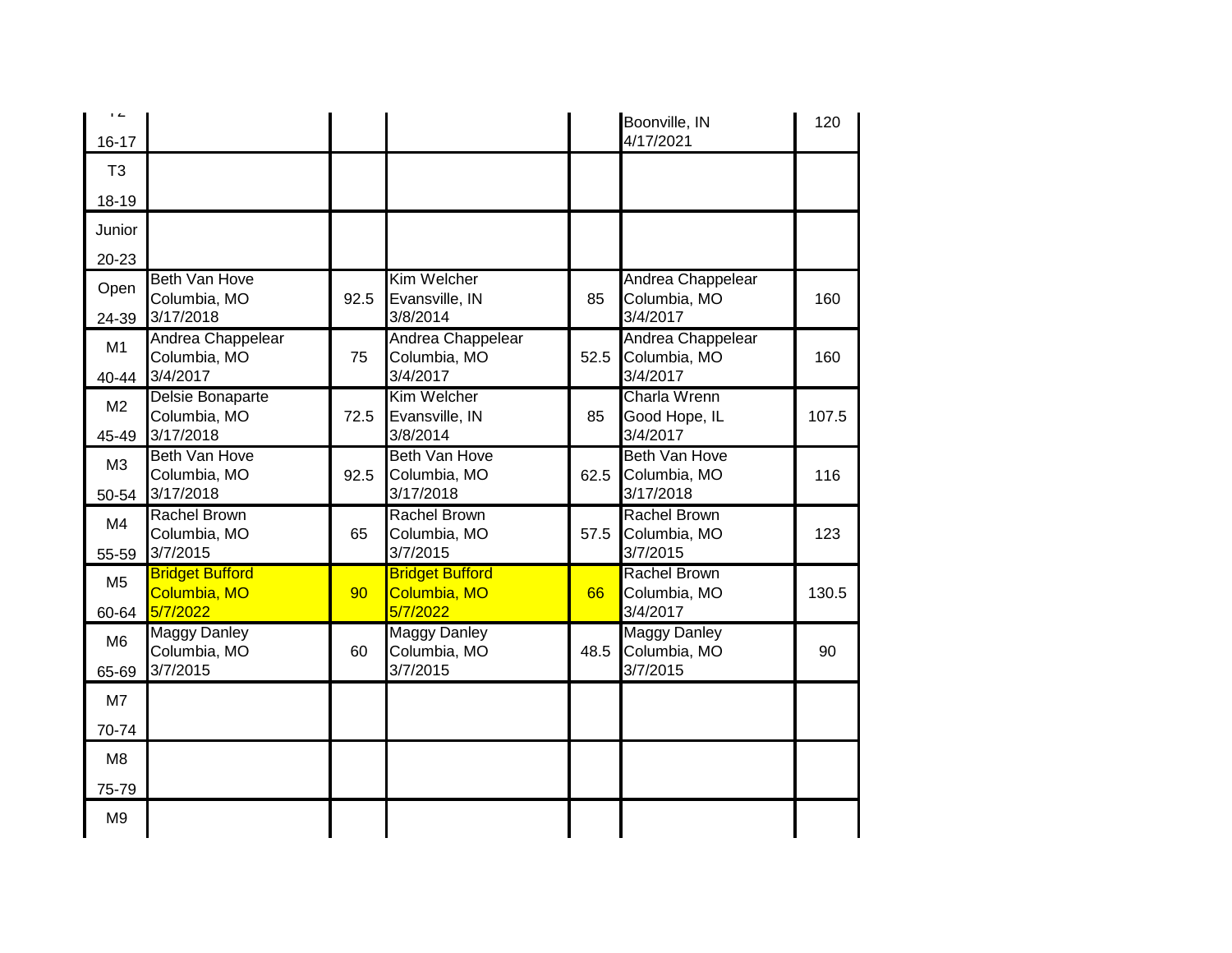| $\overline{1}$<br>$16 - 17$ |                                                    |      |                                                    |      | Boonville, IN<br>4/17/2021                       | 120   |
|-----------------------------|----------------------------------------------------|------|----------------------------------------------------|------|--------------------------------------------------|-------|
| T <sub>3</sub>              |                                                    |      |                                                    |      |                                                  |       |
| 18-19                       |                                                    |      |                                                    |      |                                                  |       |
| Junior                      |                                                    |      |                                                    |      |                                                  |       |
| 20-23                       |                                                    |      |                                                    |      |                                                  |       |
| Open<br>24-39               | <b>Beth Van Hove</b><br>Columbia, MO<br>3/17/2018  | 92.5 | Kim Welcher<br>Evansville, IN<br>3/8/2014          | 85   | Andrea Chappelear<br>Columbia, MO<br>3/4/2017    | 160   |
| M1<br>40-44                 | Andrea Chappelear<br>Columbia, MO<br>3/4/2017      | 75   | Andrea Chappelear<br>Columbia, MO<br>3/4/2017      | 52.5 | Andrea Chappelear<br>Columbia, MO<br>3/4/2017    | 160   |
| M <sub>2</sub><br>45-49     | Delsie Bonaparte<br>Columbia, MO<br>3/17/2018      | 72.5 | Kim Welcher<br>Evansville, IN<br>3/8/2014          | 85   | <b>Charla Wrenn</b><br>Good Hope, IL<br>3/4/2017 | 107.5 |
| M3<br>50-54                 | <b>Beth Van Hove</b><br>Columbia, MO<br>3/17/2018  | 92.5 | <b>Beth Van Hove</b><br>Columbia, MO<br>3/17/2018  | 62.5 | Beth Van Hove<br>Columbia, MO<br>3/17/2018       | 116   |
| M4<br>55-59                 | <b>Rachel Brown</b><br>Columbia, MO<br>3/7/2015    | 65   | <b>Rachel Brown</b><br>Columbia, MO<br>3/7/2015    | 57.5 | <b>Rachel Brown</b><br>Columbia, MO<br>3/7/2015  | 123   |
| M <sub>5</sub><br>60-64     | <b>Bridget Bufford</b><br>Columbia, MO<br>5/7/2022 | 90   | <b>Bridget Bufford</b><br>Columbia, MO<br>5/7/2022 | 66   | <b>Rachel Brown</b><br>Columbia, MO<br>3/4/2017  | 130.5 |
| M <sub>6</sub><br>65-69     | <b>Maggy Danley</b><br>Columbia, MO<br>3/7/2015    | 60   | <b>Maggy Danley</b><br>Columbia, MO<br>3/7/2015    | 48.5 | <b>Maggy Danley</b><br>Columbia, MO<br>3/7/2015  | 90    |
| M7                          |                                                    |      |                                                    |      |                                                  |       |
| 70-74                       |                                                    |      |                                                    |      |                                                  |       |
| M <sub>8</sub>              |                                                    |      |                                                    |      |                                                  |       |
| 75-79                       |                                                    |      |                                                    |      |                                                  |       |
| M <sub>9</sub>              |                                                    |      |                                                    |      |                                                  |       |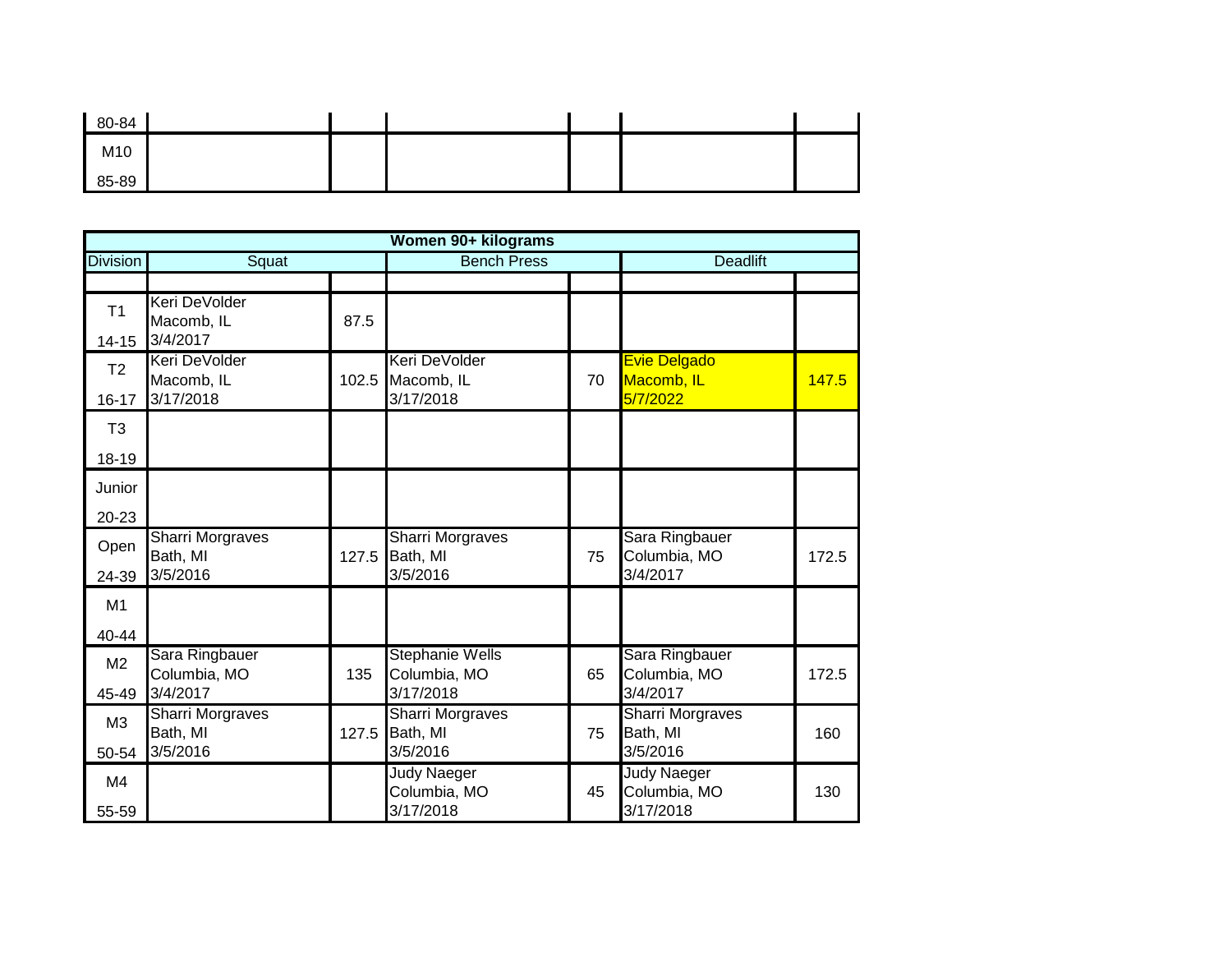| 80-84 |  |  |  |
|-------|--|--|--|
| M10   |  |  |  |
| 85-89 |  |  |  |

|                 |                                     |       | Women 90+ kilograms                    |    |                                    |       |
|-----------------|-------------------------------------|-------|----------------------------------------|----|------------------------------------|-------|
| <b>Division</b> | Squat                               |       | <b>Bench Press</b>                     |    | <b>Deadlift</b>                    |       |
|                 |                                     |       |                                        |    |                                    |       |
| T <sub>1</sub>  | Keri DeVolder<br>Macomb, IL         | 87.5  |                                        |    |                                    |       |
| $14 - 15$       | 3/4/2017                            |       |                                        |    |                                    |       |
| T <sub>2</sub>  | Keri DeVolder<br>Macomb, IL         | 102.5 | Keri DeVolder<br>Macomb, IL            | 70 | <b>Evie Delgado</b><br>Macomb, IL  | 147.5 |
| $16 - 17$       | 3/17/2018                           |       | 3/17/2018                              |    | 5/7/2022                           |       |
| T <sub>3</sub>  |                                     |       |                                        |    |                                    |       |
| 18-19           |                                     |       |                                        |    |                                    |       |
| Junior          |                                     |       |                                        |    |                                    |       |
| 20-23           |                                     |       |                                        |    |                                    |       |
| Open            | <b>Sharri Morgraves</b><br>Bath, MI | 127.5 | <b>Sharri Morgraves</b><br>Bath, MI    | 75 | Sara Ringbauer<br>Columbia, MO     | 172.5 |
| 24-39           | 3/5/2016                            |       | 3/5/2016                               |    | 3/4/2017                           |       |
| M1              |                                     |       |                                        |    |                                    |       |
| 40-44           |                                     |       |                                        |    |                                    |       |
| M <sub>2</sub>  | Sara Ringbauer<br>Columbia, MO      | 135   | <b>Stephanie Wells</b><br>Columbia, MO | 65 | Sara Ringbauer<br>Columbia, MO     | 172.5 |
| 45-49           | 3/4/2017                            |       | 3/17/2018                              |    | 3/4/2017                           |       |
| M <sub>3</sub>  | Sharri Morgraves                    |       | Sharri Morgraves                       |    | <b>Sharri Morgraves</b>            |       |
| 50-54           | Bath, MI<br>3/5/2016                | 127.5 | Bath, MI<br>3/5/2016                   | 75 | Bath, MI<br>3/5/2016               | 160   |
| M4              |                                     |       | <b>Judy Naeger</b><br>Columbia, MO     |    | <b>Judy Naeger</b><br>Columbia, MO |       |
| 55-59           |                                     |       | 3/17/2018                              | 45 | 3/17/2018                          | 130   |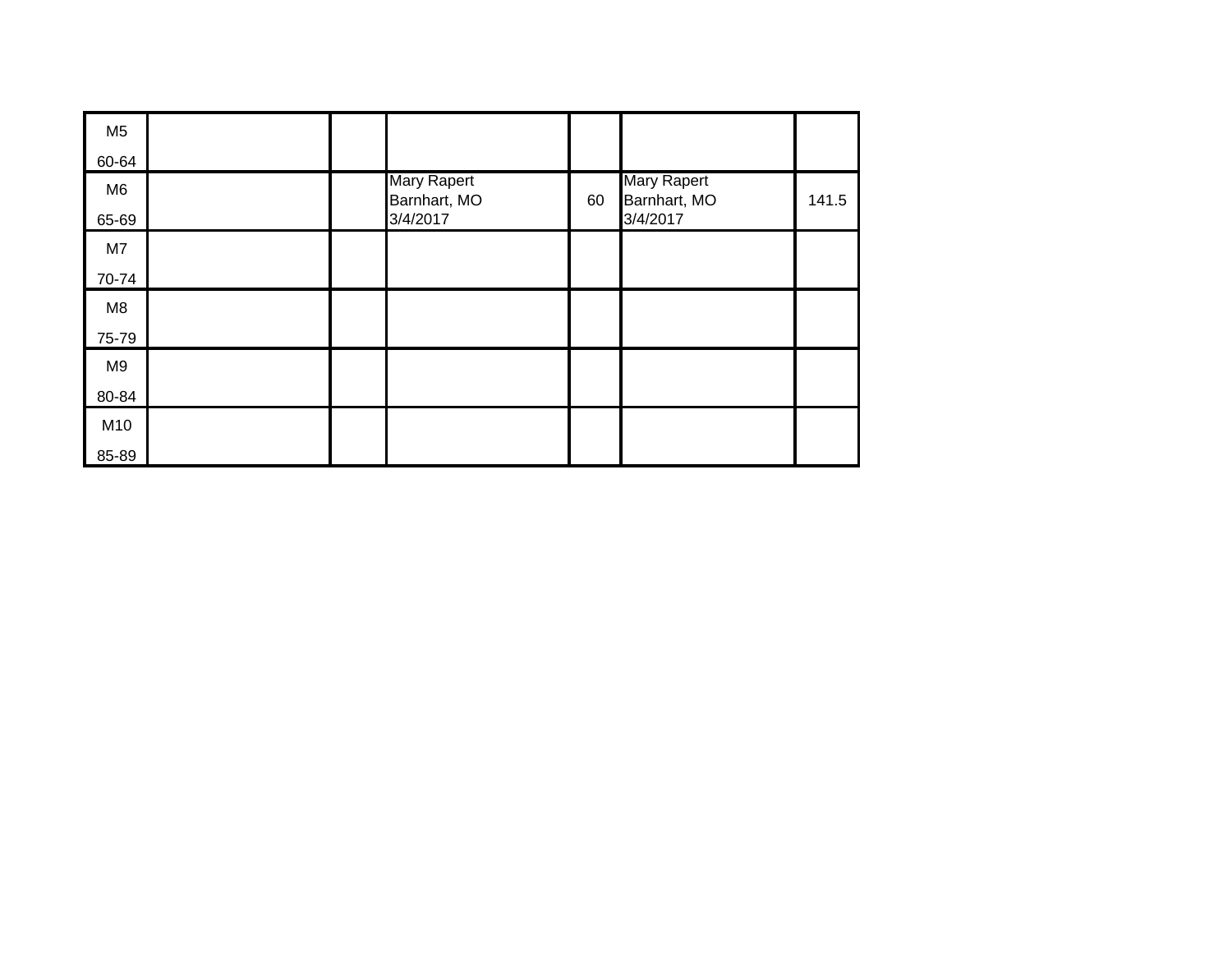| M <sub>5</sub> |  |                             |    |                             |       |
|----------------|--|-----------------------------|----|-----------------------------|-------|
| 60-64          |  |                             |    |                             |       |
| M <sub>6</sub> |  | Mary Rapert<br>Barnhart, MO | 60 | Mary Rapert<br>Barnhart, MO | 141.5 |
| 65-69          |  | 3/4/2017                    |    | 3/4/2017                    |       |
| M7             |  |                             |    |                             |       |
| 70-74          |  |                             |    |                             |       |
| M <sub>8</sub> |  |                             |    |                             |       |
| 75-79          |  |                             |    |                             |       |
| M9             |  |                             |    |                             |       |
| 80-84          |  |                             |    |                             |       |
| M10            |  |                             |    |                             |       |
| 85-89          |  |                             |    |                             |       |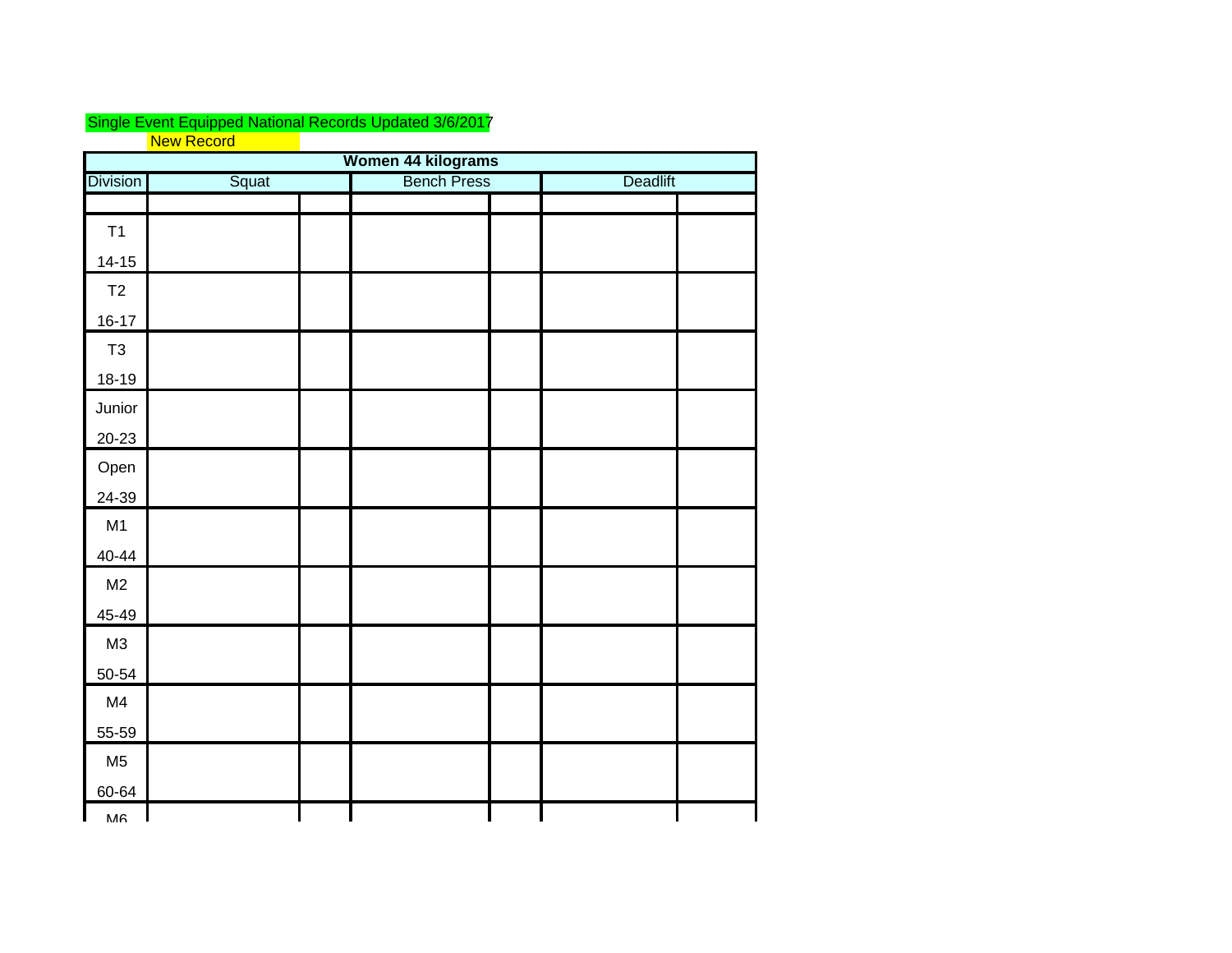## Single Event Equipped National Records Updated 3/6/2017 New Record

| Women 44 kilograms |       |  |                    |  |                 |  |  |  |
|--------------------|-------|--|--------------------|--|-----------------|--|--|--|
| <b>Division</b>    | Squat |  | <b>Bench Press</b> |  | <b>Deadlift</b> |  |  |  |
|                    |       |  |                    |  |                 |  |  |  |
| T1                 |       |  |                    |  |                 |  |  |  |
| $14 - 15$          |       |  |                    |  |                 |  |  |  |
| T2                 |       |  |                    |  |                 |  |  |  |
| $16 - 17$          |       |  |                    |  |                 |  |  |  |
| $\mathsf{T}3$      |       |  |                    |  |                 |  |  |  |
| $18 - 19$          |       |  |                    |  |                 |  |  |  |
| Junior             |       |  |                    |  |                 |  |  |  |
| $20 - 23$          |       |  |                    |  |                 |  |  |  |
| Open               |       |  |                    |  |                 |  |  |  |
| 24-39              |       |  |                    |  |                 |  |  |  |
| M1                 |       |  |                    |  |                 |  |  |  |
| $40 - 44$          |       |  |                    |  |                 |  |  |  |
| M2                 |       |  |                    |  |                 |  |  |  |
| 45-49              |       |  |                    |  |                 |  |  |  |
| M3                 |       |  |                    |  |                 |  |  |  |
| 50-54              |       |  |                    |  |                 |  |  |  |
| M4                 |       |  |                    |  |                 |  |  |  |
| 55-59              |       |  |                    |  |                 |  |  |  |
| M <sub>5</sub>     |       |  |                    |  |                 |  |  |  |
| 60-64              |       |  |                    |  |                 |  |  |  |
| MA                 |       |  |                    |  |                 |  |  |  |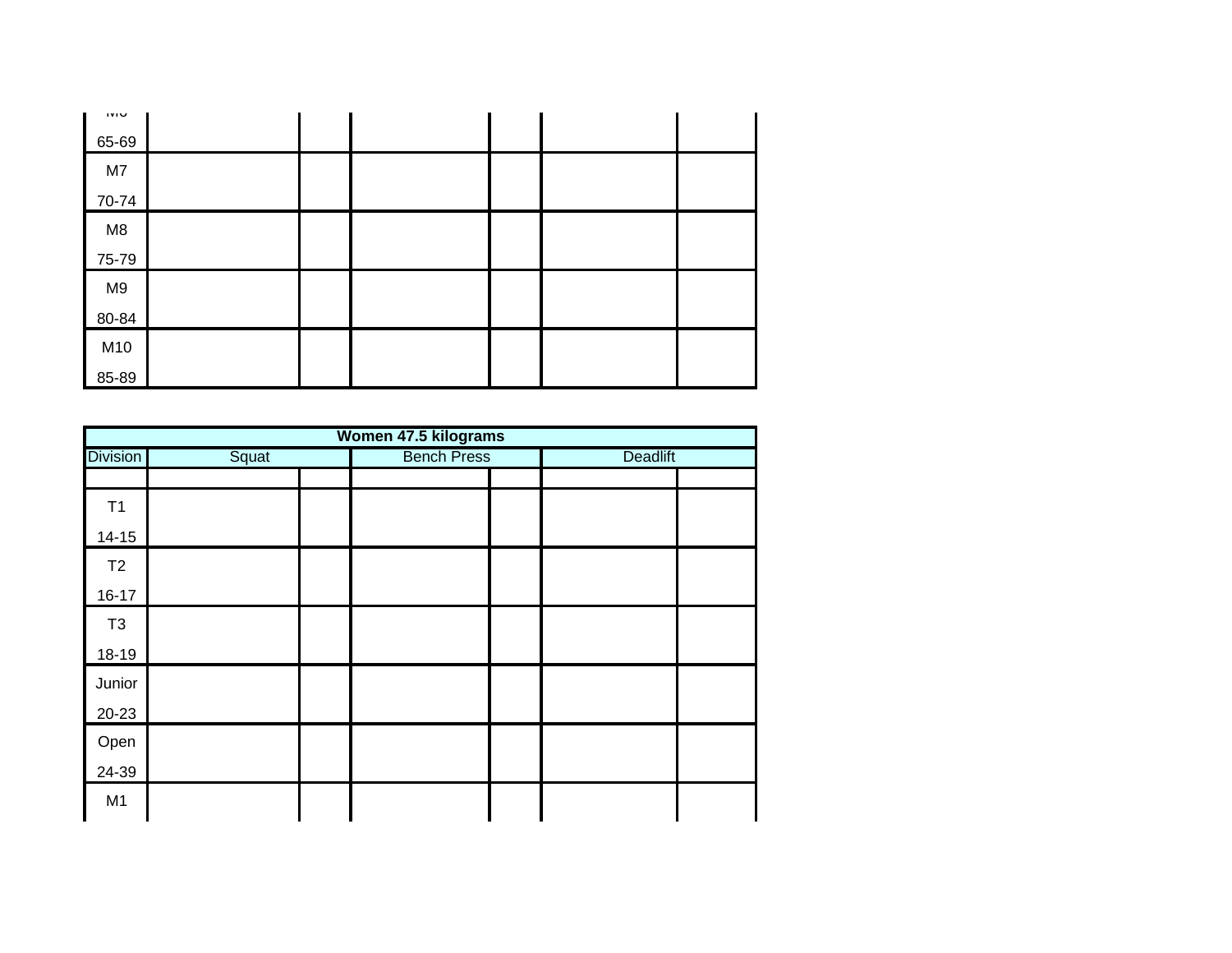| <b>IVIU</b> |  |  |  |
|-------------|--|--|--|
| 65-69       |  |  |  |
| M7          |  |  |  |
| 70-74       |  |  |  |
| M8          |  |  |  |
| 75-79       |  |  |  |
| M9          |  |  |  |
| 80-84       |  |  |  |
| M10         |  |  |  |
| 85-89       |  |  |  |

| Women 47.5 kilograms |       |  |                    |  |                 |  |  |  |  |
|----------------------|-------|--|--------------------|--|-----------------|--|--|--|--|
| <b>Division</b>      | Squat |  | <b>Bench Press</b> |  | <b>Deadlift</b> |  |  |  |  |
|                      |       |  |                    |  |                 |  |  |  |  |
| T1                   |       |  |                    |  |                 |  |  |  |  |
| $14 - 15$            |       |  |                    |  |                 |  |  |  |  |
| T2                   |       |  |                    |  |                 |  |  |  |  |
| $16 - 17$            |       |  |                    |  |                 |  |  |  |  |
| T <sub>3</sub>       |       |  |                    |  |                 |  |  |  |  |
| 18-19                |       |  |                    |  |                 |  |  |  |  |
| Junior               |       |  |                    |  |                 |  |  |  |  |
| $20 - 23$            |       |  |                    |  |                 |  |  |  |  |
| Open                 |       |  |                    |  |                 |  |  |  |  |
| 24-39                |       |  |                    |  |                 |  |  |  |  |
| M <sub>1</sub>       |       |  |                    |  |                 |  |  |  |  |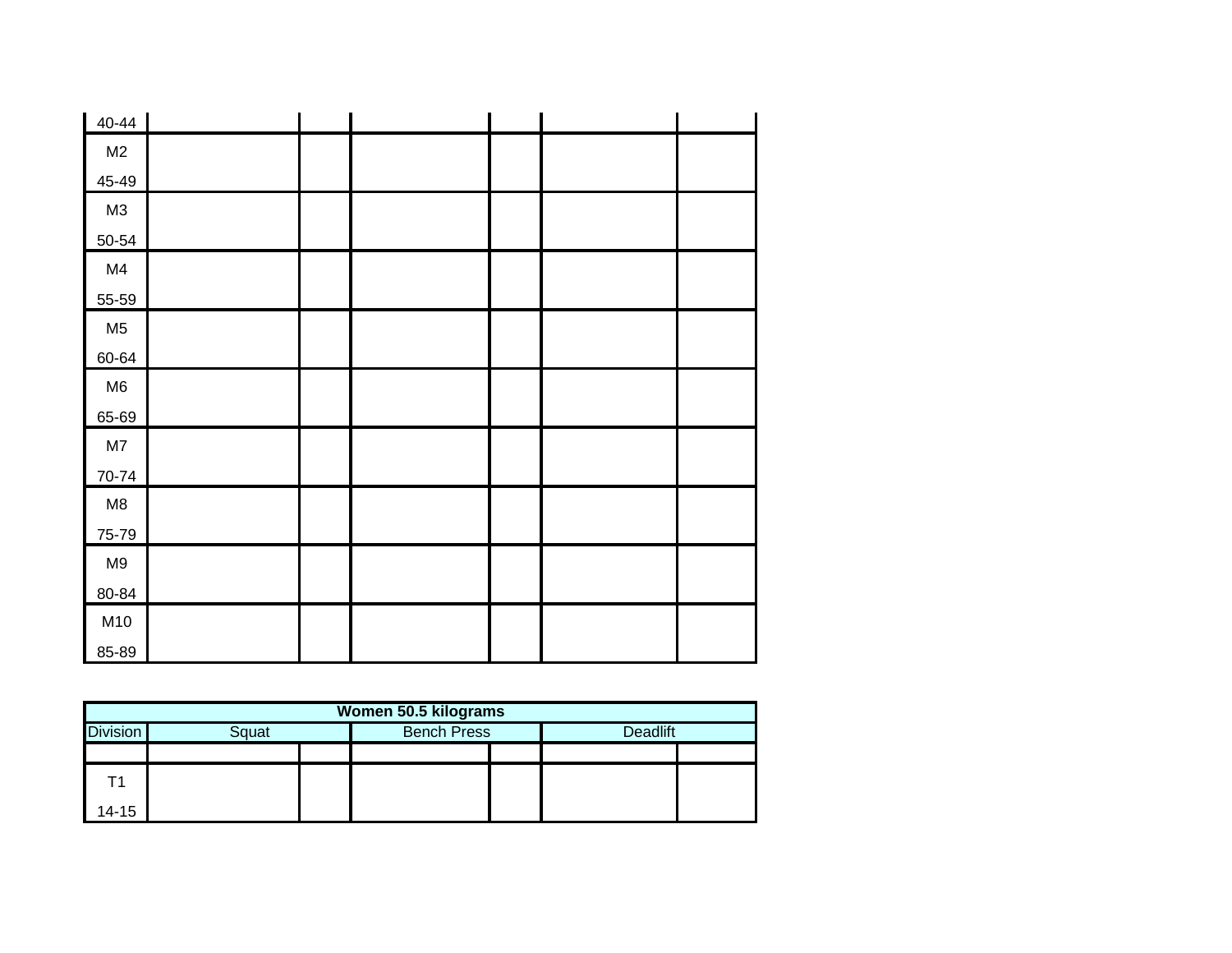| $40 - 44$      |  |  |  |
|----------------|--|--|--|
| M <sub>2</sub> |  |  |  |
| 45-49          |  |  |  |
| M3             |  |  |  |
| $50 - 54$      |  |  |  |
| M4             |  |  |  |
| 55-59          |  |  |  |
| M <sub>5</sub> |  |  |  |
| 60-64          |  |  |  |
| M6             |  |  |  |
| 65-69          |  |  |  |
| $\mathsf{M}7$  |  |  |  |
| 70-74          |  |  |  |
| $\mathsf{M}8$  |  |  |  |
| 75-79          |  |  |  |
| M9             |  |  |  |
| 80-84          |  |  |  |
| M10            |  |  |  |
| 85-89          |  |  |  |

| Women 50.5 kilograms                           |  |  |  |  |                 |  |  |  |  |
|------------------------------------------------|--|--|--|--|-----------------|--|--|--|--|
| <b>Division</b><br><b>Bench Press</b><br>Squat |  |  |  |  | <b>Deadlift</b> |  |  |  |  |
|                                                |  |  |  |  |                 |  |  |  |  |
|                                                |  |  |  |  |                 |  |  |  |  |
| 14-15                                          |  |  |  |  |                 |  |  |  |  |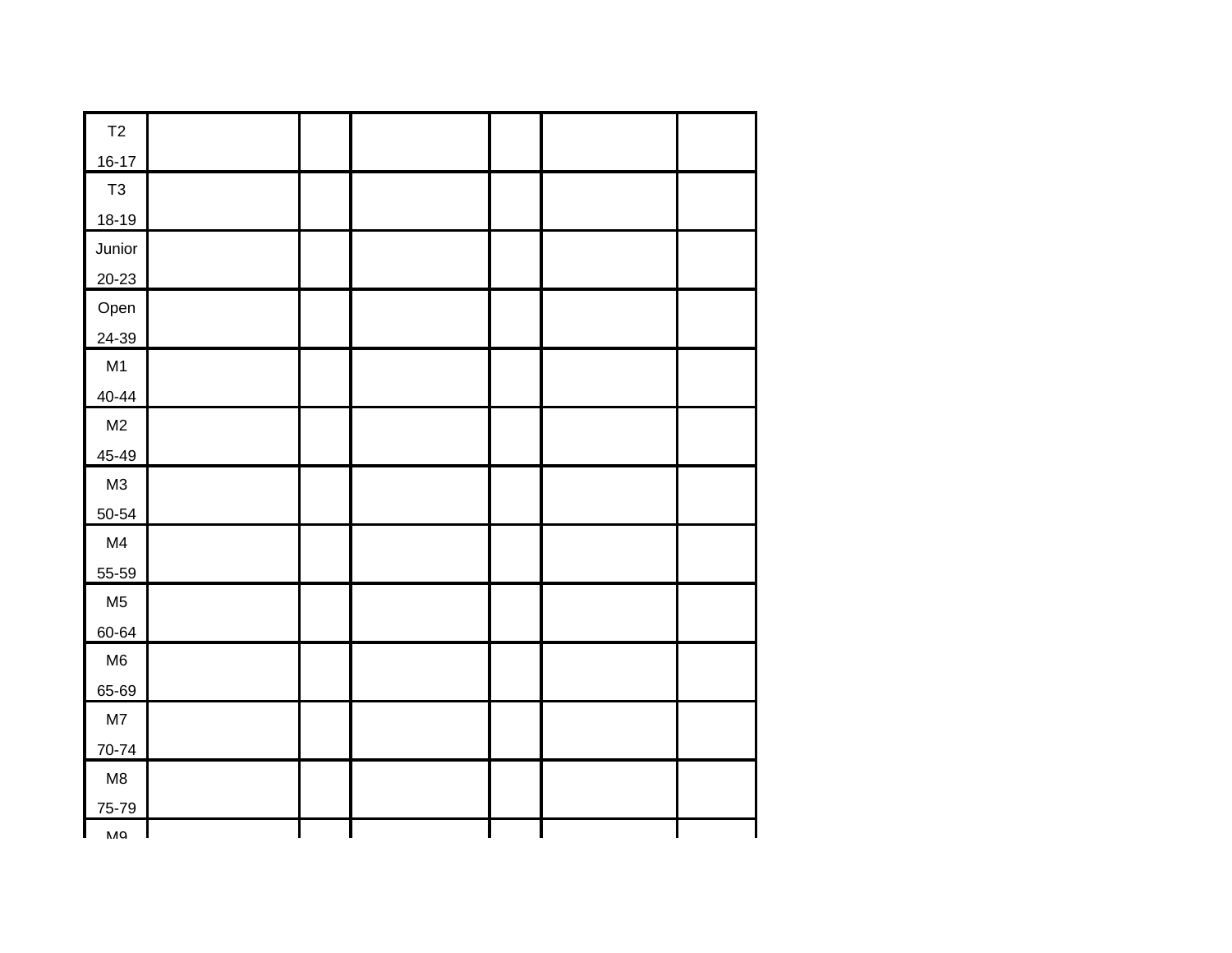| T2             |  |  |  |
|----------------|--|--|--|
| $16 - 17$      |  |  |  |
| $\mathsf{T}3$  |  |  |  |
| $18-19$        |  |  |  |
| Junior         |  |  |  |
| $20 - 23$      |  |  |  |
| Open           |  |  |  |
| 24-39          |  |  |  |
| M1             |  |  |  |
| $40 - 44$      |  |  |  |
| M <sub>2</sub> |  |  |  |
| 45-49          |  |  |  |
| M3             |  |  |  |
| 50-54          |  |  |  |
| M4             |  |  |  |
| 55-59          |  |  |  |
| M <sub>5</sub> |  |  |  |
| 60-64          |  |  |  |
| M6             |  |  |  |
| 65-69          |  |  |  |
| M7             |  |  |  |
| 70-74          |  |  |  |
| M8             |  |  |  |
| 75-79          |  |  |  |
| MQ             |  |  |  |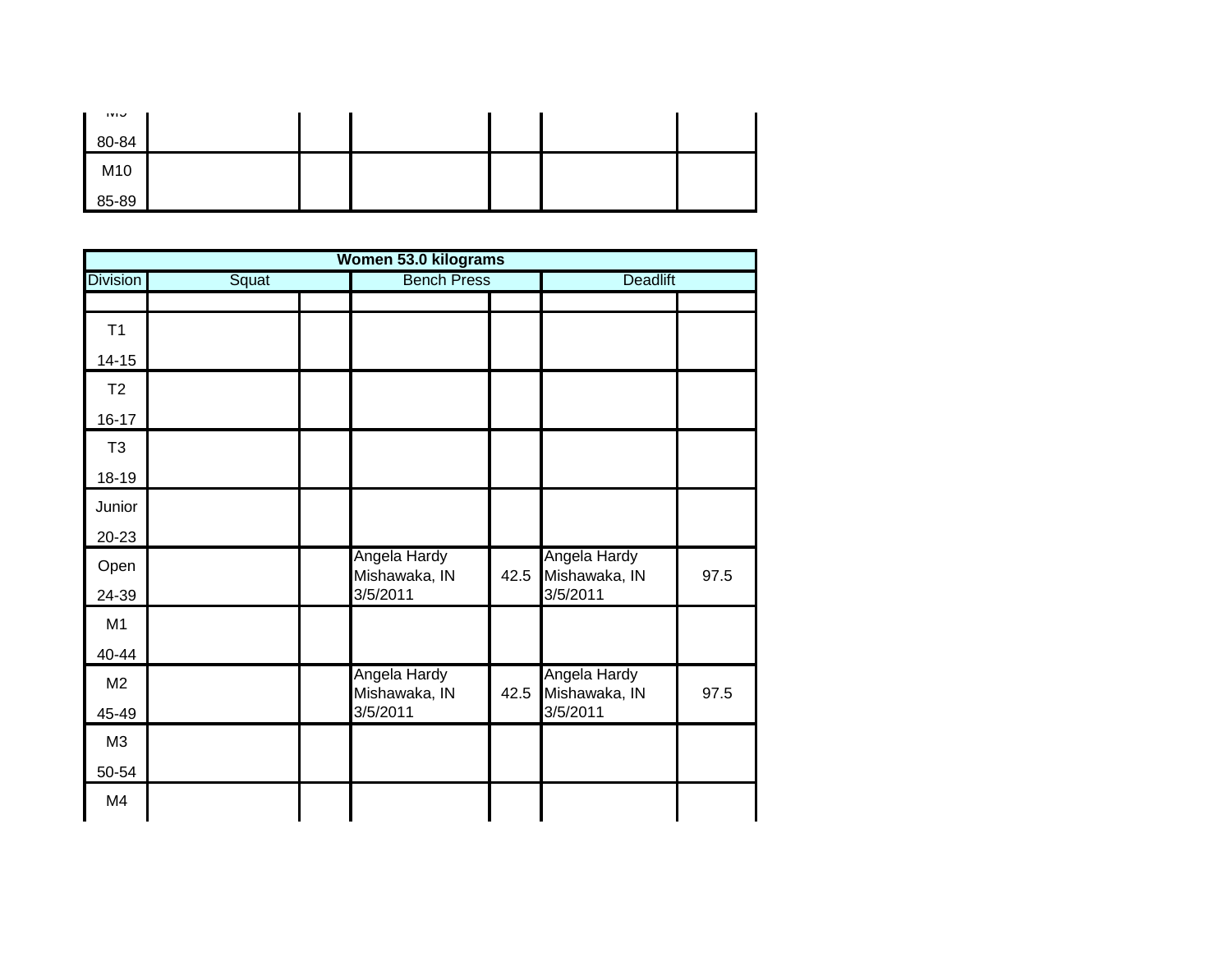| ت∎۷۱  |  |  |  |
|-------|--|--|--|
| 80-84 |  |  |  |
| M10   |  |  |  |
| 85-89 |  |  |  |

|                 |       | Women 53.0 kilograms      |      |                           |      |  |
|-----------------|-------|---------------------------|------|---------------------------|------|--|
| <b>Division</b> | Squat | <b>Bench Press</b>        |      | Deadlift                  |      |  |
|                 |       |                           |      |                           |      |  |
| T1              |       |                           |      |                           |      |  |
| $14 - 15$       |       |                           |      |                           |      |  |
| T2              |       |                           |      |                           |      |  |
| $16 - 17$       |       |                           |      |                           |      |  |
| T <sub>3</sub>  |       |                           |      |                           |      |  |
| 18-19           |       |                           |      |                           |      |  |
| Junior          |       |                           |      |                           |      |  |
| 20-23           |       |                           |      |                           |      |  |
| Open            |       | Angela Hardy              |      | Angela Hardy              |      |  |
| 24-39           |       | Mishawaka, IN<br>3/5/2011 | 42.5 | Mishawaka, IN<br>3/5/2011 | 97.5 |  |
| M <sub>1</sub>  |       |                           |      |                           |      |  |
| 40-44           |       |                           |      |                           |      |  |
| M2              |       | Angela Hardy              |      | Angela Hardy              |      |  |
| 45-49           |       | Mishawaka, IN<br>3/5/2011 | 42.5 | Mishawaka, IN<br>3/5/2011 | 97.5 |  |
| M3              |       |                           |      |                           |      |  |
| 50-54           |       |                           |      |                           |      |  |
|                 |       |                           |      |                           |      |  |
| M <sub>4</sub>  |       |                           |      |                           |      |  |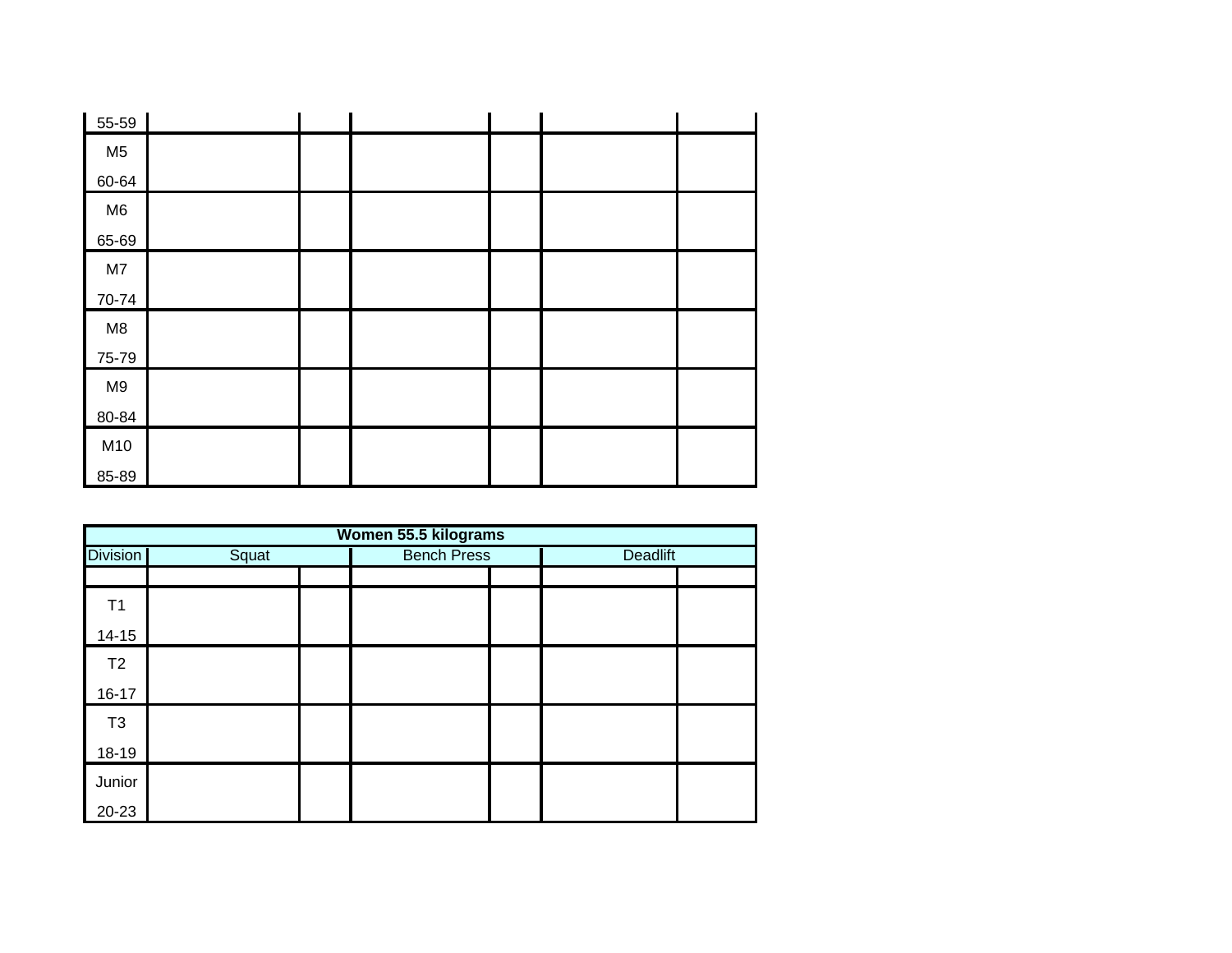| 55-59          |  |  |  |
|----------------|--|--|--|
| M <sub>5</sub> |  |  |  |
| 60-64          |  |  |  |
| M6             |  |  |  |
| 65-69          |  |  |  |
| M7             |  |  |  |
| 70-74          |  |  |  |
| M8             |  |  |  |
| 75-79          |  |  |  |
| M <sub>9</sub> |  |  |  |
| 80-84          |  |  |  |
| M10            |  |  |  |
| 85-89          |  |  |  |

| Women 55.5 kilograms |       |  |                    |  |                 |  |  |  |  |
|----------------------|-------|--|--------------------|--|-----------------|--|--|--|--|
| <b>Division</b>      | Squat |  | <b>Bench Press</b> |  | <b>Deadlift</b> |  |  |  |  |
|                      |       |  |                    |  |                 |  |  |  |  |
| T1                   |       |  |                    |  |                 |  |  |  |  |
| $14 - 15$            |       |  |                    |  |                 |  |  |  |  |
| T2                   |       |  |                    |  |                 |  |  |  |  |
| $16 - 17$            |       |  |                    |  |                 |  |  |  |  |
| T <sub>3</sub>       |       |  |                    |  |                 |  |  |  |  |
| 18-19                |       |  |                    |  |                 |  |  |  |  |
| Junior               |       |  |                    |  |                 |  |  |  |  |
| 20-23                |       |  |                    |  |                 |  |  |  |  |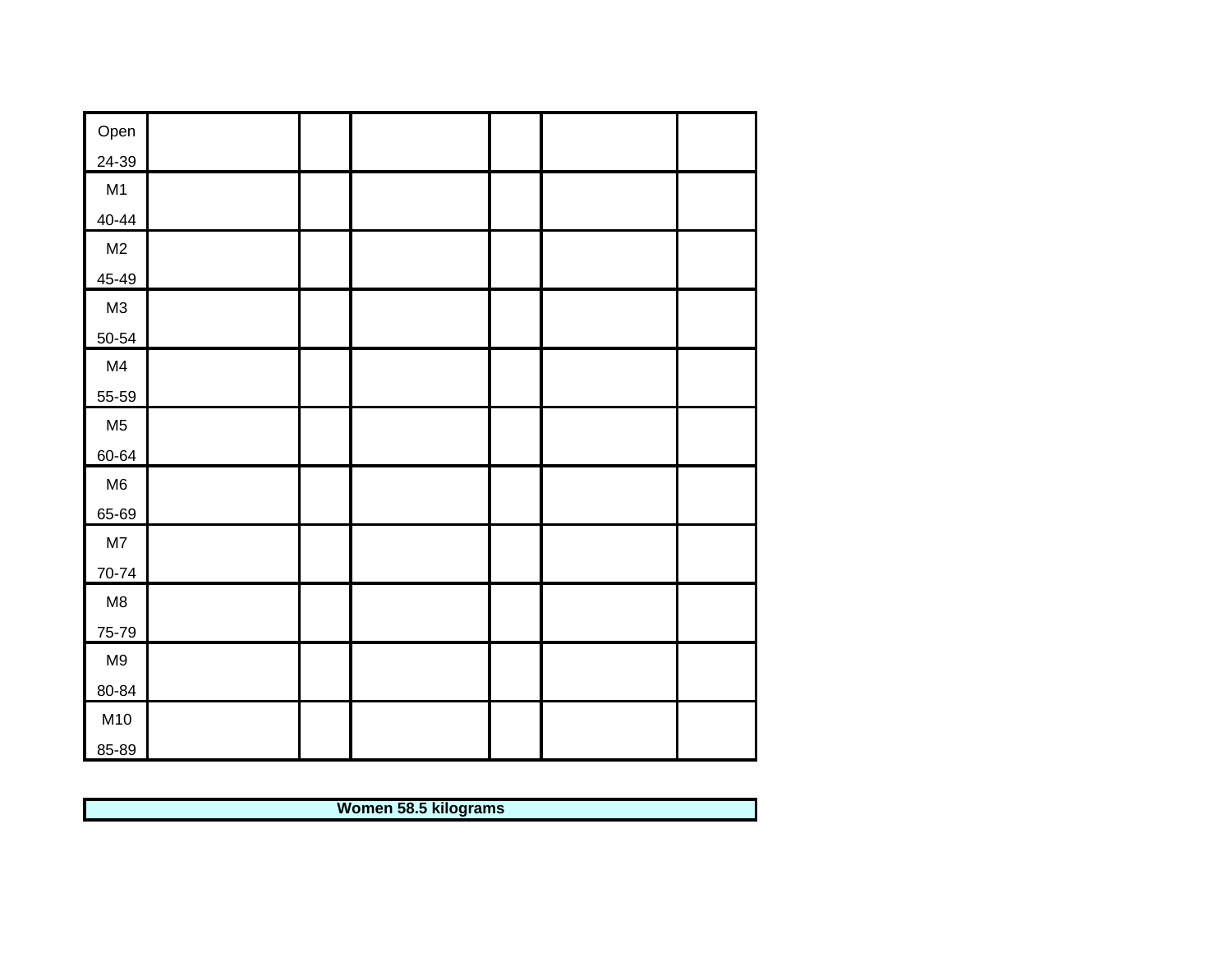| Open           |  |  |  |
|----------------|--|--|--|
| 24-39          |  |  |  |
| M1             |  |  |  |
| $40 - 44$      |  |  |  |
| M2             |  |  |  |
| 45-49          |  |  |  |
| M3             |  |  |  |
| $50 - 54$      |  |  |  |
| M4             |  |  |  |
| 55-59          |  |  |  |
| M <sub>5</sub> |  |  |  |
| 60-64          |  |  |  |
| M6             |  |  |  |
| 65-69          |  |  |  |
| $\mathsf{M}7$  |  |  |  |
| 70-74          |  |  |  |
| M8             |  |  |  |
| 75-79          |  |  |  |
| M9             |  |  |  |
| 80-84          |  |  |  |
| M10            |  |  |  |
| 85-89          |  |  |  |

**Women 58.5 kilograms**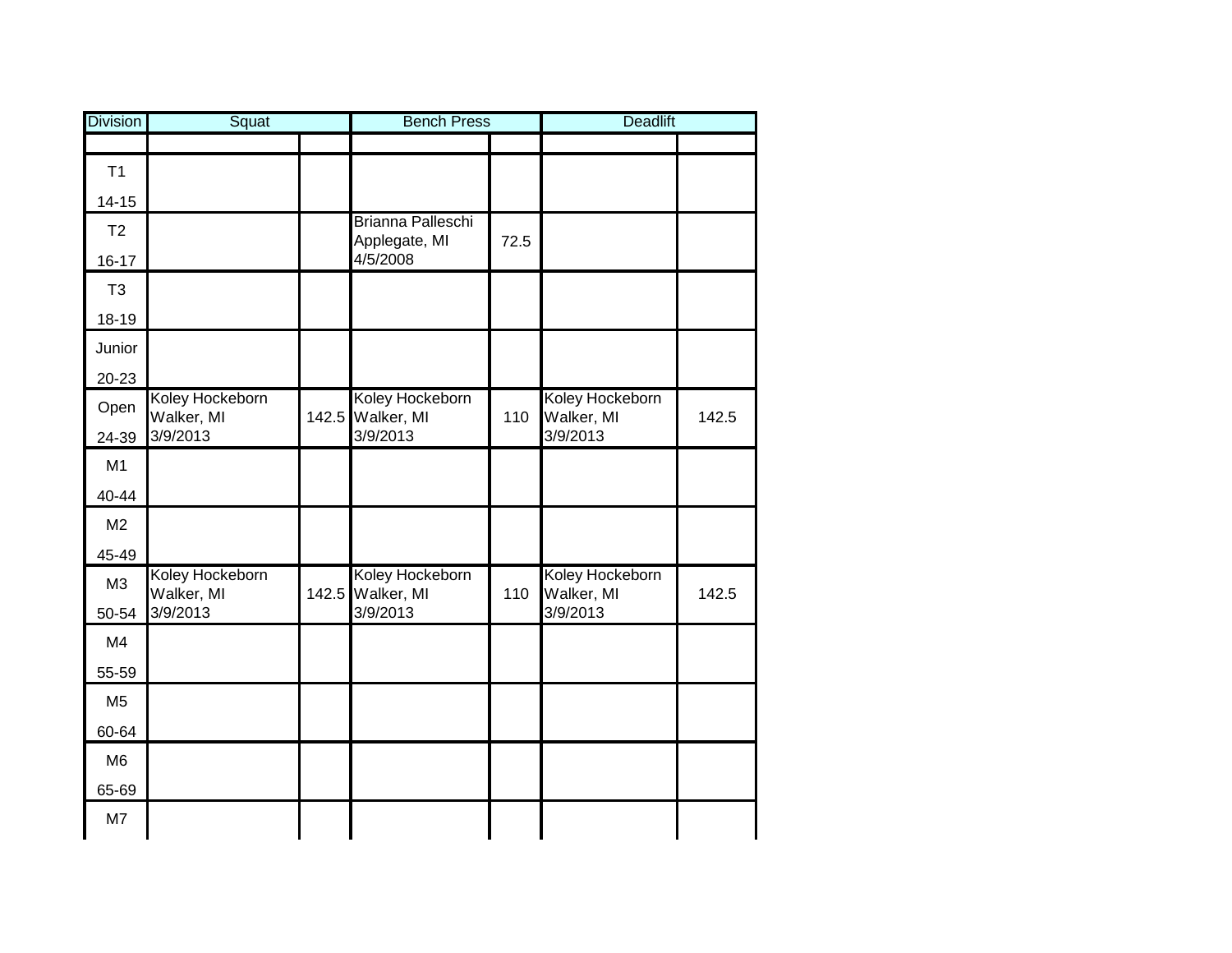| <b>Division</b> | Squat                         | <b>Bench Press</b>                 |      | <b>Deadlift</b>        |       |
|-----------------|-------------------------------|------------------------------------|------|------------------------|-------|
|                 |                               |                                    |      |                        |       |
| T1              |                               |                                    |      |                        |       |
| $14 - 15$       |                               |                                    |      |                        |       |
| T <sub>2</sub>  |                               | Brianna Palleschi<br>Applegate, MI | 72.5 |                        |       |
| $16 - 17$       |                               | 4/5/2008                           |      |                        |       |
| T <sub>3</sub>  |                               |                                    |      |                        |       |
| 18-19           |                               |                                    |      |                        |       |
| Junior          |                               |                                    |      |                        |       |
| $20 - 23$       |                               |                                    |      |                        |       |
| Open            | Koley Hockeborn<br>Walker, MI | Koley Hockeborn                    | 110  | Koley Hockeborn        | 142.5 |
| 24-39           | 3/9/2013                      | 142.5 Walker, MI<br>3/9/2013       |      | Walker, MI<br>3/9/2013 |       |
| M1              |                               |                                    |      |                        |       |
| 40-44           |                               |                                    |      |                        |       |
| M <sub>2</sub>  |                               |                                    |      |                        |       |
| 45-49           |                               |                                    |      |                        |       |
| M3              | Koley Hockeborn               | Koley Hockeborn                    |      | Koley Hockeborn        |       |
| 50-54           | Walker, MI<br>3/9/2013        | 142.5 Walker, MI<br>3/9/2013       | 110  | Walker, MI<br>3/9/2013 | 142.5 |
| M4              |                               |                                    |      |                        |       |
| 55-59           |                               |                                    |      |                        |       |
| M <sub>5</sub>  |                               |                                    |      |                        |       |
| 60-64           |                               |                                    |      |                        |       |
| M <sub>6</sub>  |                               |                                    |      |                        |       |
| 65-69           |                               |                                    |      |                        |       |
| M7              |                               |                                    |      |                        |       |
|                 |                               |                                    |      |                        |       |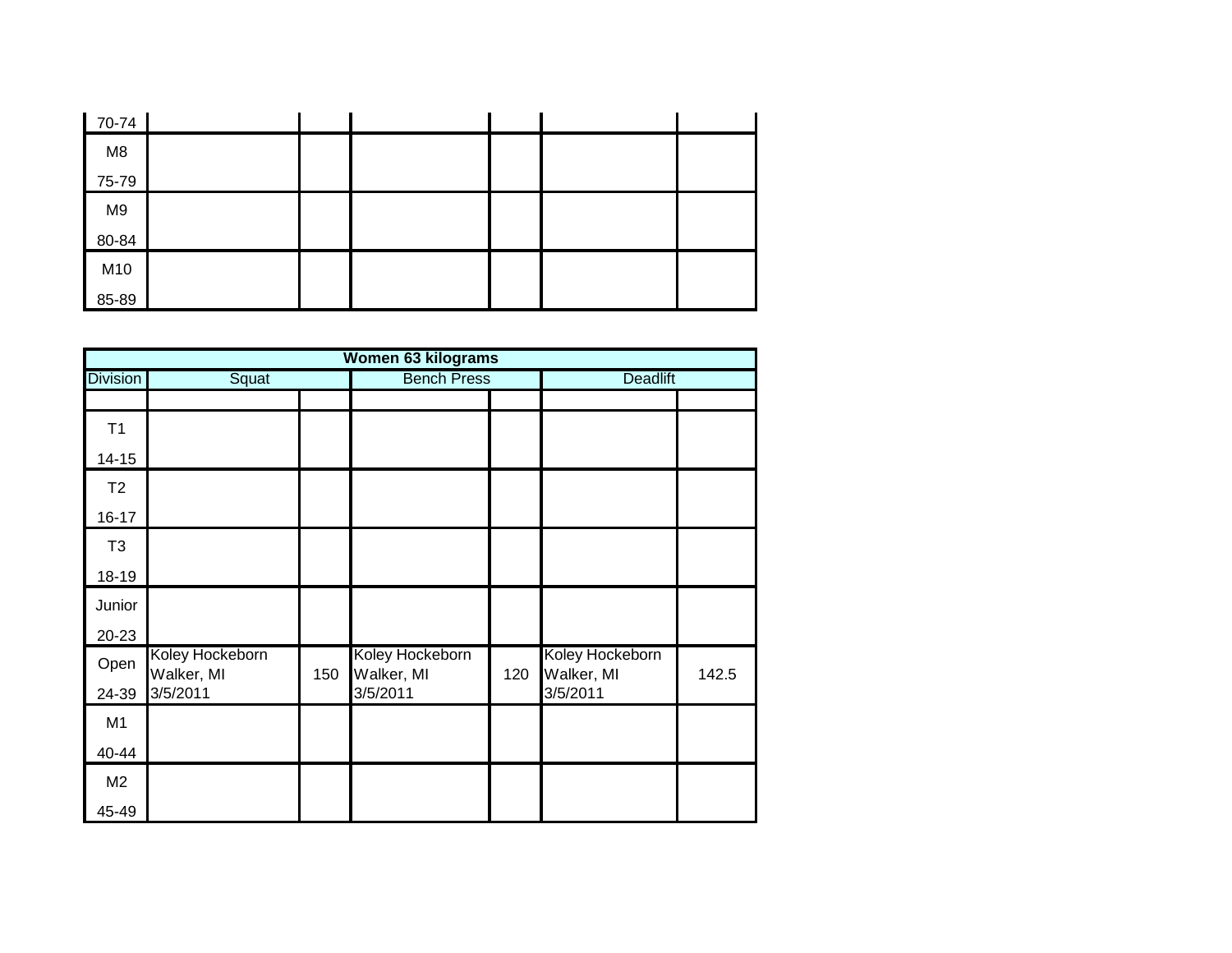| 70-74          |  |  |  |
|----------------|--|--|--|
| M8             |  |  |  |
| 75-79          |  |  |  |
| M <sub>9</sub> |  |  |  |
| 80-84          |  |  |  |
| M10            |  |  |  |
| 85-89          |  |  |  |

|                 | <b>Women 63 kilograms</b>     |     |                               |     |                               |       |  |  |  |
|-----------------|-------------------------------|-----|-------------------------------|-----|-------------------------------|-------|--|--|--|
| <b>Division</b> | Squat                         |     | <b>Bench Press</b>            |     | <b>Deadlift</b>               |       |  |  |  |
|                 |                               |     |                               |     |                               |       |  |  |  |
| T1              |                               |     |                               |     |                               |       |  |  |  |
| $14 - 15$       |                               |     |                               |     |                               |       |  |  |  |
| T2              |                               |     |                               |     |                               |       |  |  |  |
| $16 - 17$       |                               |     |                               |     |                               |       |  |  |  |
| T <sub>3</sub>  |                               |     |                               |     |                               |       |  |  |  |
| 18-19           |                               |     |                               |     |                               |       |  |  |  |
| Junior          |                               |     |                               |     |                               |       |  |  |  |
| 20-23           |                               |     |                               |     |                               |       |  |  |  |
| Open            | Koley Hockeborn<br>Walker, MI | 150 | Koley Hockeborn<br>Walker, MI | 120 | Koley Hockeborn<br>Walker, MI | 142.5 |  |  |  |
| 24-39           | 3/5/2011                      |     | 3/5/2011                      |     | 3/5/2011                      |       |  |  |  |
| M1              |                               |     |                               |     |                               |       |  |  |  |
| 40-44           |                               |     |                               |     |                               |       |  |  |  |
| M <sub>2</sub>  |                               |     |                               |     |                               |       |  |  |  |
| 45-49           |                               |     |                               |     |                               |       |  |  |  |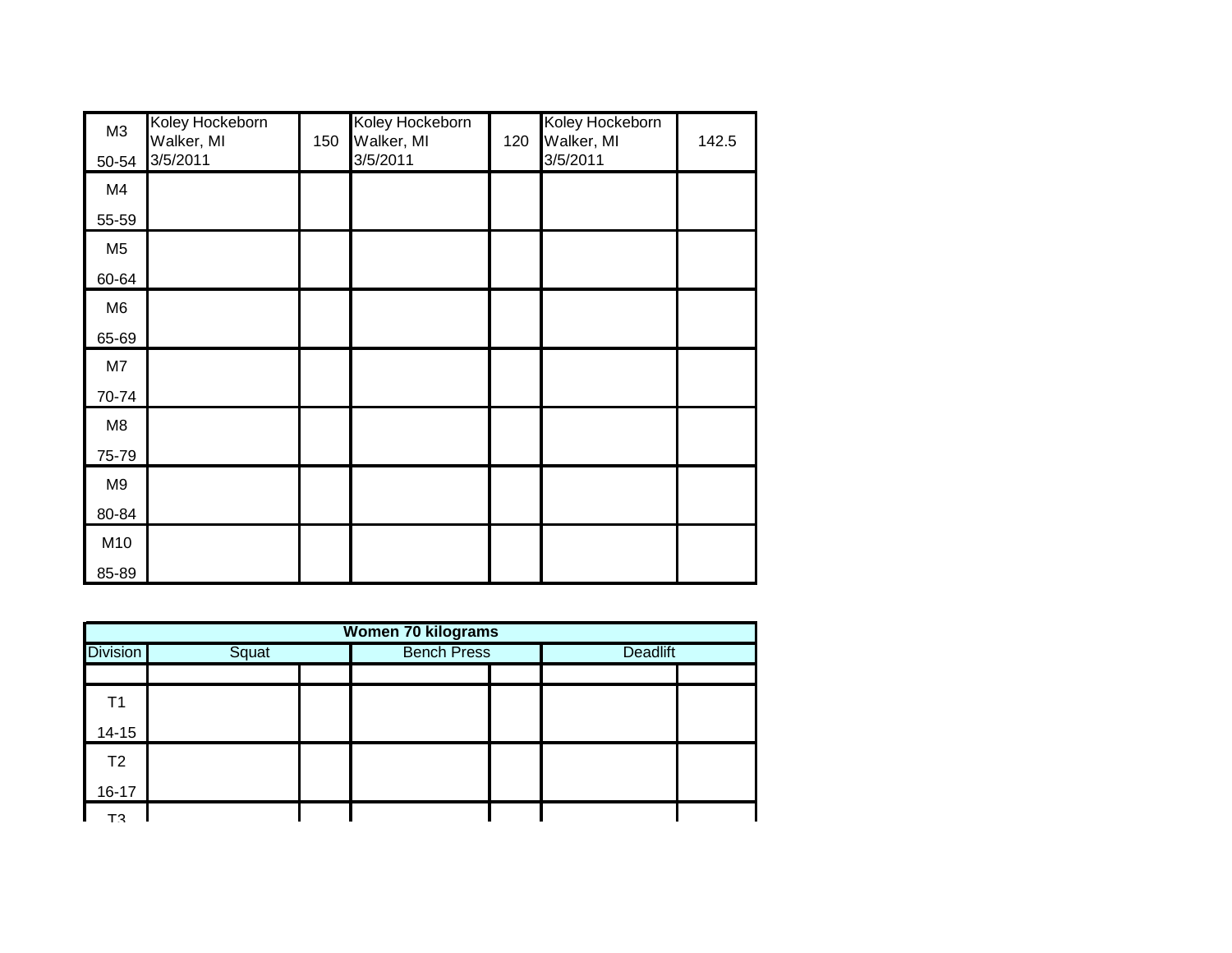| M3             | Koley Hockeborn<br>Walker, MI | 150 | Koley Hockeborn<br>Walker, MI | 120 | Koley Hockeborn<br>Walker, MI | 142.5 |
|----------------|-------------------------------|-----|-------------------------------|-----|-------------------------------|-------|
| 50-54          | 3/5/2011                      |     | 3/5/2011                      |     | 3/5/2011                      |       |
| M4             |                               |     |                               |     |                               |       |
| 55-59          |                               |     |                               |     |                               |       |
| M <sub>5</sub> |                               |     |                               |     |                               |       |
| 60-64          |                               |     |                               |     |                               |       |
| M <sub>6</sub> |                               |     |                               |     |                               |       |
| 65-69          |                               |     |                               |     |                               |       |
| M7             |                               |     |                               |     |                               |       |
| 70-74          |                               |     |                               |     |                               |       |
| M <sub>8</sub> |                               |     |                               |     |                               |       |
| 75-79          |                               |     |                               |     |                               |       |
| M <sub>9</sub> |                               |     |                               |     |                               |       |
| 80-84          |                               |     |                               |     |                               |       |
| M10            |                               |     |                               |     |                               |       |
| 85-89          |                               |     |                               |     |                               |       |

| <b>Women 70 kilograms</b> |       |  |                    |  |                 |  |  |  |
|---------------------------|-------|--|--------------------|--|-----------------|--|--|--|
| <b>Division</b>           | Squat |  | <b>Bench Press</b> |  | <b>Deadlift</b> |  |  |  |
|                           |       |  |                    |  |                 |  |  |  |
| Τ1                        |       |  |                    |  |                 |  |  |  |
| $14 - 15$                 |       |  |                    |  |                 |  |  |  |
| T2                        |       |  |                    |  |                 |  |  |  |
| $16 - 17$                 |       |  |                    |  |                 |  |  |  |
| т٩                        |       |  |                    |  |                 |  |  |  |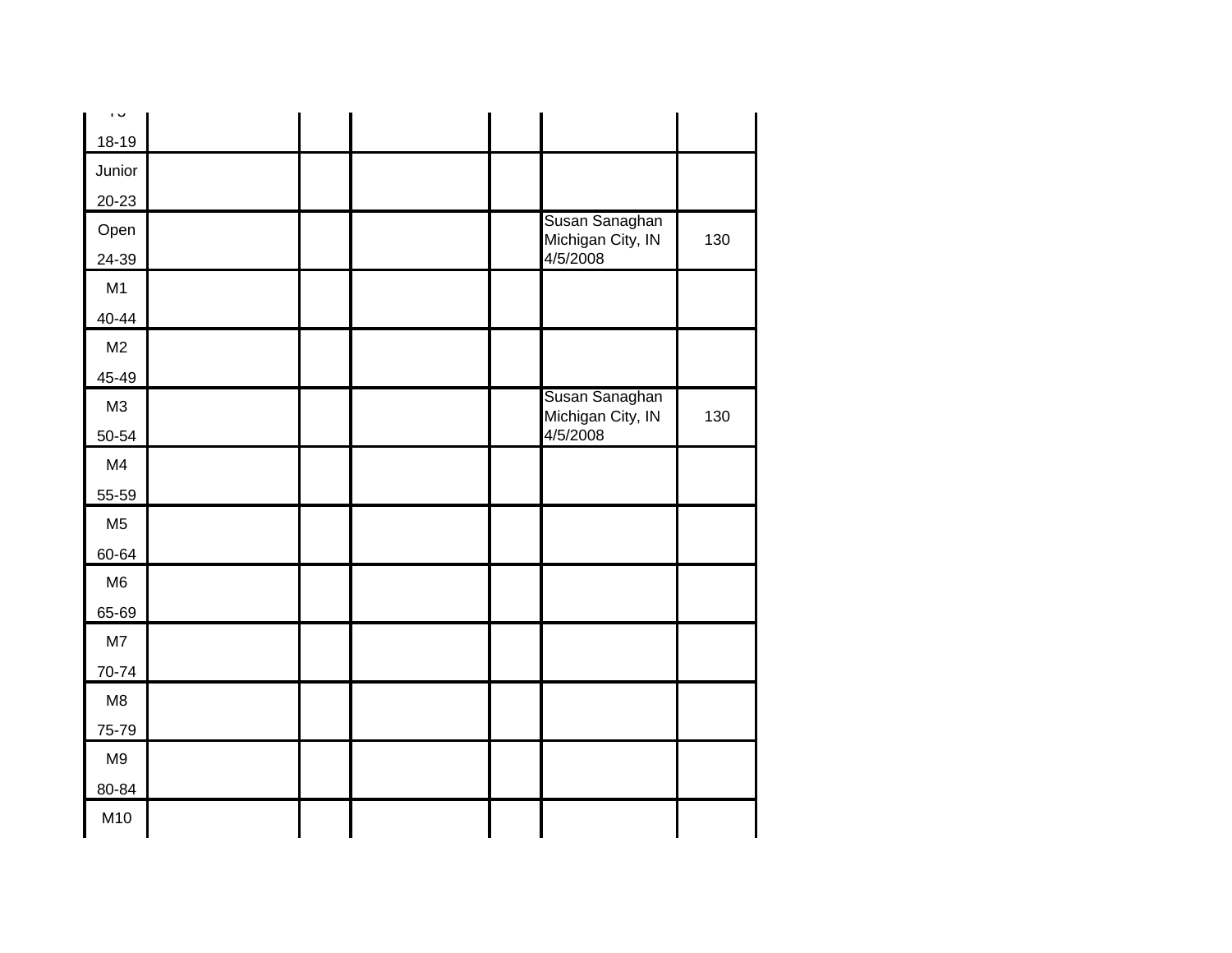| ن ا                 |  |  |                               |     |
|---------------------|--|--|-------------------------------|-----|
| $18 - 19$           |  |  |                               |     |
| Junior              |  |  |                               |     |
| $20 - 23$           |  |  |                               |     |
| Open                |  |  | Susan Sanaghan                | 130 |
| 24-39               |  |  | Michigan City, IN<br>4/5/2008 |     |
| M1                  |  |  |                               |     |
| 40-44               |  |  |                               |     |
| M <sub>2</sub>      |  |  |                               |     |
| 45-49               |  |  |                               |     |
| M3                  |  |  | Susan Sanaghan                |     |
| 50-54               |  |  | Michigan City, IN<br>4/5/2008 | 130 |
| M4                  |  |  |                               |     |
| $\underline{55-59}$ |  |  |                               |     |
| M <sub>5</sub>      |  |  |                               |     |
| 60-64               |  |  |                               |     |
| M <sub>6</sub>      |  |  |                               |     |
| 65-69               |  |  |                               |     |
| M7                  |  |  |                               |     |
| 70-74               |  |  |                               |     |
| M <sub>8</sub>      |  |  |                               |     |
| 75-79               |  |  |                               |     |
| M <sub>9</sub>      |  |  |                               |     |
| 80-84               |  |  |                               |     |
| M10                 |  |  |                               |     |
|                     |  |  |                               |     |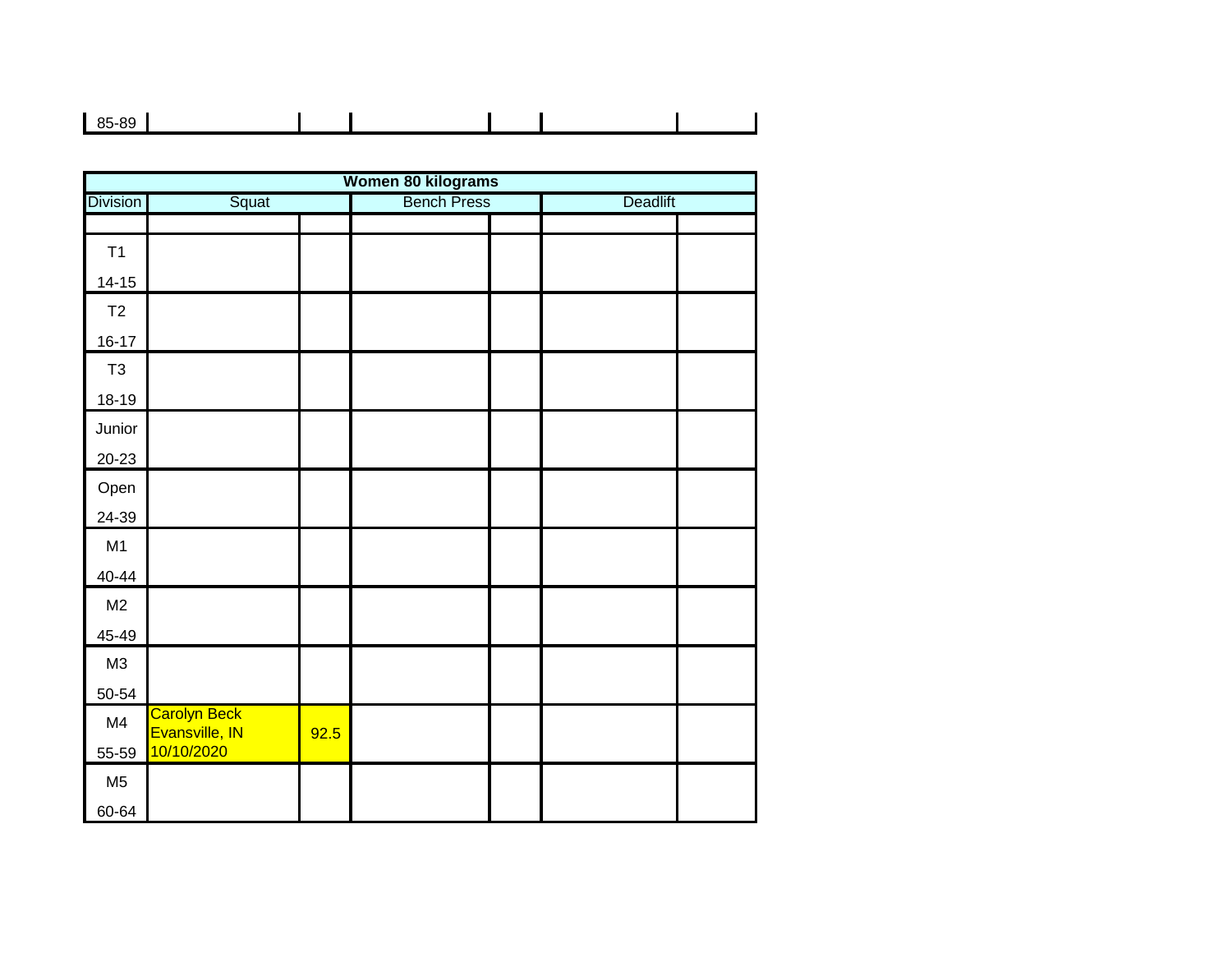| $85 - 89$ |  |  |
|-----------|--|--|
|           |  |  |

|                 |                                |      | Women 80 kilograms |                 |  |
|-----------------|--------------------------------|------|--------------------|-----------------|--|
| <b>Division</b> | Squat                          |      | <b>Bench Press</b> | <b>Deadlift</b> |  |
|                 |                                |      |                    |                 |  |
| T1              |                                |      |                    |                 |  |
| $14 - 15$       |                                |      |                    |                 |  |
| T2              |                                |      |                    |                 |  |
| $16 - 17$       |                                |      |                    |                 |  |
| T <sub>3</sub>  |                                |      |                    |                 |  |
| $18-19$         |                                |      |                    |                 |  |
| Junior          |                                |      |                    |                 |  |
| $20 - 23$       |                                |      |                    |                 |  |
| Open            |                                |      |                    |                 |  |
| 24-39           |                                |      |                    |                 |  |
| M1              |                                |      |                    |                 |  |
| 40-44           |                                |      |                    |                 |  |
| M <sub>2</sub>  |                                |      |                    |                 |  |
| 45-49           |                                |      |                    |                 |  |
| M3              |                                |      |                    |                 |  |
| 50-54           |                                |      |                    |                 |  |
| M4              | Carolyn Beck<br>Evansville, IN | 92.5 |                    |                 |  |
| 55-59           | 10/10/2020                     |      |                    |                 |  |
| M <sub>5</sub>  |                                |      |                    |                 |  |
| 60-64           |                                |      |                    |                 |  |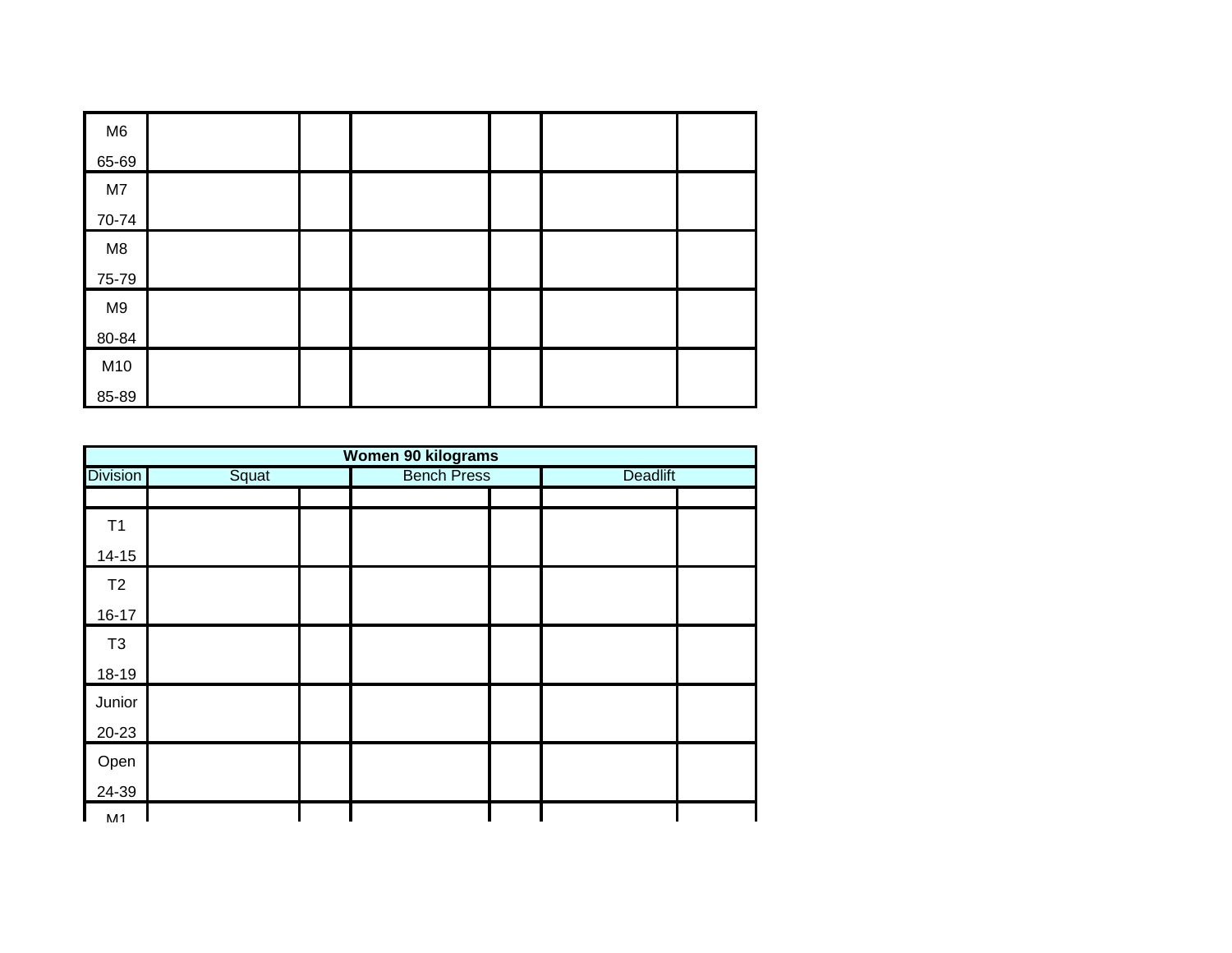| M <sub>6</sub> |  |  |  |
|----------------|--|--|--|
| 65-69          |  |  |  |
| M7             |  |  |  |
| 70-74          |  |  |  |
| M8             |  |  |  |
| 75-79          |  |  |  |
| M <sub>9</sub> |  |  |  |
| 80-84          |  |  |  |
| M10            |  |  |  |
| 85-89          |  |  |  |

| Women 90 kilograms |       |  |                    |  |                 |  |  |  |  |  |
|--------------------|-------|--|--------------------|--|-----------------|--|--|--|--|--|
| <b>Division</b>    | Squat |  | <b>Bench Press</b> |  | <b>Deadlift</b> |  |  |  |  |  |
|                    |       |  |                    |  |                 |  |  |  |  |  |
| T1                 |       |  |                    |  |                 |  |  |  |  |  |
| $14 - 15$          |       |  |                    |  |                 |  |  |  |  |  |
| T <sub>2</sub>     |       |  |                    |  |                 |  |  |  |  |  |
| $16 - 17$          |       |  |                    |  |                 |  |  |  |  |  |
| T <sub>3</sub>     |       |  |                    |  |                 |  |  |  |  |  |
| 18-19              |       |  |                    |  |                 |  |  |  |  |  |
| Junior             |       |  |                    |  |                 |  |  |  |  |  |
| 20-23              |       |  |                    |  |                 |  |  |  |  |  |
| Open               |       |  |                    |  |                 |  |  |  |  |  |
| 24-39              |       |  |                    |  |                 |  |  |  |  |  |
| <b>M1</b>          |       |  |                    |  |                 |  |  |  |  |  |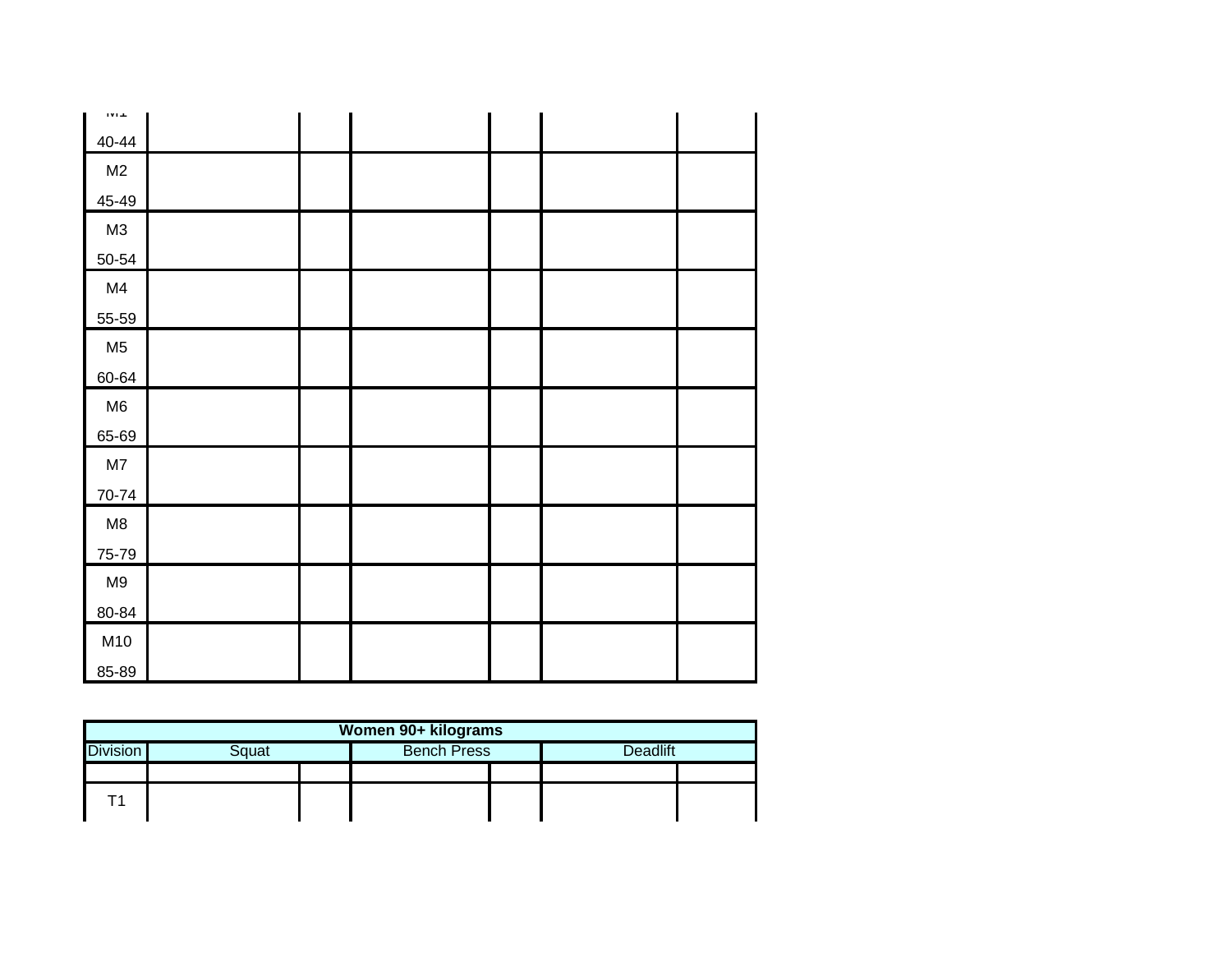| TVT T          |  |  |  |
|----------------|--|--|--|
| 40-44          |  |  |  |
| M <sub>2</sub> |  |  |  |
| 45-49          |  |  |  |
| M3             |  |  |  |
| 50-54          |  |  |  |
| M4             |  |  |  |
| 55-59          |  |  |  |
| M <sub>5</sub> |  |  |  |
| 60-64          |  |  |  |
| M6             |  |  |  |
| 65-69          |  |  |  |
| M7             |  |  |  |
| 70-74          |  |  |  |
| M8             |  |  |  |
| 75-79          |  |  |  |
| M9             |  |  |  |
| 80-84          |  |  |  |
| M10            |  |  |  |
| 85-89          |  |  |  |

| Women 90+ kilograms                                               |  |  |  |  |  |  |  |  |
|-------------------------------------------------------------------|--|--|--|--|--|--|--|--|
| <b>Division</b><br><b>Deadlift</b><br><b>Bench Press</b><br>Squat |  |  |  |  |  |  |  |  |
|                                                                   |  |  |  |  |  |  |  |  |
|                                                                   |  |  |  |  |  |  |  |  |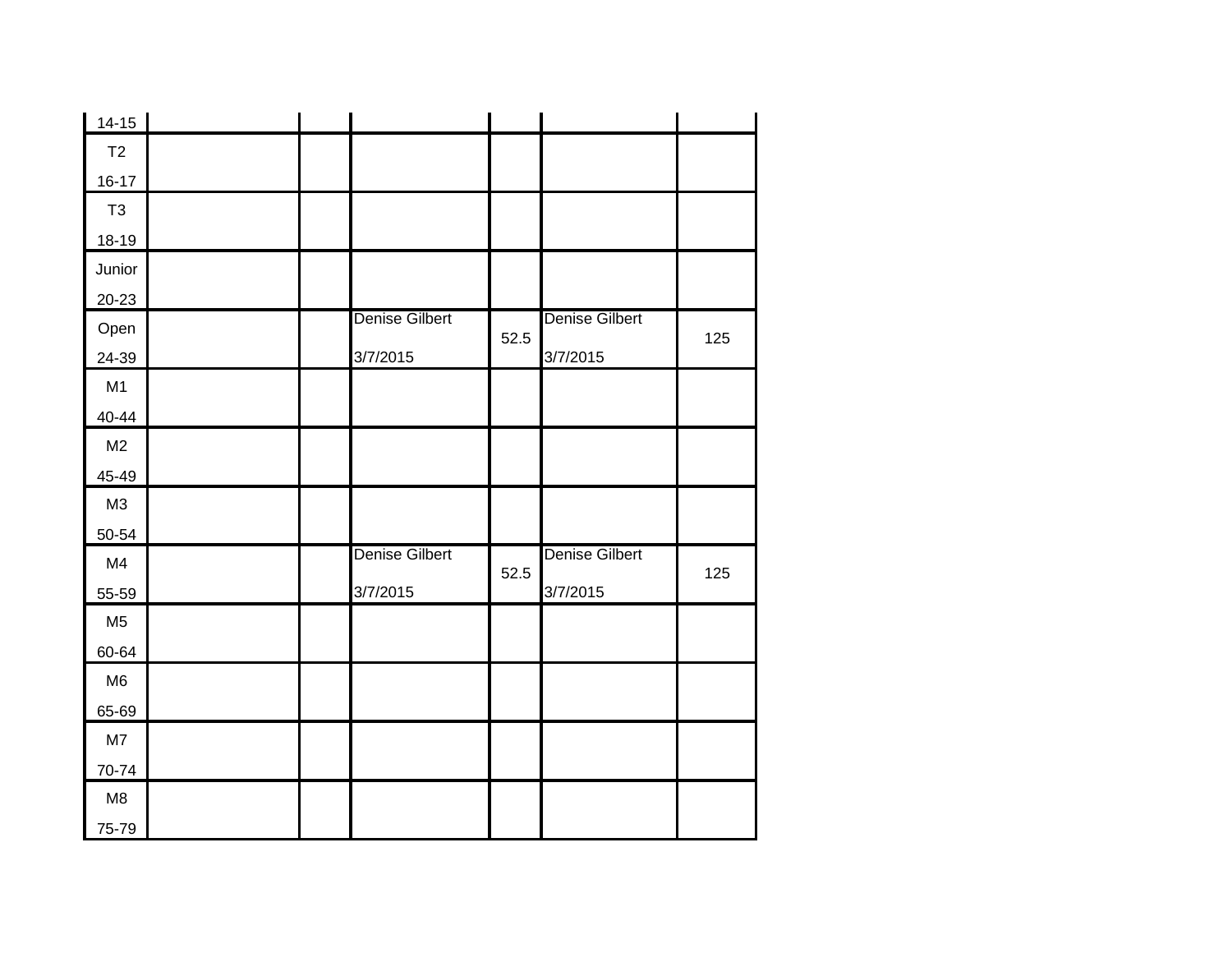| $14-15$        |  |                       |      |                       |     |
|----------------|--|-----------------------|------|-----------------------|-----|
| T2             |  |                       |      |                       |     |
| $16 - 17$      |  |                       |      |                       |     |
| T <sub>3</sub> |  |                       |      |                       |     |
| $18 - 19$      |  |                       |      |                       |     |
| Junior         |  |                       |      |                       |     |
| $20 - 23$      |  |                       |      |                       |     |
| Open           |  | <b>Denise Gilbert</b> | 52.5 | <b>Denise Gilbert</b> | 125 |
| 24-39          |  | 3/7/2015              |      | 3/7/2015              |     |
| M1             |  |                       |      |                       |     |
| 40-44          |  |                       |      |                       |     |
| M <sub>2</sub> |  |                       |      |                       |     |
| 45-49          |  |                       |      |                       |     |
| M3             |  |                       |      |                       |     |
| 50-54          |  |                       |      |                       |     |
| M4             |  | <b>Denise Gilbert</b> | 52.5 | <b>Denise Gilbert</b> | 125 |
| 55-59          |  | 3/7/2015              |      | 3/7/2015              |     |
| M <sub>5</sub> |  |                       |      |                       |     |
| 60-64          |  |                       |      |                       |     |
| M <sub>6</sub> |  |                       |      |                       |     |
| 65-69          |  |                       |      |                       |     |
| M7             |  |                       |      |                       |     |
| 70-74          |  |                       |      |                       |     |
| M8             |  |                       |      |                       |     |
| 75-79          |  |                       |      |                       |     |